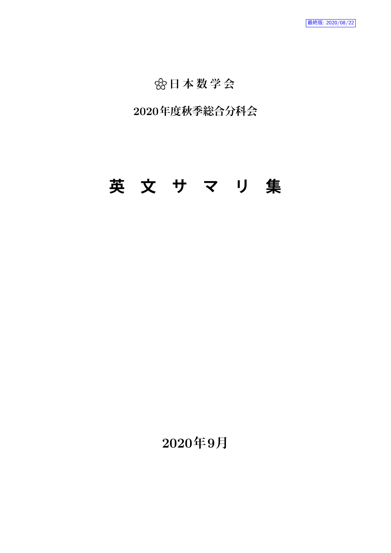## "**日 本 数 学 会**

## **2020年度秋季総合分科会**

# **英 文 サ マ リ 集**

**2020年9月**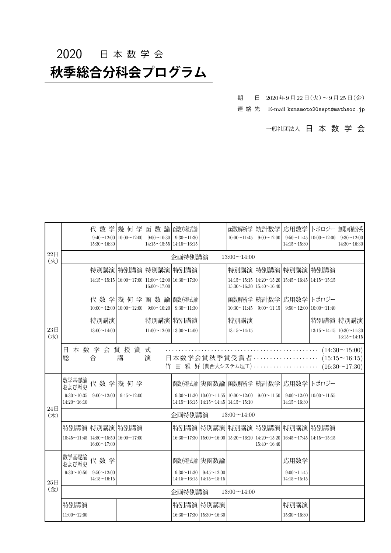## 2020 日 本 数 学 会

## **秋季総合分科会プログラム**

期 日 2020年9月22日 (火) ~ 9月25日 (金)

連 絡 先 E-mail kumamoto20sept@mathsoc.jp

一般社団法人 日 本 数 学 会

|                         |                                         | 代数学<br>$9:40 \sim 12:00$<br>$15:30 \sim 16:30$ | 幾 何 学<br>$10:00 \sim 12:00$                                         | 函数論<br>$9:00 \sim 10:30$<br>$14:15 \sim 15:55 \mid 14:15 \sim 16:15$ | 函数方程式論<br>$9:30 \sim 11:30$                                |                                                                                                                     | 函数解析学<br>$10:00 \sim 11:45$ | 統計数学<br>$9:00 \sim 12:00$                                                                                                                              | 応用数学<br>$14:15 \sim 15:30$              | トポロジー<br>$9:50 \sim 11:45 \mid 10:00 \sim 12:00$ | 無限可積分系<br>$9:30 \sim 12:00$<br>$14:30 \sim 16:30$                    |  |  |
|-------------------------|-----------------------------------------|------------------------------------------------|---------------------------------------------------------------------|----------------------------------------------------------------------|------------------------------------------------------------|---------------------------------------------------------------------------------------------------------------------|-----------------------------|--------------------------------------------------------------------------------------------------------------------------------------------------------|-----------------------------------------|--------------------------------------------------|----------------------------------------------------------------------|--|--|
| 22E<br>(X)              | 企画特別講演<br>$13:00 \sim 14:00$            |                                                |                                                                     |                                                                      |                                                            |                                                                                                                     |                             |                                                                                                                                                        |                                         |                                                  |                                                                      |  |  |
|                         |                                         | 特別講演                                           | 特別講演 特別講演 特別講演                                                      |                                                                      |                                                            |                                                                                                                     |                             | 特別講演 特別講演 特別講演 特別講演                                                                                                                                    |                                         |                                                  |                                                                      |  |  |
|                         |                                         |                                                | $14:15 \sim 15:15 \mid 16:00 \sim 17:00 \mid 11:00 \sim 12:00 \mid$ | $16:00 \sim 17:00$                                                   | $16:30 \sim 17:30$                                         |                                                                                                                     |                             | $14:15 \sim 15:15$   $14:20 \sim 15:20$   $15:45 \sim 16:45$   $14:15 \sim 15:15$<br>$15:30 \sim 16:30 \mid 15:40 \sim 16:40$                          |                                         |                                                  |                                                                      |  |  |
|                         |                                         |                                                | 代数学 幾何学                                                             | 函数論                                                                  | 函数方程式論                                                     |                                                                                                                     |                             | 函数解析学 統計数学   応用数学                                                                                                                                      |                                         | トポロジー                                            |                                                                      |  |  |
|                         |                                         |                                                | $10:00 \sim 12:00 \mid 10:00 \sim 12:00$                            | $9:00 \sim 10:20$                                                    | $9:30 \sim 11:30$                                          |                                                                                                                     | $10:30 \sim 11:45$          | $9:00 \sim 11:15$                                                                                                                                      |                                         | $9:50 \sim 12:00$ 10:00 $\sim 11:40$             |                                                                      |  |  |
|                         |                                         | 特別講演                                           |                                                                     | 特別講演 特別講演                                                            |                                                            |                                                                                                                     | 特別講演                        |                                                                                                                                                        |                                         | 特別講演 特別講演                                        |                                                                      |  |  |
| 23 <sup>1</sup><br>(7k) |                                         | $13:00 \sim 14:00$                             |                                                                     | $11:00 \sim 12:00$ 13:00 $\sim 14:00$                                |                                                            |                                                                                                                     | $13:15 \sim 14:15$          |                                                                                                                                                        |                                         | $13:15 \sim 14:15$ 10:30 $\sim$ 11:30            | $13:15 \sim 14:15$                                                   |  |  |
|                         | 日.<br>総                                 | 合                                              | 本数学会賞授賞式<br>講                                                       | 演                                                                    |                                                            |                                                                                                                     |                             | 日本数学会賞秋季賞受賞者<br>竹 田 雅 好 (関西大システム理工) ……………………                                                                                                           |                                         |                                                  | $(14:30 \sim 15:00)$<br>$(15:15 \sim 16:15)$<br>$(16:30 \sim 17:30)$ |  |  |
|                         | 数学基礎論<br>および歴史                          | 代数学                                            | 幾 何 学                                                               |                                                                      |                                                            |                                                                                                                     |                             | 函数方程式論 実函数論 函数解析学 統計数学   応用数学                                                                                                                          |                                         | トポロジー                                            |                                                                      |  |  |
|                         | $9:30 \sim 10:35$<br>$14:20 \sim 16:10$ | $9:00 \sim 12:00$                              | $9:45 \sim 12:00$                                                   |                                                                      |                                                            | $9:30 \sim 11:30$ 10:00 $\sim 11:55$ 10:00 $\sim 12:00$<br>$14:15 \sim 16:15$ 14:15 $\sim$ 14:45 14:15 $\sim$ 15:10 |                             | $9:00 \sim 11:50$                                                                                                                                      | $14:15 \sim 16:30$                      | $9:00 \sim 12:00$ 10:00 $\sim 11:55$             |                                                                      |  |  |
| 24E<br>(木)              | 企画特別講演<br>$13:00 \sim 14:00$            |                                                |                                                                     |                                                                      |                                                            |                                                                                                                     |                             |                                                                                                                                                        |                                         |                                                  |                                                                      |  |  |
|                         |                                         | 特別講演 特別講演 特別講演                                 |                                                                     |                                                                      |                                                            |                                                                                                                     |                             | 特別講演 特別講演 特別講演 特別講演 特別講演 特別講演                                                                                                                          |                                         |                                                  |                                                                      |  |  |
|                         | $10:45 \sim 11:45$ 14:50 $\sim$ 15:50   | $16:00 \sim 17:00$                             | $16:00 \sim 17:00$                                                  |                                                                      |                                                            |                                                                                                                     |                             | $16:30 \sim 17:30 \mid 15:00 \sim 16:00 \mid 15:20 \sim 16:20 \mid 14:20 \sim 15:20 \mid 16:45 \sim 17:45 \mid 14:15 \sim 15:15$<br>$15:40 \sim 16:40$ |                                         |                                                  |                                                                      |  |  |
|                         | 数学基礎論<br>および歴史                          | 代数学                                            |                                                                     |                                                                      | 函数方程式論 実函数論                                                |                                                                                                                     |                             |                                                                                                                                                        | 応用数学                                    |                                                  |                                                                      |  |  |
| 25 <sup>th</sup>        | $9:30 \sim 10:50$                       | $9:50 \sim 12:00$<br>$14:15 \sim 16:15$        |                                                                     |                                                                      | $9:30 \sim 11:30$<br>$14:15 \sim 16:15$ 14:15 $\sim$ 15:15 | $9:45 \sim 12:00$                                                                                                   |                             |                                                                                                                                                        | $9:00 \sim 11:45$<br>$14:15 \sim 15:15$ |                                                  |                                                                      |  |  |
| (金)                     |                                         |                                                |                                                                     |                                                                      | 企画特別講演                                                     |                                                                                                                     | $13:00 \sim 14:00$          |                                                                                                                                                        |                                         |                                                  |                                                                      |  |  |
|                         | 特別講演<br>$11:00 \sim 12:00$              |                                                |                                                                     |                                                                      | 特別講演 特別講演<br>$16:30 \sim 17:30 \mid 15:30 \sim 16:30$      |                                                                                                                     |                             |                                                                                                                                                        | 特別講演<br>$15:30 \sim 16:30$              |                                                  |                                                                      |  |  |
|                         |                                         |                                                |                                                                     |                                                                      |                                                            |                                                                                                                     |                             |                                                                                                                                                        |                                         |                                                  |                                                                      |  |  |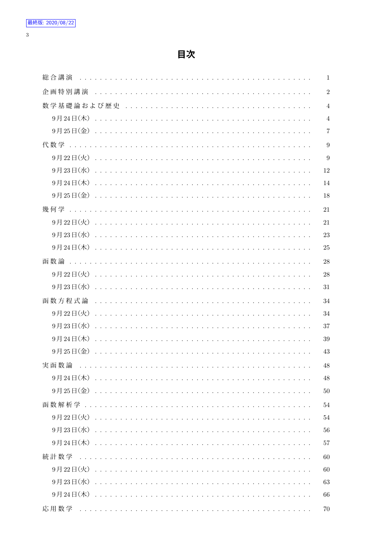$\overline{3}$ 

| 総合講演   | $\mathbf{1}$   |
|--------|----------------|
| 企画特別講演 | $\overline{2}$ |
|        | $\overline{4}$ |
|        | $\overline{4}$ |
|        | $\overline{7}$ |
|        | 9              |
|        | 9              |
|        | 12             |
|        | 14             |
|        | 18             |
|        | 21             |
|        | 21             |
|        | 23             |
|        | 25             |
| 函数論    | 28             |
|        | 28             |
|        | 31             |
| 函数方程式論 | 34             |
|        | 34             |
|        | 37             |
|        | 39             |
|        | 43             |
| 実函数論   | 48             |
|        | 48             |
|        | $50\,$         |
|        | 54             |
|        | 54             |
|        | 56             |
|        | 57             |
|        | 60             |
|        | 60             |
|        | 63             |
|        | 66             |
|        | 70             |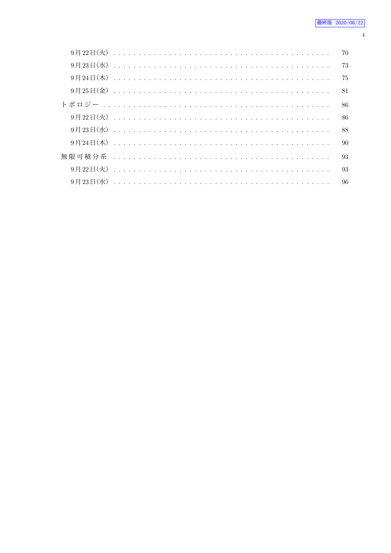|  |  |  |  |  |  |  |  |  |  |  |  |  |  |  |  |  |  |  | 70 |  |
|--|--|--|--|--|--|--|--|--|--|--|--|--|--|--|--|--|--|--|----|--|
|  |  |  |  |  |  |  |  |  |  |  |  |  |  |  |  |  |  |  | 73 |  |
|  |  |  |  |  |  |  |  |  |  |  |  |  |  |  |  |  |  |  | 75 |  |
|  |  |  |  |  |  |  |  |  |  |  |  |  |  |  |  |  |  |  | 81 |  |
|  |  |  |  |  |  |  |  |  |  |  |  |  |  |  |  |  |  |  | 86 |  |
|  |  |  |  |  |  |  |  |  |  |  |  |  |  |  |  |  |  |  | 86 |  |
|  |  |  |  |  |  |  |  |  |  |  |  |  |  |  |  |  |  |  | 88 |  |
|  |  |  |  |  |  |  |  |  |  |  |  |  |  |  |  |  |  |  | 90 |  |
|  |  |  |  |  |  |  |  |  |  |  |  |  |  |  |  |  |  |  | 93 |  |
|  |  |  |  |  |  |  |  |  |  |  |  |  |  |  |  |  |  |  | 93 |  |
|  |  |  |  |  |  |  |  |  |  |  |  |  |  |  |  |  |  |  | 96 |  |

#### $\overline{4}$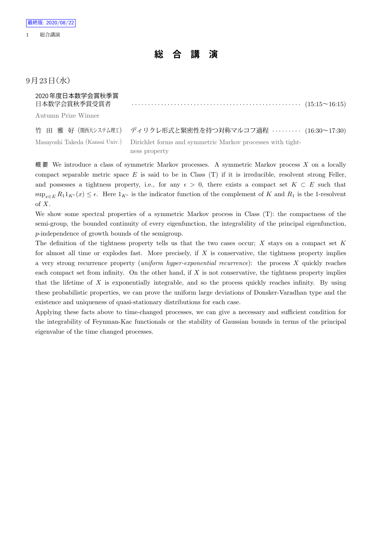## **総 合 講 演**

### $9$ 月 $23$ 日 $($ 水 $)$

| 2020年度日本数学会賞秋季賞     |  |
|---------------------|--|
| Autumn Prize Winner |  |

| 竹 田 雅 好(関西大システム理工) ディリクレ形式と緊密性を持つ対称マルコフ過程 ‥‥‥‥‥ (16:30~17:30)                              |
|--------------------------------------------------------------------------------------------|
| Masayoshi Takeda (Kansai Univ.) Dirichlet forms and symmetric Markov processes with tight- |
| ness property                                                                              |

概 要 We introduce a class of symmetric Markov processes. A symmetric Markov process *X* on a locally compact separable metric space *E* is said to be in Class (T) if it is irreducible, resolvent strong Feller, and possesses a tightness property, i.e., for any  $\epsilon > 0$ , there exists a compact set  $K \subset E$  such that  $\sup_{x \in E} R_1 1_{K^c}(x) \leq \epsilon$ . Here  $1_{K^c}$  is the indicator function of the complement of *K* and  $R_1$  is the 1-resolvent of *X*.

We show some spectral properties of a symmetric Markov process in Class (T): the compactness of the semi-group, the bounded continuity of every eigenfunction, the integrability of the principal eigenfunction, *p*-independence of growth bounds of the semigroup.

The definition of the tightness property tells us that the two cases occur; *X* stays on a compact set *K* for almost all time or explodes fast. More precisely, if *X* is conservative, the tightness property implies a very strong recurrence property (*uniform hyper-exponential recurrence*): the process *X* quickly reaches each compact set from infinity. On the other hand, if X is not conservative, the tightness property implies that the lifetime of *X* is exponentially integrable, and so the process quickly reaches infinity. By using these probabilistic properties, we can prove the uniform large deviations of Donsker-Varadhan type and the existence and uniqueness of quasi-stationary distributions for each case.

Applying these facts above to time-changed processes, we can give a necessary and sufficient condition for the integrability of Feynman-Kac functionals or the stability of Gaussian bounds in terms of the principal eigenvalue of the time changed processes.

1 総合講演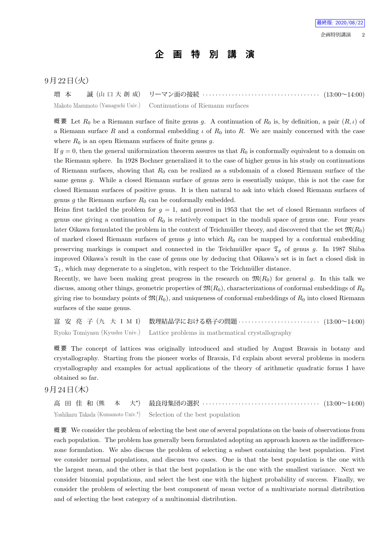## **企 画 特 別 講 演**

#### 9月22日 (火)

増 本 誠 (山 口 大 創 成) リーマン面の接続 *· · · · · · · · · · · · · · · · · · · · · · · · · · · · · · · · · · · ·* (13:00~14:00) Makoto Masumoto (Yamaguchi Univ.) Continuations of Riemann surfaces

概 要 Let *R*<sup>0</sup> be a Riemann surface of finite genus *g*. A continuation of *R*<sup>0</sup> is, by definition, a pair (*R, ι*) of a Riemann surface *R* and a conformal embedding *ι* of *R*<sup>0</sup> into *R*. We are mainly concerned with the case where  $R_0$  is an open Riemann surfaces of finite genus  $q$ .

If  $g = 0$ , then the general uniformization theorem assures us that  $R_0$  is conformally equivalent to a domain on the Riemann sphere. In 1928 Bochner generalized it to the case of higher genus in his study on continuations of Riemann surfaces, showing that *R*<sup>0</sup> can be realized as a subdomain of a closed Riemann surface of the same genus *g*. While a closed Riemann surface of genus zero is essentially unique, this is not the case for closed Riemann surfaces of positive genus. It is then natural to ask into which closed Riemann surfaces of genus *q* the Riemann surface  $R_0$  can be conformally embedded.

Heins first tackled the problem for  $g = 1$ , and proved in 1953 that the set of closed Riemann surfaces of genus one giving a continuation of *R*<sup>0</sup> is relatively compact in the moduli space of genus one. Four years later Oikawa formulated the problem in the context of Teichmüller theory, and discovered that the set  $\mathfrak{M}(R_0)$ of marked closed Riemann surfaces of genus  $g$  into which  $R_0$  can be mapped by a conformal embedding preserving markings is compact and connected in the Teichmüller space  $\mathfrak{T}_q$  of genus *g*. In 1987 Shiba improved Oikawa's result in the case of genus one by deducing that Oikawa's set is in fact a closed disk in  $\mathfrak{T}_1$ , which may degenerate to a singleton, with respect to the Teichmüller distance.

Recently, we have been making great progress in the research on  $\mathfrak{M}(R_0)$  for general g. In this talk we discuss, among other things, geometric properties of  $\mathfrak{M}(R_0)$ , characterizations of conformal embeddings of  $R_0$ giving rise to boundary points of  $\mathfrak{M}(R_0)$ , and uniqueness of conformal embeddings of  $R_0$  into closed Riemann surfaces of the same genus.

富 安 亮 子 (九 大 I M I) 数理結晶学における格子の問題 *· · · · · · · · · · · · · · · · · · · · · · · · ·* (13:00~14:00) Ryoko Tomiyasu (Kyushu Univ.) Lattice problems in mathematical crystallography

概 要 The concept of lattices was originally introduced and studied by August Bravais in botany and crystallography. Starting from the pioneer works of Bravais, I'd explain about several problems in modern crystallography and examples for actual applications of the theory of arithmetic quadratic forms I have obtained so far.

#### $9$ 月 $24$ 日 $($ 木 $)$

高 田 佳 和 (熊 本 大*<sup>⋆</sup>* ) 最良母集団の選択 *· · · · · · · · · · · · · · · · · · · · · · · · · · · · · · · · · · · ·* (13:00~14:00) Yoshikazu Takada (Kumamoto Univ.*<sup>⋆</sup>* ) Selection of the best population

概 要 We consider the problem of selecting the best one of several populations on the basis of observations from each population. The problem has generally been formulated adopting an approach known as the indifferencezone formulation. We also discuss the problem of selecting a subset containing the best population. First we consider normal populations, and discuss two cases. One is that the best population is the one with the largest mean, and the other is that the best population is the one with the smallest variance. Next we consider binomial populations, and select the best one with the highest probability of success. Finally, we consider the problem of selecting the best component of mean vector of a multivariate normal distribution and of selecting the best category of a multinomial distribution.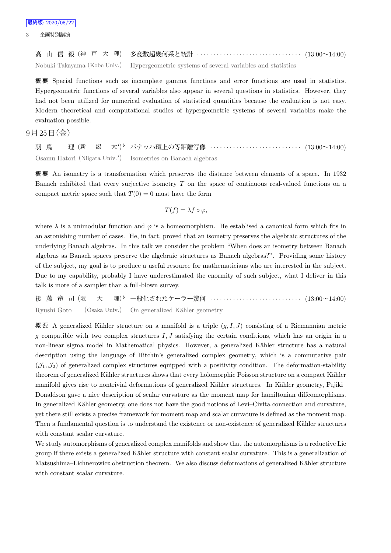高 山 信 毅 (神 戸 大 理) 多変数超幾何系と統計 *· · · · · · · · · · · · · · · · · · · · · · · · · · · · · · · ·* (13:00~14:00) Nobuki Takayama (Kobe Univ.) Hypergeometric systems of several variables and statistics

概 要 Special functions such as incomplete gamma functions and error functions are used in statistics. Hypergeometric functions of several variables also appear in several questions in statistics. However, they had not been utilized for numerical evaluation of statistical quantities because the evaluation is not easy. Modern theoretical and computational studies of hypergeometric systems of several variables make the evaluation possible.

#### $9$ 月 $25$ 日(金)

羽 鳥 理 (新 潟 大*<sup>⋆</sup>* ) *♭* バナッハ環上の等距離写像 *· · · · · · · · · · · · · · · · · · · · · · · · · · · ·* (13:00~14:00) Osamu Hatori (Niigata Univ.*<sup>⋆</sup>* ) Isometries on Banach algebras

概 要 An isometry is a transformation which preserves the distance between elements of a space. In 1932 Banach exhibited that every surjective isometry *T* on the space of continuous real-valued functions on a compact metric space such that  $T(0) = 0$  must have the form

$$
T(f) = \lambda f \circ \varphi,
$$

where  $\lambda$  is a unimodular function and  $\varphi$  is a homeomorphism. He establised a canonical form which fits in an astonishing number of cases. He, in fact, proved that an isometry preserves the algebraic structures of the underlying Banach algebras. In this talk we consider the problem "When does an isometry between Banach algebras as Banach spaces preserve the algebraic structures as Banach algebras?". Providing some history of the subject, my goal is to produce a useful resource for mathematicians who are interested in the subject. Due to my capability, probably I have underestimated the enormity of such subject, what I deliver in this talk is more of a sampler than a full-blown survey.

後 藤 竜 司 (阪 大 *♭* 一般化されたケーラー幾何 *· · · · · · · · · · · · · · · · · · · · · · · · · · · ·* (13:00~14:00) Ryushi Goto (Osaka Univ.) On generalized Kähler geometry

概要 A generalized Kähler structure on a manifold is a triple  $(g, I, J)$  consisting of a Riemannian metric *g* compatible with two complex structures *I, J* satisfying the certain conditions, which has an origin in a non-linear sigma model in Mathematical physics. However, a generalized Kähler structure has a natural description using the language of Hitchin's generalized complex geometry, which is a commutative pair  $(\mathcal{J}_1, \mathcal{J}_2)$  of generalized complex structures equipped with a positivity condition. The deformation-stability theorem of generalized Kähler structures shows that every holomorphic Poisson structure on a compact Kähler manifold gives rise to nontrivial deformations of generalized Kähler structures. In Kähler geometry, Fujiki– Donaldson gave a nice description of scalar curvature as the moment map for hamiltonian diffeomorphisms. In generalized Kähler geometry, one does not have the good notions of Levi–Civita connection and curvature, yet there still exists a precise framework for moment map and scalar curvature is defined as the moment map. Then a fundamental question is to understand the existence or non-existence of generalized Kähler structures with constant scalar curvature.

We study automorphisms of generalized complex manifolds and show that the automorphisms is a reductive Lie group if there exists a generalized Kähler structure with constant scalar curvature. This is a generalization of Matsushima–Lichnerowicz obstruction theorem. We also discuss deformations of generalized Kähler structure with constant scalar curvature.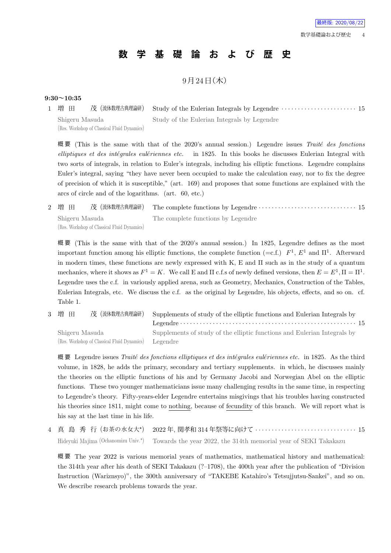## **数 学 基 礎 論 お よ び 歴 史**

 $9$ 月 $24$ 日 $($ 木 $)$ 

#### **9:30~10:35**

| 1 増 田          |                                             | 茂 (流体数理古典理論研) Study of the Eulerian Integrals by Legendre ······················ 15 |
|----------------|---------------------------------------------|-------------------------------------------------------------------------------------|
| Shigeru Masuda |                                             | Study of the Eulerian Integrals by Legendre                                         |
|                | (Res. Workshop of Classical Fluid Dynamics) |                                                                                     |

概 要 (This is the same with that of the 2020's annual session.) Legendre issues *Traite*´ *des fonctions elliptiques et des inte*´*grales eule*´*riennes etc.* in 1825. In this books he discusses Eulerian Integral with two sorts of integrals, in relation to Euler's integrals, including his elliptic functions. Legendre complains Euler's integral, saying "they have never been occupied to make the calculation easy, nor to fix the degree of precision of which it is susceptible," (art. 169) and proposes that some functions are explained with the arcs of circle and of the logarithms. (art. 60, etc.)

2 増 田 茂 (流体数理古典理論研) The complete functions by Legendre *· · · · · · · · · · · · · · · · · · · · · · · · · · · · · ·* 15 Shigeru Masuda (Res. Workshop of Classical Fluid Dynamics) The complete functions by Legendre

概 要 (This is the same with that of the 2020's annual session.) In 1825, Legendre defines as the most important function among his elliptic functions, the complete function (=c.f.)  $F^1$ ,  $E^1$  and  $\Pi^1$ . Afterward in modern times, these functions are newly expressed with K, E and Π such as in the study of a quantum mechanics, where it shows as  $F^1 = K$ . We call E and  $\Pi$  c.f.s of newly defined versions, then  $E = E^1, \Pi = \Pi^1$ . Legendre uses the c.f. in variously applied arena, such as Geometry, Mechanics, Construction of the Tables, Eulerian Integrals, etc. We discuss the c.f. as the original by Legendre, his objects, effects, and so on. cf. Table 1.

3 増 田 茂 (流体数理古典理論研) Supplements of study of the elliptic functions and Eulerian Integrals by Legendre *· · · · · · · · · · · · · · · · · · · · · · · · · · · · · · · · · · · · · · · · · · · · · · · · · · · · · ·* 15 Shigeru Masuda (Res. Workshop of Classical Fluid Dynamics) Supplements of study of the elliptic functions and Eulerian Integrals by Legendre

概 要 Legendre issues *Traite*´ *des fonctions elliptiques et des inte*´*grales eule*´*riennes etc.* in 1825. As the third volume, in 1828, he adds the primary, secondary and tertiary supplements. in which, he discusses mainly the theories on the elliptic functions of his and by Germany Jacobi and Norwegian Abel on the elliptic functions. These two younger mathematicians issue many challenging results in the same time, in respecting to Legendre's theory. Fifty-years-elder Legendre entertains misgivings that his troubles having constructed his theories since 1811, might come to nothing, because of fecundity of this branch. We will report what is his say at the last time in his life.

4 真 島 秀 行 (お茶の水女大*<sup>⋆</sup>* ) 2022 年, 関孝和 314 年祭等に向けて *· · · · · · · · · · · · · · · · · · · · · · · · · · · · · · ·* 15 Hideyuki Majima (Ochanomizu Univ.*<sup>⋆</sup>* ) Towards the year 2022, the 314th memorial year of SEKI Takakazu

概 要 The year 2022 is various memorial years of mathematics, mathematical history and mathematical: the 314th year after his death of SEKI Takakazu (?–1708), the 400th year after the publication of "Division Instruction (Wariznsyo)", the 300th anniversary of "TAKEBE Katahiro's Tetsujjutsu-Sankei", and so on. We describe research problems towards the year.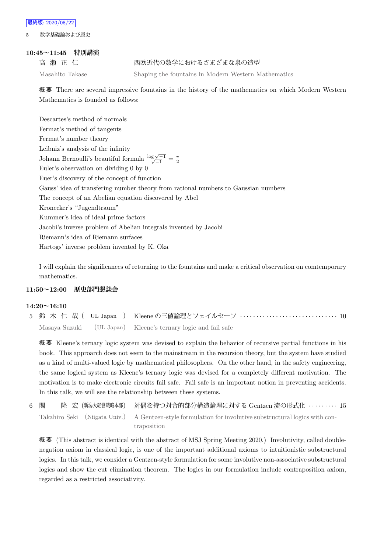5 数学基礎論および歴史

#### **10:45~11:45 特別講演**

高瀬 正 仁 インコン 西欧近代の数学におけるさまざまな泉の造型

Masahito Takase Shaping the fountains in Modern Western Mathematics

概 要 There are several impressive fountains in the history of the mathematics on which Modern Western Mathematics is founded as follows:

Descartes's method of normals Fermat's method of tangents Fermat's number theory Leibniz's analysis of the infinity Johann Bernoulli's beautiful formula  $\frac{\log \sqrt{-1}}{\sqrt{-1}} = \frac{\pi}{2}$ Euler's observation on dividing 0 by 0 Euer's discovery of the concept of function Gauss' idea of transfering number theory from rational numbers to Gaussian numbers The concept of an Abelian equation discovered by Abel Kronecker's "Jugendtraum" Kummer's idea of ideal prime factors Jacobi's inverse problem of Abelian integrals invented by Jacobi Riemann's idea of Riemann surfaces Hartogs' inverse problem invented by K. Oka

I will explain the significances of returning to the fountains and make a critical observation on comtemporary mathematics.

#### **11:50~12:00 歴史部門懇談会**

#### **14:20~16:10**

|  | Masaya Suzuki (UL Japan) Kleene's ternary logic and fail safe |
|--|---------------------------------------------------------------|

概 要 Kleene's ternary logic system was devised to explain the behavior of recursive partial functions in his book. This approarch does not seem to the mainstream in the recursion theory, but the system have studied as a kind of multi-valued logic by mathematical philosophers. On the other hand, in the safety engineering, the same logical system as Kleene's ternary logic was devised for a completely different motivation. The motivation is to make electronic circuits fail safe. Fail safe is an important notion in preventing accidents. In this talk, we will see the relationship between these systems.

| 6 関 |  | 隆 宏 (新潟大経営戦略本部) 対偶を持つ対合的部分構造論理に対する Gentzen 流の形式化 ········· 15                                           |  |
|-----|--|---------------------------------------------------------------------------------------------------------|--|
|     |  | Takahiro Seki (Niigata Univ.) A Gentzen-style formulation for involutive substructural logics with con- |  |
|     |  | traposition                                                                                             |  |

概 要 (This abstract is identical with the abstract of MSJ Spring Meeting 2020.) Involutivity, called doublenegation axiom in classical logic, is one of the important additional axioms to intuitionistic substructural logics. In this talk, we consider a Gentzen-style formulation for some involutive non-associative substructural logics and show the cut elimination theorem. The logics in our formulation include contraposition axiom, regarded as a restricted associativity.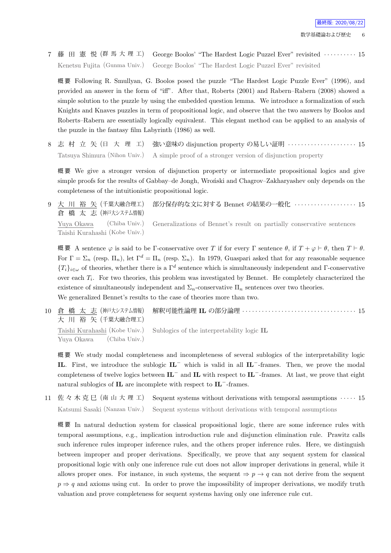7 藤 田 憲 悦 (群 馬 大 理 工) George Boolos' "The Hardest Logic Puzzel Ever" revisited *· · · · · · · · · ·* 15 Kenetsu Fujita (Gunma Univ.) George Boolos' "The Hardest Logic Puzzel Ever" revisited

概 要 Following R. Smullyan, G. Boolos posed the puzzle "The Hardest Logic Puzzle Ever" (1996), and provided an answer in the form of "iff". After that, Roberts (2001) and Rabern–Rabern (2008) showed a simple solution to the puzzle by using the embedded question lemma. We introduce a formalization of such Knights and Knaves puzzles in term of propositional logic, and observe that the two answers by Boolos and Roberts–Rabern are essentially logically equivalent. This elegant method can be applied to an analysis of the puzzle in the fantasy film Labyrinth (1986) as well.

8 志 村 立 矢 (日 大 理 工) 強い意味の disjunction property の易しい証明 *· · · · · · · · · · · · · · · · · · · · ·* 15 Tatsuya Shimura (Nihon Univ.) A simple proof of a stronger version of disjunction property

概 要 We give a stronger version of disjunction property or intermediate propositional logics and give simple proofs for the results of Gabbay–de Jongh, Wroński and Chagrov–Zakharyashev only depends on the completeness of the intuitionistic propositional logic.

9 大 川 裕 矢 (千葉大融合理工) 倉 橋 太 志 (神戸大システム情報) 部分保存的な文に対する Bennet の結果の一般化 *· · · · · · · · · · · · · · · · · · ·* 15 Yuya Okawa (Chiba Univ.) Taishi Kurahashi (Kobe Univ.) Generalizations of Bennet's result on partially conservative sentences

概 要 A sentence *φ* is said to be Γ-conservative over *T* if for every Γ sentence *θ*, if *T* + *φ ⊢ θ*, then *T ⊢ θ*. For  $\Gamma = \Sigma_n$  (resp.  $\Pi_n$ ), let  $\Gamma^d = \Pi_n$  (resp.  $\Sigma_n$ ). In 1979, Guaspari asked that for any reasonable sequence  ${T_i}_{i\in\omega}$  of theories, whether there is a  $\Gamma^d$  sentence which is simultaneously independent and Γ-conservative over each *T<sup>i</sup>* . For two theories, this problem was investigated by Bennet. He completely characterized the existence of simultaneously independent and  $\Sigma_n$ -conservative  $\Pi_n$  sentences over two theories. We generalized Bennet's results to the case of theories more than two.

10 倉 橋 太 志 (神戸大システム情報) 大 川 裕 矢 (千葉大融合理工) 解釈可能性論理 **IL** の部分論理 *· · · · · · · · · · · · · · · · · · · · · · · · · · · · · · · · · · ·* 15 Taishi Kurahashi (Kobe Univ.) Yuya Okawa (Chiba Univ.) Sublogics of the interpretability logic **IL**

概 要 We study modal completeness and incompleteness of several sublogics of the interpretability logic **IL**. First, we introduce the sublogic **IL***<sup>−</sup>* which is valid in all **IL***−*-frames. Then, we prove the modal completeness of twelve logics between **IL***<sup>−</sup>* and **IL** with respect to **IL***−*-frames. At last, we prove that eight natural sublogics of **IL** are incomplete with respect to **IL***−*-frames.

11 佐々木克巳 (南山大理工) Sequent systems without derivations with temporal assumptions  $\cdots$  15 Katsumi Sasaki (Nanzan Univ.) Sequent systems without derivations with temporal assumptions

概 要 In natural deduction system for classical propositional logic, there are some inference rules with temporal assumptions, e.g., implication introduction rule and disjunction elimination rule. Prawitz calls such inference rules improper inference rules, and the others proper inference rules. Here, we distinguish between improper and proper derivations. Specifically, we prove that any sequent system for classical propositional logic with only one inference rule cut does not allow improper derivations in general, while it allows proper ones. For instance, in such systems, the sequent  $\Rightarrow p \rightarrow q$  can not derive from the sequent  $p \Rightarrow q$  and axioms using cut. In order to prove the impossibility of improper derivations, we modify truth valuation and prove completeness for sequent systems having only one inference rule cut.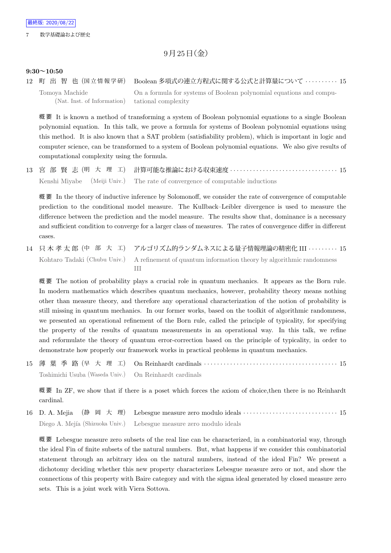$9$ 月 $25$ 日(金)

#### **9:30~10:50**

12 町 出 智 也 (国 立 情 報 学 研) Boolean 多項式の連立方程式に関する公式と計算量について *· · · · · · · · · ·* 15 Tomoya Machide (Nat. Inst. of Information) On a formula for systems of Boolean polynomial equations and computational complexity

概 要 It is known a method of transforming a system of Boolean polynomial equations to a single Boolean polynomial equation. In this talk, we prove a formula for systems of Boolean polynomial equations using this method. It is also known that a SAT problem (satisfiability problem), which is important in logic and computer science, can be transformed to a system of Boolean polynomial equations. We also give results of computational complexity using the formula.

13 宮 部 賢 志 (明 大 理 工) 計算可能な推論における収束速度 *· · · · · · · · · · · · · · · · · · · · · · · · · · · · · · · · ·* 15 Kenshi Miyabe (Meiji Univ.) The rate of convergence of computable inductions

概 要 In the theory of inductive inference by Solomonoff, we consider the rate of convergence of computable prediction to the conditional model measure. The Kullback–Leibler divergence is used to measure the difference between the prediction and the model measure. The results show that, dominance is a necessary and sufficient condition to converge for a larger class of measures. The rates of convergence differ in different cases.

14 只 木 孝 太 郎 (中 部 大 工) アルゴリズム的ランダムネスによる量子情報理論の精密化 III *· · · · · · · · ·* 15 Kohtaro Tadaki (Chubu Univ.) A refinement of quantum information theory by algorithmic randomness III

概 要 The notion of probability plays a crucial role in quantum mechanics. It appears as the Born rule. In modern mathematics which describes quantum mechanics, however, probability theory means nothing other than measure theory, and therefore any operational characterization of the notion of probability is still missing in quantum mechanics. In our former works, based on the toolkit of algorithmic randomness, we presented an operational refinement of the Born rule, called the principle of typicality, for specifying the property of the results of quantum measurements in an operational way. In this talk, we refine and reformulate the theory of quantum error-correction based on the principle of typicality, in order to demonstrate how properly our framework works in practical problems in quantum mechanics.

15 薄 葉 季 路 (早 大 理 工) On Reinhardt cardinals *· · · · · · · · · · · · · · · · · · · · · · · · · · · · · · · · · · · · · · · · ·* 15 Toshimichi Usuba (Waseda Univ.) On Reinhardt cardinals

概 要 In ZF, we show that if there is a poset which forces the axiom of choice,then there is no Reinhardt cardinal.

16 D. A. Mejia (静 岡 大 理) Lebesgue measure zero modulo ideals *· · · · · · · · · · · · · · · · · · · · · · · · · · · · ·* 15 Diego A. Mejía (Shizuoka Univ.) Lebesgue measure zero modulo ideals

概 要 Lebesgue measure zero subsets of the real line can be characterized, in a combinatorial way, through the ideal Fin of finite subsets of the natural numbers. But, what happens if we consider this combinatorial statement through an arbitrary idea on the natural numbers, instead of the ideal Fin? We present a dichotomy deciding whether this new property characterizes Lebesgue measure zero or not, and show the connections of this property with Baire category and with the sigma ideal generated by closed measure zero sets. This is a joint work with Viera Sottova.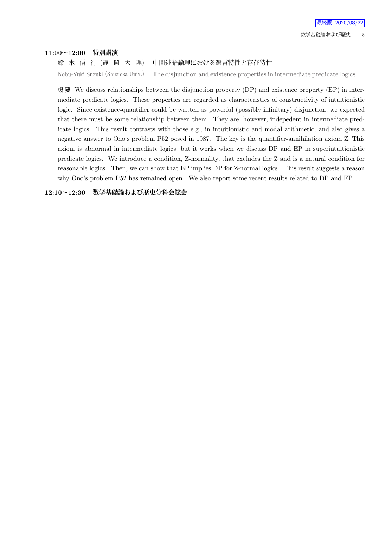#### **11:00~12:00 特別講演**

鈴 木 信 行 (静 岡 大 理) 中間述語論理における選言特性と存在特性

Nobu-Yuki Suzuki (Shizuoka Univ.) The disjunction and existence properties in intermediate predicate logics

概 要 We discuss relationships between the disjunction property (DP) and existence property (EP) in intermediate predicate logics. These properties are regarded as characteristics of constructivity of intuitionistic logic. Since existence-quantifier could be written as powerful (possibly infinitary) disjunction, we expected that there must be some relationship between them. They are, however, indepedent in intermediate predicate logics. This result contrasts with those e.g., in intuitionistic and modal arithmetic, and also gives a negative answer to Ono's problem P52 posed in 1987. The key is the quantifier-annihilation axiom Z. This axiom is abnormal in intermediate logics; but it works when we discuss DP and EP in superintuitionistic predicate logics. We introduce a condition, Z-normality, that excludes the Z and is a natural condition for reasonable logics. Then, we can show that EP implies DP for Z-normal logics. This result suggests a reason why Ono's problem P52 has remained open. We also report some recent results related to DP and EP.

**12:10~12:30 数学基礎論および歴史分科会総会**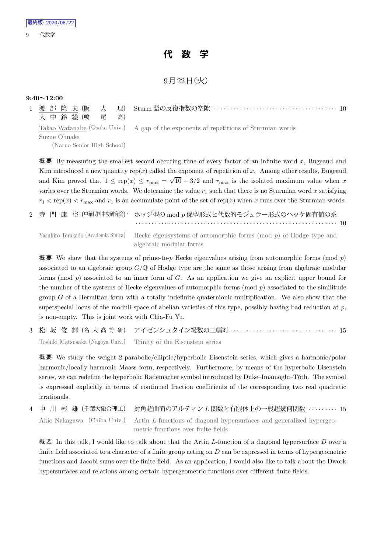## **代 数 学**

 $9$ 月 $22$ 日 $($ 火)

#### **9:40~12:00**

|                            |    | 1 渡 部 隆 夫(阪  大  理) Sturm 語の反復指数の空隙 ・・・・・・・・・・・・・・・・・・・・・・・・・・・・・・・・・・・10             |
|----------------------------|----|--------------------------------------------------------------------------------------|
| 大 中 鈴 絵 (鳴 )尾              | 高) |                                                                                      |
|                            |    | Takao Watanabe (Osaka Univ.) A gap of the exponents of repetitions of Sturmian words |
| Suzue Ohnaka               |    |                                                                                      |
| (Naruo Senior High School) |    |                                                                                      |
|                            |    |                                                                                      |

概 要 By measuring the smallest second occuring time of every factor of an infinite word *x*, Bugeaud and Kim introduced a new quantity rep(*x*) called the exponent of repetition of *x*. Among other results, Bugeaud and Kim proved that  $1 \leq rep(x) \leq r_{\text{max}} = \sqrt{10} - \frac{3}{2}$  and  $r_{\text{max}}$  is the isolated maximum value when *x* varies over the Sturmian words. We determine the value  $r_1$  such that there is no Sturmian word  $x$  satisfying  $r_1$  < rep(*x*) <  $r_{\text{max}}$  and  $r_1$  is an accumulate point of the set of rep(*x*) when *x* runs over the Sturmian words.

2 寺 門 康 裕 (中華民国中央研究院) *♭* ホッジ型の mod *p* 保型形式と代数的モジュラー形式のヘッケ固有値の系 *· · · · · · · · · · · · · · · · · · · · · · · · · · · · · · · · · · · · · · · · · · · · · · · · · · · · · · · · · · · · · ·* 10

Yasuhiro Terakado (Academia Sinica) Hecke eigensystems of automorphic forms (mod *p*) of Hodge type and algebraic modular forms

概 要 We show that the systems of prime-to-*p* Hecke eigenvalues arising from automorphic forms (mod *p*) associated to an algebraic group *G/*Q of Hodge type are the same as those arising from algebraic modular forms (mod *p*) associated to an inner form of *G*. As an application we give an explicit upper bound for the number of the systems of Hecke eigenvalues of automorphic forms (mod *p*) associated to the similitude group *G* of a Hermitian form with a totally indefinite quaternionic multiplication. We also show that the superspecial locus of the moduli space of abelian varieties of this type, possibly having bad reduction at *p*, is non-empty. This is joint work with Chia-Fu Yu.

3 松 坂 俊 輝 (名 大 高 等 研) アイゼンシュタイン級数の三幅対 *· · · · · · · · · · · · · · · · · · · · · · · · · · · · · · · · ·* 15 Toshiki Matsusaka (Nagoya Univ.) Trinity of the Eisenstein series

概 要 We study the weight 2 parabolic/elliptic/hyperbolic Eisenstein series, which gives a harmonic/polar harmonic/locally harmonic Maass form, respectively. Furthermore, by means of the hyperbolic Eisenstein series, we can redefine the hyperbolic Rademacher symbol introduced by Duke–Imamoglu–Tóth. The symbol is expressed explicitly in terms of continued fraction coefficients of the corresponding two real quadratic irrationals.

4 中 川 彬 雄 (千葉大融合理工) 対角超曲面のアルティン *L* 関数と有限体上の一般超幾何関数 *· · · · · · · · ·* 15 Akio Nakagawa (Chiba Univ.) Artin *L*-functions of diagonal hypersurfaces and generalized hypergeometric functions over finite fields

概 要 In this talk, I would like to talk about that the Artin *L*-function of a diagonal hypersurface *D* over a finite field associated to a character of a finite group acting on *D* can be expressed in terms of hypergeometric functions and Jacobi sums over the finite field. As an application, I would also like to talk about the Dwork hypersurfaces and relations among certain hypergeometric functions over different finite fields.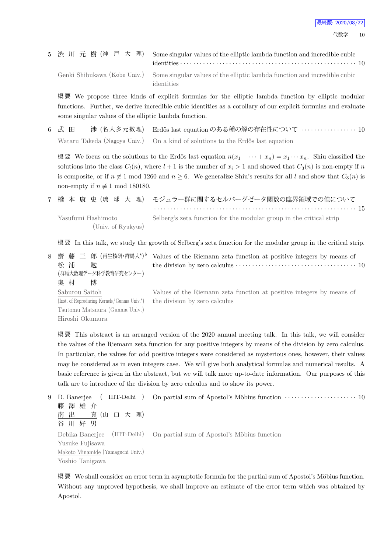|  | 5 渋 川 元 樹 (神 戸 大 理) Some singular values of the elliptic lambda function and incredible cubic          |  |
|--|--------------------------------------------------------------------------------------------------------|--|
|  | Genki Shibukawa (Kobe Univ.) Some singular values of the elliptic lambda function and incredible cubic |  |
|  | identities                                                                                             |  |

概 要 We propose three kinds of explicit formulas for the elliptic lambda function by elliptic modular functions. Further, we derive incredible cubic identities as a corollary of our explicit formulas and evaluate some singular values of the elliptic lambda function.

6 武 田 渉 (名 大 多 元 数 理) Erd˝os last equation のある種の解の存在性について *· · · · · · · · · · · · · · · · ·* 10 Wataru Takeda (Nagoya Univ.) On a kind of solutions to the Erdős last equation

概 要 We focus on the solutions to the Erdős last equation  $n(x_1 + \cdots + x_n) = x_1 \cdots x_n$ . Shiu classified the solutions into the class  $C_l(n)$ , where  $l+1$  is the number of  $x_i > 1$  and showed that  $C_3(n)$  is non-empty if *n* is composite, or if  $n \neq 1$  mod 1260 and  $n \geq 6$ . We generalize Shiu's results for all *l* and show that  $C_3(n)$  is non-empty if  $n \not\equiv 1 \mod 180180$ .

|                    | 7 橋 本 康 史 (琉 球 大 理) モジュラー群に関するセルバーグゼータ関数の臨界領域での値について                |  |
|--------------------|---------------------------------------------------------------------|--|
|                    |                                                                     |  |
| Yasufumi Hashimoto | Selberg's zeta function for the modular group in the critical strip |  |
| (Univ. of Ryukyus) |                                                                     |  |

概 要 In this talk, we study the growth of Selberg's zeta function for the modular group in the critical strip.

| 8 齋藤三郎 (再生核研・群馬大*) $^{\flat}$               | Values of the Riemann zeta function at positive integers by means of                                     |
|---------------------------------------------|----------------------------------------------------------------------------------------------------------|
| 松 浦<br>勉                                    | the division by zero calculus $\cdots \cdots \cdots \cdots \cdots \cdots \cdots \cdots \cdots \cdots 10$ |
| (群馬大数理データ科学教育研究センター)                        |                                                                                                          |
| 奥 村<br>博                                    |                                                                                                          |
| Saburou Saitoh                              | Values of the Riemann zeta function at positive integers by means of                                     |
| (Inst. of Reproducing Kernels/Gunma Univ.*) | the division by zero calculus                                                                            |
| Tsutomu Matsuura (Gunma Univ.)              |                                                                                                          |
| Hiroshi Okumura                             |                                                                                                          |

概 要 This abstract is an arranged version of the 2020 annual meeting talk. In this talk, we will consider the values of the Riemann zeta function for any positive integers by means of the division by zero calculus. In particular, the values for odd positive integers were considered as mysterious ones, however, their values may be considered as in even integers case. We will give both analytical formulas and numerical results. A basic reference is given in the abstract, but we will talk more up-to-date information. Our purposes of this talk are to introduce of the division by zero calculus and to show its power.

```
9 D. Banerjee ( IIIT-Delhi )
藤 澤 雄 介
南 出 真 (山 口 大 理)
谷 川 好 男
                               On partial sum of Apostol's Möbius function \cdots · · · · · · · · · · · · · · · · · 10
Debika Banerjee (IIIT-Delhi)
Yusuke Fujisawa
Makoto Minamide (Yamaguchi Univ.)
Yoshio Tanigawa
                               On partial sum of Apostol's Möbius function
```
概要 We shall consider an error term in asymptotic formula for the partial sum of Apostol's Möbius function. Without any unproved hypothesis, we shall improve an estimate of the error term which was obtained by Apostol.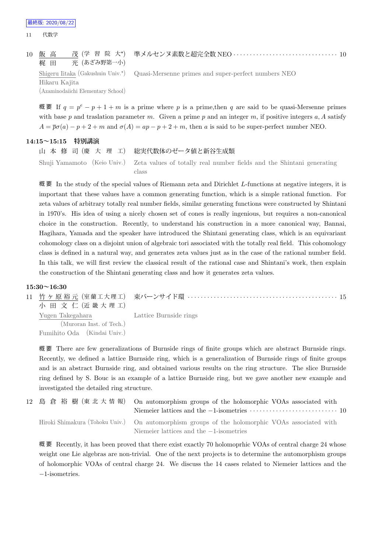| 10 飯 高<br>梶田 光 (あざみ野第一小) | 茂 (学 習 院 大*) 準メルセンヌ素数と超完全数 NEO …………………………………… 10                                                   |
|--------------------------|----------------------------------------------------------------------------------------------------|
|                          | Shigeru Iitaka (Gakushuin Univ. <sup>*</sup> ) Quasi-Mersenne primes and super-perfect numbers NEO |
| Hikaru Kajita            |                                                                                                    |

(Azaminodaiichi Elementary School)

概要 If  $q = p^e - p + 1 + m$  is a prime where p is a prime, then q are said to be quasi-Mersenne primes with base *p* and traslation parameter *m*. Given a prime *p* and an integer *m*, if positive integers *a, A* satisfy  $A = \overline{p}\sigma(a) - p + 2 + m$  and  $\sigma(A) = ap - p + 2 + m$ , then *a* is said to be super-perfect number NEO.

#### **14:15~15:15 特別講演**

山 本 修 司 (慶 大 理 工) 総実代数体のゼータ値と新谷生成類 Shuji Yamamoto (Keio Univ.) Zeta values of totally real number fields and the Shintani generating class

概 要 In the study of the special values of Riemann zeta and Dirichlet *L*-functions at negative integers, it is important that these values have a common generating function, which is a simple rational function. For zeta values of arbitrary totally real number fields, similar generating functions were constructed by Shintani in 1970's. His idea of using a nicely chosen set of cones is really ingenious, but requires a non-canonical choice in the construction. Recently, to understand his construction in a more canonical way, Bannai, Hagihara, Yamada and the speaker have introduced the Shintani generating class, which is an equivariant cohomology class on a disjoint union of algebraic tori associated with the totally real field. This cohomology class is defined in a natural way, and generates zeta values just as in the case of the rational number field. In this talk, we will first review the classical result of the rational case and Shintani's work, then explain the construction of the Shintani generating class and how it generates zeta values.

#### **15:30~16:30**

11 竹 ヶ 原 裕 元 (室 蘭 工 大 理 工) 小 田 文 仁 (近 畿 大 理 工) 束バーンサイド環 *· · · · · · · · · · · · · · · · · · · · · · · · · · · · · · · · · · · · · · · · · · · · · ·* 15 Yugen Takegahara (Muroran Inst. of Tech.) Fumihito Oda (Kindai Univ.) Lattice Burnside rings

概 要 There are few generalizations of Burnside rings of finite groups which are abstract Burnside rings. Recently, we defined a lattice Burnside ring, which is a generalization of Burnside rings of finite groups and is an abstract Burnside ring, and obtained various results on the ring structure. The slice Burnside ring defined by S. Bouc is an example of a lattice Burnside ring, but we gave another new example and investigated the detailed ring structure.

|  | 12 島 倉 裕 樹 (東 北 大 情 報) On automorphism groups of the holomorphic VOAs associated with<br>Niemeier lattices and the $-1$ -isometries $\dots\dots\dots\dots\dots\dots\dots\dots\dots\dots\dots$ |
|--|-----------------------------------------------------------------------------------------------------------------------------------------------------------------------------------------------|
|  | Hiroki Shimakura (Tohoku Univ.) On automorphism groups of the holomorphic VOAs associated with<br>Niemeier lattices and the $-1$ -isometries                                                  |

概要 Recently, it has been proved that there exist exactly 70 holomoprhic VOAs of central charge 24 whose weight one Lie algebras are non-trivial. One of the next projects is to determine the automorphism groups of holomorphic VOAs of central charge 24. We discuss the 14 cases related to Niemeier lattices and the *−*1-isometries.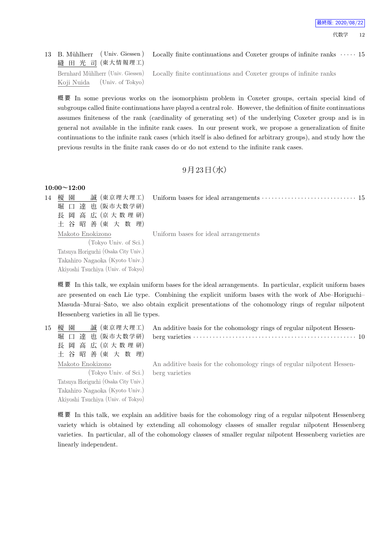## 13 B. Mühlherr ( Univ. Giessen) 縫 田 光 司 (東大情報理工)

Locally finite continuations and Coxeter groups of infinite ranks *· · · · ·* 15

Bernhard Mühlherr (Univ. Giessen) Koji Nuida (Univ. of Tokyo) Locally finite continuations and Coxeter groups of infinite ranks

概 要 In some previous works on the isomorphism problem in Coxeter groups, certain special kind of subgroups called finite continuations have played a central role. However, the definition of finite continuations assumes finiteness of the rank (cardinality of generating set) of the underlying Coxeter group and is in general not available in the infinite rank cases. In our present work, we propose a generalization of finite continuations to the infinite rank cases (which itself is also defined for arbitrary groups), and study how the previous results in the finite rank cases do or do not extend to the infinite rank cases.

## $9$ 月23日 (水)

#### **10:00~12:00**

14 榎 園 誠 (東京理大理工) 堀 口 達 也 (阪市大数学研) 長 岡 高 広 (京 大 数 理 研) 土 谷 昭 善 (東 大 数 理) Uniform bases for ideal arrangements *· · · · · · · · · · · · · · · · · · · · · · · · · · · · ·* 15

Uniform bases for ideal arrangements

Makoto Enokizono (Tokyo Univ. of Sci.) Tatsuya Horiguchi (Osaka City Univ.) Takahiro Nagaoka (Kyoto Univ.) Akiyoshi Tsuchiya (Univ. of Tokyo)

Akiyoshi Tsuchiya (Univ. of Tokyo)

概 要 In this talk, we explain uniform bases for the ideal arrangements. In particular, explicit uniform bases are presented on each Lie type. Combining the explicit uniform bases with the work of Abe–Horiguchi– Masuda–Murai–Sato, we also obtain explicit presentations of the cohomology rings of regular nilpotent Hessenberg varieties in all lie types.

| 15 | 誠 (東京理大理工)<br>榎 園                    | An additive basis for the cohomology rings of regular nilpotent Hessen- |
|----|--------------------------------------|-------------------------------------------------------------------------|
|    | 堀 口 達 也 (阪市大数学研)                     |                                                                         |
|    | 長 岡 高 広 (京大数理研)                      |                                                                         |
|    | 土 谷 昭 善 (東 大 数 理)                    |                                                                         |
|    | Makoto Enokizono                     | An additive basis for the cohomology rings of regular nilpotent Hessen- |
|    | (Tokyo Univ. of Sci.) berg varieties |                                                                         |
|    | Tatsuya Horiguchi (Osaka City Univ.) |                                                                         |
|    | Takahiro Nagaoka (Kyoto Univ.)       |                                                                         |

概 要 In this talk, we explain an additive basis for the cohomology ring of a regular nilpotent Hessenberg variety which is obtained by extending all cohomology classes of smaller regular nilpotent Hessenberg varieties. In particular, all of the cohomology classes of smaller regular nilpotent Hessenberg varieties are linearly independent.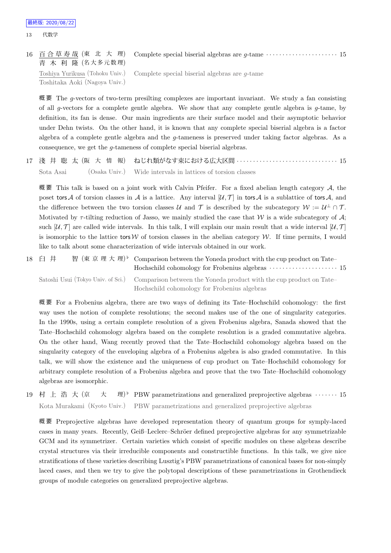16 百 合 草 寿 哉 (東 北 大 理) 青 木 利 隆 (名大多元数理) Complete special biserial algebras are *g*-tame *· · · · · · · · · · · · · · · · · · · · · ·* 15 Toshiya Yurikusa (Tohoku Univ.) Complete special biserial algebras are *g*-tame

Toshitaka Aoki (Nagoya Univ.)

概 要 The *g*-vectors of two-term presilting complexes are important invariant. We study a fan consisting of all *g*-vectors for a complete gentle algebra. We show that any complete gentle algebra is *g*-tame, by definition, its fan is dense. Our main ingredients are their surface model and their asymptotic behavior under Dehn twists. On the other hand, it is known that any complete special biserial algebra is a factor algebra of a complete gentle algebra and the *g*-tameness is preserved under taking factor algebras. As a

17 淺 井 聡 太 (阪 大 情 報) ねじれ類がなす束における広大区間 *· · · · · · · · · · · · · · · · · · · · · · · · · · · · · · ·* 15 Sota Asai (Osaka Univ.) Wide intervals in lattices of torsion classes

consequence, we get the *g*-tameness of complete special biserial algebras.

概 要 This talk is based on a joint work with Calvin Pfeifer. For a fixed abelian length category *A*, the poset tors *A* of torsion classes in *A* is a lattice. Any interval  $[U, \mathcal{T}]$  in tors *A* is a sublattice of tors *A*, and the difference between the two torsion classes *U* and *T* is described by the subcategory  $W := U^{\perp} \cap \mathcal{T}$ . Motivated by  $\tau$ -tilting reduction of Jasso, we mainly studied the case that *W* is a wide subcategory of A; such  $\mathcal{U}, \mathcal{T}$  are called wide intervals. In this talk, I will explain our main result that a wide interval  $\mathcal{U}, \mathcal{T}$ is isomorphic to the lattice tors  $W$  of torsion classes in the abelian category  $W$ . If time permits, I would like to talk about some characterization of wide intervals obtained in our work.

```
18 臼 井   智 (東 京 理 大 理)<sup>♭</sup> Comparison between the Yoneda product with the cup product on Tate–
                                   Hochschild cohomology for Frobenius algebras · · · · · · · · · · · · · · · · · · · · · 15
 Satoshi Usui (Tokyo Univ. of Sci.) Comparison between the Yoneda product with the cup product on Tate–
                                   Hochschild cohomology for Frobenius algebras
```
概 要 For a Frobenius algebra, there are two ways of defining its Tate–Hochschild cohomology: the first way uses the notion of complete resolutions; the second makes use of the one of singularity categories. In the 1990s, using a certain complete resolution of a given Frobenius algebra, Sanada showed that the Tate–Hochschild cohomology algebra based on the complete resolution is a graded commutative algebra. On the other hand, Wang recently proved that the Tate–Hochschild cohomology algebra based on the singularity category of the enveloping algebra of a Frobenius algebra is also graded commutative. In this talk, we will show the existence and the uniqueness of cup product on Tate–Hochschild cohomology for arbitrary complete resolution of a Frobenius algebra and prove that the two Tate–Hochschild cohomology algebras are isomorphic.

19 村 上 浩 大 (京 大 *♭* PBW parametrizations and generalized preprojective algebras *· · · · · · ·* 15 Kota Murakami (Kyoto Univ.) PBW parametrizations and generalized preprojective algebras

概 要 Preprojective algebras have developed representation theory of quantum groups for symply-laced cases in many years. Recently, Geiß–Leclerc–Schröer defined preprojective algebras for any symmetrizable GCM and its symmetrizer. Certain varieties which consist of specific modules on these algebras describe crystal structures via their irreducible components and constructible functions. In this talk, we give nice stratifications of these varieties describing Lusztig's PBW parametrizations of canonical bases for non-simply laced cases, and then we try to give the polytopal descriptions of these parametrizations in Grothendieck groups of module categories on generalized preprojective algebras.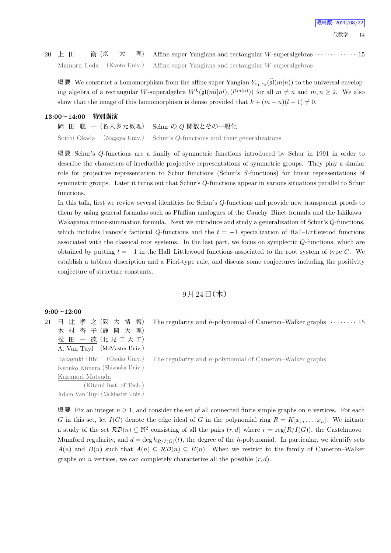20 上 田 衛 (京 大 理) Affine super Yangians and rectangular *W*-superalgebras  $\cdots$  *i* 15 Mamoru Ueda (Kyoto Univ.) Affine super Yangians and rectangular *W*-superalgebras

概 要 We construct a homomorphism from the affine super Yangian  $Y_{\varepsilon_1,\varepsilon_2}(\mathfrak{sl}(m|n))$  to the universal enveloping algebra of a rectangular *W*-superalgebra  $W^k(\mathfrak{gl}(ml|nl), (l^{(m|n)}))$  for all  $m \neq n$  and  $m, n \geq 2$ . We also show that the image of this homomorphism is dense provided that  $k + (m - n)(l - 1) \neq 0$ .

#### **13:00~14:00 特別講演**

|  | 岡 田 聡 一(名大多元数理) Schur の Q 関数とその一般化                                        |
|--|---------------------------------------------------------------------------|
|  | Soichi Okada (Nagoya Univ.) Schur's Q-functions and their generalizations |

概 要 Schur's *Q*-functions are a family of symmetric functions introduced by Schur in 1991 in order to describe the characters of irreducible projective representations of symmetric groups. They play a similar role for projective representation to Schur functions (Schur's *S*-functions) for linear representations of symmetric groups. Later it turns out that Schur's *Q*-functions appear in various situations parallel to Schur functions.

In this talk, first we review several identities for Schur's *Q*-functions and provide new transparent proofs to them by using general formulas such as Pfaffian analogues of the Cauchy–Binet formula and the Ishikawa– Wakayama minor-summation formula. Next we introduce and study a generalization of Schur's *Q*-functions, which includes Ivanov's factorial *Q*-functions and the *t* = *−*1 specialization of Hall–Littlewood functions associated with the classical root systems. In the last part, we focus on symplectic *Q*-functions, which are obtained by putting  $t = -1$  in the Hall–Littlewood functions associated to the root system of type *C*. We establish a tableau description and a Pieri-type rule, and discuss some conjectures including the positivity conjecture of structure constants.

#### $9$ 月 $24$ 日 $($ 木 $)$

#### **9:00~12:00**

21 日 比 孝 之 (阪 大 情 報) 木 村 杏 子 (静 岡 大 理) 松 田 一 徳 (北 見 工 大 工) A. Van Tuyl (McMaster Univ.) Takayuki Hibi (Osaka Univ.) Kyouko Kimura (Shizuoka Univ.) Kazunori Matsuda

> (Kitami Inst. of Tech.) Adam Van Tuyl (McMaster Univ.)

The regularity and *h*-polynomial of Cameron–Walker graphs  $\cdots$   $\cdots$  15

The regularity and *h*-polynomial of Cameron–Walker graphs

概要 Fix an integer  $n \geq 1$ , and consider the set of all connected finite simple graphs on *n* vertices. For each *G* in this set, let  $I(G)$  denote the edge ideal of *G* in the polynomial ring  $R = K[x_1, \ldots, x_n]$ . We initiate a study of the set  $\mathcal{RD}(n) \subseteq \mathbb{N}^2$  consisting of all the pairs  $(r, d)$  where  $r = \text{reg}(R/I(G))$ , the Castelnuovo– Mumford regularity, and  $d = \deg h_{R/I(G)}(t)$ , the degree of the *h*-polynomial. In particular, we identify sets  $A(n)$  and  $B(n)$  such that  $A(n) \subseteq \mathcal{RD}(n) \subseteq B(n)$ . When we restrict to the family of Cameron–Walker graphs on *n* vertices, we can completely characterize all the possible  $(r, d)$ .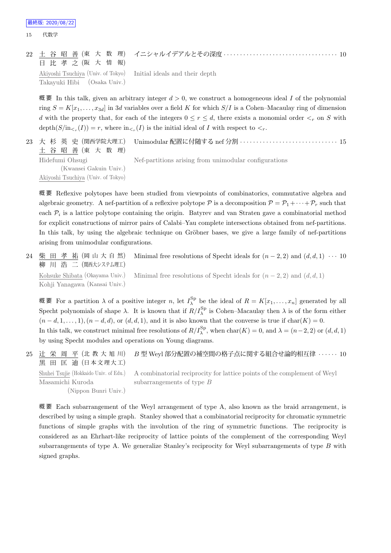#### 22 土 谷 昭 善 (東 大 数 理) 日 比 孝 之 (阪 大 情 報) イニシャルイデアルとその深度 *· · · · · · · · · · · · · · · · · · · · · · · · · · · · · · · · · · ·* 10 Akiyoshi Tsuchiya (Univ. of Tokyo) Takayuki Hibi (Osaka Univ.) Initial ideals and their depth

概要 In this talk, given an arbitrary integer  $d > 0$ , we construct a homogeneous ideal *I* of the polynomial ring  $S = K[x_1, \ldots, x_{3d}]$  in 3*d* variables over a field K for which  $S/I$  is a Cohen–Macaulay ring of dimension *d* with the property that, for each of the integers  $0 \le r \le d$ , there exists a monomial order  $\lt_r$  on *S* with depth $(S/\text{in}_{\leq r}(I)) = r$ , where  $\text{in}_{\leq r}(I)$  is the initial ideal of *I* with respect to  $\leq_r$ .

23 大 杉 英 史 (関西学院大理工) 土 谷 昭 善 (東 大 数 理) Unimodular 配置に付随する nef 分割 *· · · · · · · · · · · · · · · · · · · · · · · · · · · · · ·* 15 Hidefumi Ohsugi (Kwansei Gakuin Univ.) Akiyoshi Tsuchiya (Univ. of Tokyo) Nef-partitions arising from unimodular configurations

概 要 Reflexive polytopes have been studied from viewpoints of combinatorics, commutative algebra and algebraic geometry. A nef-partition of a reflexive polytope  $P$  is a decomposition  $P = P_1 + \cdots + P_r$  such that each *P<sup>i</sup>* is a lattice polytope containing the origin. Batyrev and van Straten gave a combinatorial method for explicit constructions of mirror pairs of Calabi–Yau complete intersections obtained from nef-partitions. In this talk, by using the algebraic technique on Gröbner bases, we give a large family of nef-partitions arising from unimodular configurations.

24 柴 田 孝 祐 (岡山大自然) 柳 川 浩 二 (関西大システム理工) Minimal free resolutions of Specht ideals for  $(n-2, 2)$  and  $(d, d, 1) \cdots 10$ Kohsuke Shibata (Okayama Univ.) Kohji Yanagawa (Kansai Univ.) Minimal free resolutions of Specht ideals for  $(n-2, 2)$  and  $(d, d, 1)$ 

概要 For a partition  $λ$  of a positive integer *n*, let  $I_{λ}^{Sp}$  be the ideal of  $R = K[x_1, \ldots, x_n]$  generated by all Specht polynomials of shape  $\lambda$ . It is known that if  $R/I_{\lambda}^{\text{Sp}}$  is Cohen–Macaulay then  $\lambda$  is of the form either  $(n-d,1,\ldots,1), (n-d,d),$  or  $(d,d,1)$ , and it is also known that the converse is true if char $(K)=0$ . In this talk, we construct minimal free resolutions of  $R/I_\lambda^{\text{Sp}}$ , when  $\text{char}(K) = 0$ , and  $\lambda = (n-2, 2)$  or  $(d, d, 1)$ by using Specht modules and operations on Young diagrams.

25 辻 栄 周 平 (北 教 大 旭 川) 黒 田 匡 迪 (日本文理大工) *B* 型 Weyl 部分配置の補空間の格子点に関する組合せ論的相互律 *· · · · · ·* 10 Shuhei Tsujie (Hokkaido Univ. of Edu.) Masamichi Kuroda (Nippon Bunri Univ.) A combinatorial reciprocity for lattice points of the complement of Weyl subarrangements of type *B*

概 要 Each subarrangement of the Weyl arrangement of type A, also known as the braid arrangement, is described by using a simple graph. Stanley showed that a combinatorial reciprocity for chromatic symmetric functions of simple graphs with the involution of the ring of symmetric functions. The reciprocity is considered as an Ehrhart-like reciprocity of lattice points of the complement of the corresponding Weyl subarrangements of type A. We generalize Stanley's reciprocity for Weyl subarrangements of type *B* with signed graphs.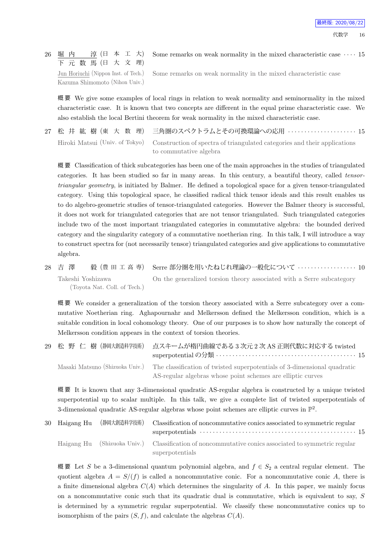#### 26 堀 内 淳 (日 本 工 大) 下 元 数 馬 (日 大 文 理) Some remarks on weak normality in the mixed characteristic case *· · · ·* 15

Jun Horiuchi (Nippon Inst. of Tech.) Kazuma Shimomoto (Nihon Univ.) Some remarks on weak normality in the mixed characteristic case

概 要 We give some examples of local rings in relation to weak normality and seminormality in the mixed characteristic case. It is known that two concepts are different in the equal prime characteristic case. We also establish the local Bertini theorem for weak normality in the mixed characteristic case.

|  | 27 松 井 紘 樹(東 大 数 理) 三角圏のスペクトラムとその可換環論への応用 ‥‥‥‥‥‥‥‥‥‥‥‥ 15                                                |
|--|----------------------------------------------------------------------------------------------------------|
|  | Hiroki Matsui (Univ. of Tokyo) Construction of spectra of triangulated categories and their applications |
|  | to commutative algebra                                                                                   |

概 要 Classification of thick subcategories has been one of the main approaches in the studies of triangulated categories. It has been studied so far in many areas. In this century, a beautiful theory, called *tensortriangular geometry*, is initiated by Balmer. He defined a topological space for a given tensor-triangulated category. Using this topological space, he classified radical thick tensor ideals and this result enables us to do algebro-geometric studies of tensor-triangulated categories. However the Balmer theory is successful, it does not work for triangulated categories that are not tensor triangulated. Such triangulated categories include two of the most important triangulated categories in commutative algebra: the bounded derived category and the singularity category of a commutative noetherian ring. In this talk, I will introduce a way to construct spectra for (not necessarily tensor) triangulated categories and give applications to commutative algebra.

28 吉 澤 毅 (豊 田 工 高 専) Serre 部分圏を用いたねじれ理論の一般化について *· · · · · · · · · · · · · · · · · ·* 10 Takeshi Yoshizawa (Toyota Nat. Coll. of Tech.) On the generalized torsion theory associated with a Serre subcategory

概 要 We consider a generalization of the torsion theory associated with a Serre subcategory over a commutative Noetherian ring. Aghapournahr and Melkersson defined the Melkersson condition, which is a suitable condition in local cohomology theory. One of our purposes is to show how naturally the concept of Melkersson condition appears in the context of torsion theories.

29 松 野 仁 樹 (静岡大創造科学技術) 点スキームが楕円曲線である 3 次元 2 次 AS 正則代数に対応する twisted superpotential の分類 *· · · · · · · · · · · · · · · · · · · · · · · · · · · · · · · · · · · · · · · · · · ·* 15 Masaki Matsuno (Shizuoka Univ.) The classification of twisted superpotentials of 3-dimensional quadratic AS-regular algebras whose point schemes are elliptic curves

概 要 It is known that any 3-dimensional quadratic AS-regular algebra is constructed by a unique twisted superpotential up to scalar multiple. In this talk, we give a complete list of twisted superpotentials of 3-dimensional quadratic AS-regular algebras whose point schemes are elliptic curves in  $\mathbb{P}^2$ .

| 30 Haigang Hu | (静岡大創造科学技術) Classification of noncommutative conics associated to symmetric regular                 |
|---------------|-----------------------------------------------------------------------------------------------------|
|               | Haigang Hu (Shizuoka Univ.) Classification of noncommutative conics associated to symmetric regular |
|               | superpotentials                                                                                     |

概 要 Let *S* be a 3-dimensional quantum polynomial algebra, and  $f$  ∈  $S_2$  a central regular element. The quotient algebra  $A = S/(f)$  is called a noncommutative conic. For a noncommutative conic A, there is a finite dimensional algebra  $C(A)$  which determines the singularity of A. In this paper, we mainly focus on a noncommutative conic such that its quadratic dual is commutative, which is equivalent to say, *S* is determined by a symmetric regular superpotential. We classify these noncommutative conics up to isomorphism of the pairs  $(S, f)$ , and calculate the algebras  $C(A)$ .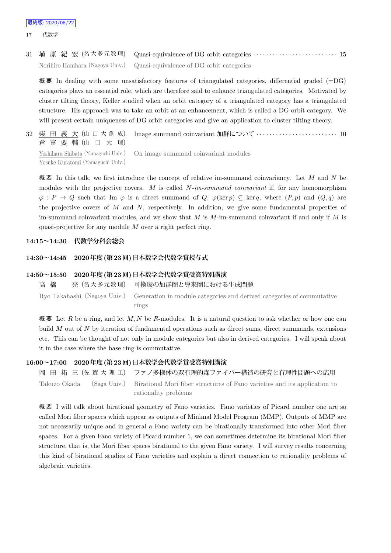31 埴 原 紀 宏 (名 大 多 元 数 理) Quasi-equivalence of DG orbit categories *· · · · · · · · · · · · · · · · · · · · · · · · · ·* 15 Norihiro Hanihara (Nagoya Univ.) Quasi-equivalence of DG orbit categories

概要 In dealing with some unsatisfactory features of triangulated categories, differential graded  $(=D)$ categories plays an essential role, which are therefore said to enhance triangulated categories. Motivated by cluster tilting theory, Keller studied when an orbit category of a triangulated category has a triangulated structure. His approach was to take an orbit at an enhancement, which is called a DG orbit category. We will present certain uniqueness of DG orbit categories and give an application to cluster tilting theory.

32 柴 田 義 大 (山 口 大 創 成) 倉 富 要 輔 (山 口 大 理) Image summand coinvariant 加群について *· · · · · · · · · · · · · · · · · · · · · · · · ·* 10 Yoshiharu Shibata (Yamaguchi Univ.) Yosuke Kuratomi (Yamaguchi Univ.) On image summand coinvariant modules

概 要 In this talk, we first introduce the concept of relative im-summand coinvariancy. Let *M* and *N* be modules with the projective covers. *M* is called *N-im-summand coinvariant* if, for any homomorphism  $\varphi$ : *P*  $\rightarrow$  *Q* such that Im  $\varphi$  is a direct summand of *Q*,  $\varphi$ (ker *p*)  $\subseteq$  ker *q*, where  $(P, p)$  and  $(Q, q)$  are the projective covers of *M* and *N*, respectively. In addition, we give some fundamental properties of im-summand coinvariant modules, and we show that *M* is *M*-im-summand coinvariant if and only if *M* is quasi-projective for any module *M* over a right perfect ring.

#### **14:15~14:30 代数学分科会総会**

#### **14:30~14:45 2020年度(第23回)日本数学会代数学賞授与式**

#### **14:50~15:50 2020年度(第23回)日本数学会代数学賞受賞特別講演**

高 橋 亮 (名 大 多 元 数 理) 可換環の加群圏と導来圏における生成問題

Ryo Takahashi (Nagoya Univ.) Generation in module categories and derived categories of commutative rings

概 要 Let  $R$  be a ring, and let  $M, N$  be  $R$ -modules. It is a natural question to ask whether or how one can build *M* out of *N* by iteration of fundamental operations such as direct sums, direct summands, extensions etc. This can be thought of not only in module categories but also in derived categories. I will speak about it in the case where the base ring is commutative.

#### **16:00~17:00 2020年度(第23回)日本数学会代数学賞受賞特別講演**

岡 田 拓 三 (佐 賀 大 理 工) ファノ多様体の双有理的森ファイバー構造の研究と有理性問題への応用 Takuzo Okada (Saga Univ.) Birational Mori fiber structures of Fano varieties and its application to rationality problems

概 要 I will talk about birational geometry of Fano varieties. Fano varieties of Picard number one are so called Mori fiber spaces which appear as outputs of Minimal Model Program (MMP). Outputs of MMP are not necessarily unique and in general a Fano variety can be birationally transformed into other Mori fiber spaces. For a given Fano variety of Picard number 1, we can sometimes determine its birational Mori fiber structure, that is, the Mori fiber spaces birational to the given Fano variety. I will survey results concerning this kind of birational studies of Fano varieties and explain a direct connection to rationality problems of algebraic varieties.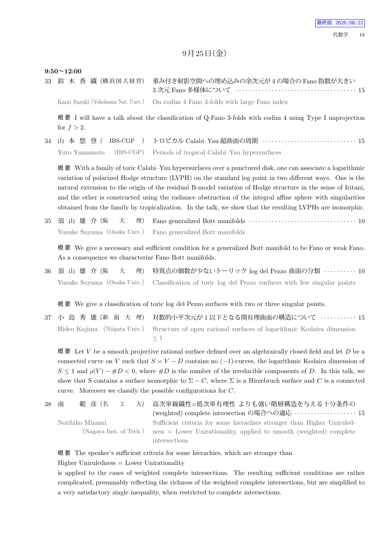#### $9$ 月 $25$ 日(金)

#### **9:50~12:00**

33 鈴 木 香 織 (横浜国大経営) 重み付き射影空間への埋め込みの余次元が4の場合の Fano 指数が大きい 3 次元 Fano 多様体について *· · · · · · · · · · · · · · · · · · · · · · · · · · · · · · · · · · · · ·* 15

Kaori Suzuki (Yokohama Nat. Univ.) On codim 4 Fano 3-folds with large Fano index

概要 I will have a talk about the classification of Q-Fano 3-folds with codim 4 using Type I unprojection for  $f > 2$ .

34 山 本 悠 登 ( IBS-CGP ) トロピカル Calabi–Yau 超曲面の周期 *· · · · · · · · · · · · · · · · · · · · · · · · · · · · ·* 15 Yuto Yamamoto (IBS-CGP) Periods of tropical Calabi–Yau hypersurfaces

概 要 With a family of toric Calabi–Yau hypersurfaces over a punctured disk, one can associate a logarithmic variation of polarized Hodge structure (LVPH) on the standard log point in two different ways. One is the natural extension to the origin of the residual B-model variation of Hodge structure in the sense of Iritani, and the other is constructed using the radiance obstruction of the integral affine sphere with singularities obtained from the family by tropicalization. In the talk, we show that the resulting LVPHs are isomorphic.

35 須 山 雄 介 (阪 大 理) Fano generalized Bott manifolds *· · · · · · · · · · · · · · · · · · · · · · · · · · · · · · · · ·* 10 Yusuke Suyama (Osaka Univ.) Fano generalized Bott manifolds

概 要 We give a necessary and sufficient condition for a generalized Bott manifold to be Fano or weak Fano. As a consequence we characterize Fano Bott manifolds.

36 須 山 雄 介 (阪 大 理) 特異点の個数が少ないトーリック log del Pezzo 曲面の分類 *· · · · · · · · · ·* 10 Yusuke Suyama (Osaka Univ.) Classification of toric log del Pezzo surfaces with few singular points

概 要 We give a classification of toric log del Pezzo surfaces with two or three singular points.

37 小 島 秀 雄 (新 潟 大 理) 対数的小平次元が 1 以下となる開有理曲面の構造について *· · · · · · · · · · ·* 15 Hideo Kojima (Niigata Univ.) Structure of open rational surfaces of logarithmic Kodaira dimension *≤* 1

概 要 Let *V* be a smooth projective rational surface defined over an algebraically closed field and let *D* be a connected curve on *V* such that  $S = V - D$  contains no (-1)-curves, the logarithmic Kodaira dimension of  $S \leq 1$  and  $\rho(V) - \#D < 0$ , where  $\#D$  is the number of the irreducible components of *D*. In this talk, we show that S contains a surface isomorphic to  $\Sigma - C$ , where  $\Sigma$  is a Hirzebruch surface and *C* is a connected curve. Moreover we classify the possible configurations for *C*.

38 南 範 彦 (名 工 大) 高次単線織性=低次単有理性 よりも強い階層構造を与える十分条件の (weighted) complete intersection の場合への適応 *· · · · · · · · · · · · · · · · · · ·* 15 Norihiko Minami (Nagoya Inst. of Tech.) Sufficient criteria for some hierachies stronger than Higher Uniruledness = Lower Unirationality, applied to smooth (weighted) complete intersections

概 要 The speaker's sufficient criteria for some hierachies, which are stronger than

 $Higher$  Uniruledness  $=$  Lower Unirationality

is applied to the cases of weighted complete intersections. The resulting sufficient conditions are rather complicated, presumably reflecting the richness of the weighted complete intersections, but are simplified to a very satisfactory single inequality, when restricted to complete intersections.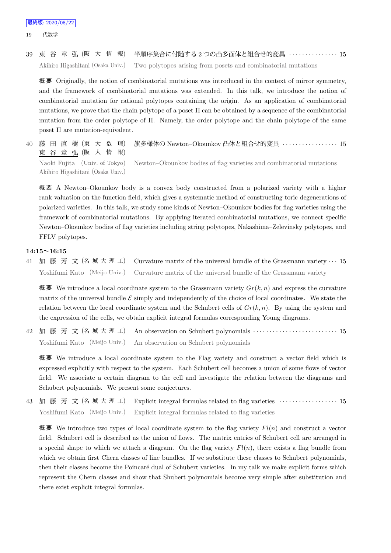### 39 東 谷 章 弘 (阪 大 情 報) 半順序集合に付随する 2 つの凸多面体と組合せ的変異 *· · · · · · · · · · · · · · ·* 15 Akihiro Higashitani (Osaka Univ.) Two polytopes arising from posets and combinatorial mutations

概 要 Originally, the notion of combinatorial mutations was introduced in the context of mirror symmetry, and the framework of combinatorial mutations was extended. In this talk, we introduce the notion of combinatorial mutation for rational polytopes containing the origin. As an application of combinatorial mutations, we prove that the chain polytope of a poset  $\Pi$  can be obtained by a sequence of the combinatorial mutation from the order polytope of Π. Namely, the order polytope and the chain polytope of the same poset Π are mutation-equivalent.

40 藤 田 直 樹 (東 大 数 理) 東 谷 章 弘 (阪 大 情 報) 旗多様体の Newton–Okounkov 凸体と組合せ的変異 *· · · · · · · · · · · · · · · · ·* 15 Naoki Fujita (Univ. of Tokyo) Akihiro Higashitani (Osaka Univ.) Newton–Okounkov bodies of flag varieties and combinatorial mutations

概 要 A Newton–Okounkov body is a convex body constructed from a polarized variety with a higher rank valuation on the function field, which gives a systematic method of constructing toric degenerations of polarized varieties. In this talk, we study some kinds of Newton–Okounkov bodies for flag varieties using the framework of combinatorial mutations. By applying iterated combinatorial mutations, we connect specific Newton–Okounkov bodies of flag varieties including string polytopes, Nakashima–Zelevinsky polytopes, and FFLV polytopes.

#### **14:15~16:15**

41 加 藤 芳 文 (名 城 大 理 工) Curvature matrix of the universal bundle of the Grassmann variety *· · ·* 15 Yoshifumi Kato (Meijo Univ.) Curvature matrix of the universal bundle of the Grassmann variety

概 要 We introduce a local coordinate system to the Grassmann variety  $Gr(k, n)$  and express the curvature matrix of the universal bundle  $\mathcal E$  simply and independently of the choice of local coordinates. We state the relation between the local coordinate system and the Schubert cells of  $Gr(k, n)$ . By using the system and the expression of the cells, we obtain explicit integral formulas corresponding Young diagrams.

42 加 藤 芳 文 (名 城 大 理 工) An observation on Schubert polynomials *· · · · · · · · · · · · · · · · · · · · · · · · · ·* 15 Yoshifumi Kato (Meijo Univ.) An observation on Schubert polynomials

概 要 We introduce a local coordinate system to the Flag variety and construct a vector field which is expressed explicitly with respect to the system. Each Schubert cell becomes a union of some flows of vector field. We associate a certain diagram to the cell and investigate the relation between the diagrams and Schubert polynomials. We present some conjectures.

43 加 藤 芳 文 (名 城 大 理 工) Explicit integral formulas related to flag varieties *· · · · · · · · · · · · · · · · · ·* 15 Yoshifumi Kato (Meijo Univ.) Explicit integral formulas related to flag varieties

概 要 We introduce two types of local coordinate system to the flag variety *Fl*(*n*) and construct a vector field. Schubert cell is described as the union of flows. The matrix entries of Schubert cell are arranged in a special shape to which we attach a diagram. On the flag variety  $Fl(n)$ , there exists a flag bundle from which we obtain first Chern classes of line bundles. If we substitute these classes to Schubert polynomials, then their classes become the Poincaré dual of Schubert varieties. In my talk we make explicit forms which represent the Chern classes and show that Shubert polynomials become very simple after substitution and there exist explicit integral formulas.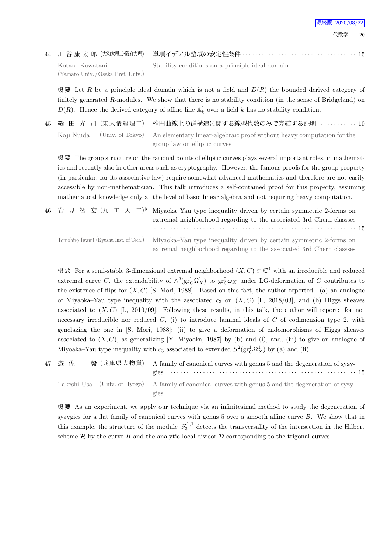代数学 20

44 川 谷 康 太 郎 (大和大理工・阪府大理) 単項イデアル整域の安定性条件 *· · · · · · · · · · · · · · · · · · · · · · · · · · · · · · · · · · ·* 15 Kotaro Kawatani (Yamato Univ. /Osaka Pref. Univ.)

Stability conditions on a principle ideal domain

概要 Let *R* be a principle ideal domain which is not a field and  $D(R)$  the bounded derived category of finitely generated R-modules. We show that there is no stability condition (in the sense of Bridgeland) on  $D(R)$ . Hence the derived category of affine line  $\mathbb{A}^1_k$  over a field *k* has no stability condition.

45 縫 田 光 司 (東 大 情 報 理 工) 楕円曲線上の群構造に関する線型代数のみで完結する証明 *· · · · · · · · · · ·* 10 Koji Nuida (Univ. of Tokyo) An elementary linear-algebraic proof without heavy computation for the group law on elliptic curves

概 要 The group structure on the rational points of elliptic curves plays several important roles, in mathematics and recently also in other areas such as cryptography. However, the famous proofs for the group property (in particular, for its associative law) require somewhat advanced mathematics and therefore are not easily accessible by non-mathematician. This talk introduces a self-contained proof for this property, assuming mathematical knowledge only at the level of basic linear algebra and not requiring heavy computation.

|  | 46 岩見智宏 $(\hbar \pm \pm \pm \pm)$ Miyaoka–Yau type inequality driven by certain symmetric 2-forms on<br>extremal neighborhood regarding to the associated 3rd Chern classes      |
|--|----------------------------------------------------------------------------------------------------------------------------------------------------------------------------------|
|  | Tomohiro Iwami (Kyushu Inst. of Tech.) Miyaoka-Yau type inequality driven by certain symmetric 2-forms on<br>extremal neighborhood regarding to the associated 3rd Chern classes |

概要 For a semi-stable 3-dimensional extremal neighborhood  $(X, C) \subset \mathbb{C}^4$  with an irreducible and reduced extremal curve *C*, the extendability of  $\wedge^2(\text{gr}_C^1\Omega_X^1)$  to  $\text{gr}_C^0\omega_X$  under LG-deformation of *C* contributes to the existence of flips for  $(X, C)$  [S. Mori, 1988]. Based on this fact, the author reported: (a) an analogue of Miyaoka–Yau type inequality with the associated  $c_3$  on  $(X, C)$  [I., 2018/03], and (b) Higgs sheaves associated to (*X, C*) [I., 2019/09]. Following these results, in this talk, the author will report: for not necessary irreducible nor reduced *C*, (i) to introduce laminal ideals of *C* of codimension type 2, with genelazing the one in [S. Mori, 1988]; (ii) to give a deformation of endomorphisms of Higgs sheaves associated to  $(X, C)$ , as generalizing [Y. Miyaoka, 1987] by (b) and (i), and; (iii) to give an analogue of Miyoaka–Yau type inequality with  $c_3$  associated to extended  $S^2(\text{gr}_C^1\Omega_X^1)$  by (a) and (ii).

| 47 遊 佐 |  | 毅 (兵庫県大物質) A family of canonical curves with genus 5 and the degeneration of syzy-                   |
|--------|--|------------------------------------------------------------------------------------------------------|
|        |  |                                                                                                      |
|        |  | Takeshi Usa (Univ. of Hyogo) A family of canonical curves with genus 5 and the degeneration of syzy- |
|        |  | gies                                                                                                 |

概 要 As an experiment, we apply our technique via an infinitesimal method to study the degeneration of syzygies for a flat family of canonical curves with genus 5 over a smooth affine curve *B*. We show that in this example, the structure of the module  $\mathcal{T}_3^{1,1}$  detects the transversality of the intersection in the Hilbert scheme  $\mathcal H$  by the curve *B* and the analytic local divisor  $\mathcal D$  corresponding to the trigonal curves.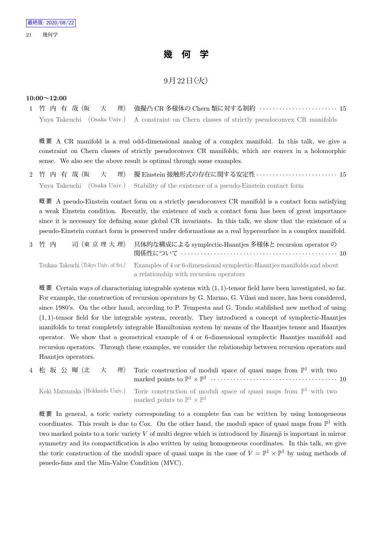## **幾 何 学**

### $9$ 月 $22$ 日 $(\gamma)$

#### **10:00~12:00**

1 竹 内 有 哉 (阪 大 理) 強擬凸 CR 多様体の Chern 類に対する制約 *· · · · · · · · · · · · · · · · · · · · · · · ·* 15 Yuya Takeuchi (Osaka Univ.) A constraint on Chern classes of strictly pseudoconvex CR manifolds

概 要 A CR manifold is a real odd-dimensional analog of a complex manifold. In this talk, we give a constraint on Chern classes of strictly pseudoconvex CR manifolds, which are convex in a holomorphic sense. We also see the above result is optimal through some examples.

2 竹 内 有 哉 (阪 大 理) 擬 Einstein 接触形式の存在に関する安定性 *· · · · · · · · · · · · · · · · · · · · · · · · ·* 15 Yuya Takeuchi (Osaka Univ.) Stability of the existence of a pseudo-Einstein contact form

概 要 A pseudo-Einstein contact form on a strictly pseudoconvex CR manifold is a contact form satisfying a weak Einstein condition. Recently, the existence of such a contact form has been of great importance since it is necessary for defining some global CR invariants. In this talk, we show that the existence of a pseudo-Einstein contact form is preserved under deformations as a real hypersurface in a complex manifold.

| 3 竹 内 | 司(東 京 理 大 理) 具体的な構成による symplectic-Haantjes 多様体と recursion operator の                                          |  |
|-------|---------------------------------------------------------------------------------------------------------------|--|
|       | Tsukasa Takeuchi (Tokyo Univ. of Sci.) Examples of 4 or 6-dimensional symplectic-Haantjes manifolds and about |  |
|       | a relationship with recursion operators                                                                       |  |

概 要 Certain ways of characterizing integrable systems with (1*,* 1)-tensor field have been investigated, so far. For example, the construction of recursion operators by G. Marmo, G. Vilasi and more, has been considered, since 1980's. On the other hand, according to P. Tempesta and G. Tondo stablished new method of using (1*,* 1)-tensor field for the integrable system, recently. They introduced a concept of symplectic-Haantjes manifolds to treat completely integrable Hamiltonian system by means of the Haantjes tensor and Haantjes operator. We show that a geometrical example of 4 or 6-dimensional symplectic Haantjes manifold and recursion operators. Through these examples, we consider the relationship between recursion operators and Haantjes operators.

4 松 坂 公 暉 (北 大 理) Toric construction of moduli space of quasi maps from  $\mathbb{P}^1$  with two marked points to  $\mathbb{P}^1 \times \mathbb{P}^1$   $\cdots$   $\cdots$   $\cdots$   $\cdots$   $\cdots$   $\cdots$   $\cdots$   $\cdots$   $\cdots$   $\cdots$   $\cdots$   $\cdots$   $\cdots$ Koki Matsuzaka (Hokkaido Univ.) Toric construction of moduli space of quasi maps from  $\mathbb{P}^1$  with two marked points to  $\mathbb{P}^1 \times \mathbb{P}^1$ 

概 要 In general, a toric variety corresponding to a complete fan can be written by using homogeneous coordinates. This result is due to Cox. On the other hand, the moduli space of quasi maps from  $\mathbb{P}^1$  with two marked points to a toric variety *V* of multi degree which is introduced by Jinzenji is important in mirror symmetry and its compactification is also written by using homogeneous coordinates. In this talk, we give the toric construction of the moduli space of quasi maps in the case of  $V = \mathbb{P}^1 \times \mathbb{P}^1$  by using methods of psuedo-fans and the Min-Value Condition (MVC).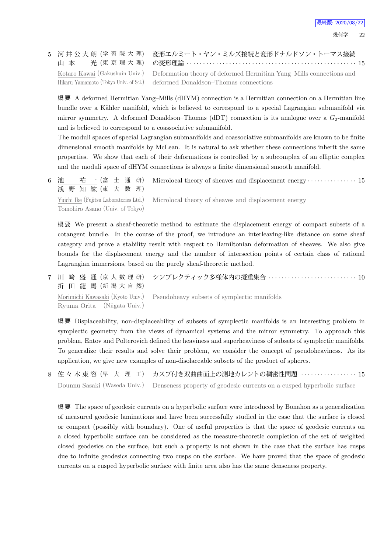|  | 5 河井公大朗 (学習院大理) 変形エルミート・ヤン・ミルズ接続と変形ドナルドソン・トーマス接続                                                   |
|--|----------------------------------------------------------------------------------------------------|
|  | Kotaro Kawai (Gakushuin Univ.) Deformation theory of deformed Hermitian Yang–Mills connections and |
|  | Hikaru Yamamoto (Tokyo Univ. of Sci.) deformed Donaldson-Thomas connections                        |

概 要 A deformed Hermitian Yang–Mills (dHYM) connection is a Hermitian connection on a Hermitian line bundle over a Kähler manifold, which is believed to correspond to a special Lagrangian submanifold via mirror symmetry. A deformed Donaldson–Thomas (dDT) connection is its analogue over a  $G_2$ -manifold and is believed to correspond to a coassociative submanifold.

The moduli spaces of special Lagrangian submanifolds and coassociative submanifolds are known to be finite dimensional smooth manifolds by McLean. It is natural to ask whether these connections inherit the same properties. We show that each of their deformations is controlled by a subcomplex of an elliptic complex and the moduli space of dHYM connections is always a finite dimensional smooth manifold.

6 池 祐 一 (富 士 通 研) 浅 野 知 紘 (東 大 数 理) Microlocal theory of sheaves and displacement energy *· · · · · · · · · · · · · · ·* 15

Yuichi Ike (Fujitsu Laboratories Ltd.) Tomohiro Asano (Univ. of Tokyo) Microlocal theory of sheaves and displacement energy

概 要 We present a sheaf-theoretic method to estimate the displacement energy of compact subsets of a cotangent bundle. In the course of the proof, we introduce an interleaving-like distance on some sheaf category and prove a stability result with respect to Hamiltonian deformation of sheaves. We also give bounds for the displacement energy and the number of intersection points of certain class of rational Lagrangian immersions, based on the purely sheaf-theoretic method.

7 川 﨑 盛 通 (京 大 数 理 研) 折 田 龍 馬 (新 潟 大 自 然) シンプレクティック多様体内の擬重集合 *· · · · · · · · · · · · · · · · · · · · · · · · · · ·* 10 Morimichi Kawasaki (Kyoto Univ.) Ryuma Orita (Niigata Univ.) Pseudoheavy subsets of symplectic manifolds

概 要 Displaceability, non-displaceability of subsets of symplectic manifolds is an interesting problem in symplectic geometry from the views of dynamical systems and the mirror symmetry. To approach this problem, Entov and Polterovich defined the heaviness and superheaviness of subsets of symplectic manifolds. To generalize their results and solve their problem, we consider the concept of pseudoheaviness. As its application, we give new examples of non-disolaceable subsets of the product of spheres.

8 佐 々 木 東 容 (早 大 理 工) カスプ付き双曲曲面上の測地カレントの稠密性問題 *· · · · · · · · · · · · · · · · ·* 15 Dounnu Sasaki (Waseda Univ.) Denseness property of geodesic currents on a cusped hyperbolic surface

概 要 The space of geodesic currents on a hyperbolic surface were introduced by Bonahon as a generalization of measured geodesic laminations and have been successfully studied in the case that the surface is closed or compact (possibly with boundary). One of useful properties is that the space of geodesic currents on a closed hyperbolic surface can be considered as the measure-theoretic completion of the set of weighted closed geodesics on the surface, but such a property is not shown in the case that the surface has cusps due to infinite geodesics connecting two cusps on the surface. We have proved that the space of geodesic currents on a cusped hyperbolic surface with finite area also has the same denseness property.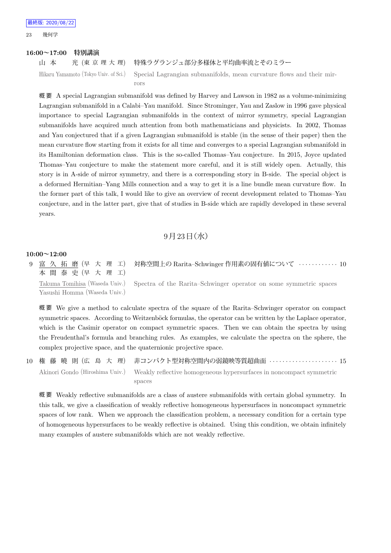#### **16:00~17:00 特別講演**

#### 山 本 光 (東京理大理) 特殊ラグランジュ部分多様体と平均曲率流とそのミラー

Hikaru Yamamoto (Tokyo Univ. of Sci.) Special Lagrangian submanifolds, mean curvature flows and their mirrors

概 要 A special Lagrangian submanifold was defined by Harvey and Lawson in 1982 as a volume-minimizing Lagrangian submanifold in a Calabi–Yau manifold. Since Strominger, Yau and Zaslow in 1996 gave physical importance to special Lagrangian submanifolds in the context of mirror symmetry, special Lagrangian submanifolds have acquired much attention from both mathematicians and physicists. In 2002, Thomas and Yau conjectured that if a given Lagrangian submanifold is stable (in the sense of their paper) then the mean curvature flow starting from it exists for all time and converges to a special Lagrangian submanifold in its Hamiltonian deformation class. This is the so-called Thomas–Yau conjecture. In 2015, Joyce updated Thomas–Yau conjecture to make the statement more careful, and it is still widely open. Actually, this story is in A-side of mirror symmetry, and there is a corresponding story in B-side. The special object is a deformed Hermitian–Yang Mills connection and a way to get it is a line bundle mean curvature flow. In the former part of this talk, I would like to give an overview of recent development related to Thomas–Yau conjecture, and in the latter part, give that of studies in B-side which are rapidly developed in these several years.

#### 9月23日 (水)

#### **10:00~12:00**

9 富 久 拓 磨 (早 大 理 工) 本 間 泰 史 (早 大 理 工) 対称空間上の Rarita–Schwinger 作用素の固有値について *· · · · · · · · · · · ·* 10 Takuma Tomihisa (Waseda Univ.) Yasushi Homma (Waseda Univ.) Spectra of the Rarita–Schwinger operator on some symmetric spaces

概 要 We give a method to calculate spectra of the square of the Rarita–Schwinger operator on compact symmetric spaces. According to Weitzenböck formulas, the operator can be written by the Laplace operator, which is the Casimir operator on compact symmetric spaces. Then we can obtain the spectra by using the Freudenthal's formula and branching rules. As examples, we calculate the spectra on the sphere, the complex projective space, and the quaternionic projective space.

10 権 藤 曉 則 (広 島 大 理) 非コンパクト型対称空間内の弱鏡映等質超曲面 *· · · · · · · · · · · · · · · · · · · · ·* 15 Akinori Gondo (Hiroshima Univ.) Weakly reflective homogeneous hypersurfaces in noncompact symmetric spaces

概 要 Weakly reflective submanifolds are a class of austere submanifolds with certain global symmetry. In this talk, we give a classification of weakly reflective homogeneous hypersurfaces in noncompact symmetric spaces of low rank. When we approach the classification problem, a necessary condition for a certain type of homogeneous hypersurfaces to be weakly reflective is obtained. Using this condition, we obtain infinitely many examples of austere submanifolds which are not weakly reflective.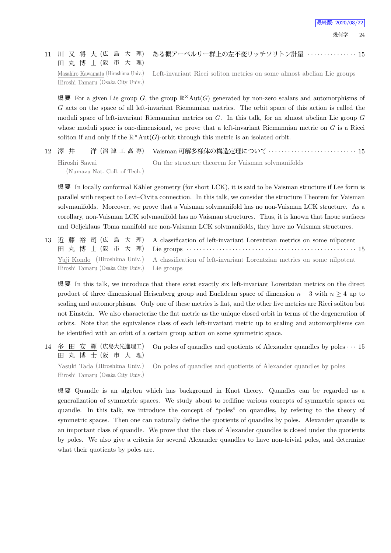#### 11 川 又 将 大 (広 島 大 理) 田 丸 博 士 (阪 市 大 理) ある概アーベルリー群上の左不変リッチソリトン計量 *· · · · · · · · · · · · · · ·* 15

Masahiro Kawamata (Hiroshima Univ.) Hiroshi Tamaru (Osaka City Univ.)

Left-invariant Ricci soliton metrics on some almost abelian Lie groups

概 要 For a given Lie group *G*, the group R *×*Aut(*G*) generated by non-zero scalars and automorphisms of *G* acts on the space of all left-invariant Riemannian metrics. The orbit space of this action is called the moduli space of left-invariant Riemannian metrics on *G*. In this talk, for an almost abelian Lie group *G* whose moduli space is one-dimensional, we prove that a left-invariant Riemannian metric on *G* is a Ricci soliton if and only if the  $\mathbb{R}^{\times}$ Aut $(G)$ -orbit through this metric is an isolated orbit.

12 澤 井 洋 (沼 津 工 高 専) Vaisman 可解多様体の構造定理について *· · · · · · · · · · · · · · · · · · · · · · · · · · ·* 15 Hiroshi Sawai (Numazu Nat. Coll. of Tech.) On the structure theorem for Vaisman solvmanifolds

概要 In locally conformal Kähler geometry (for short LCK), it is said to be Vaisman structure if Lee form is parallel with respect to Levi–Civita connection. In this talk, we consider the structure Theorem for Vaisman solvmanifolds. Moreover, we prove that a Vaisman solvmanifold has no non-Vaisman LCK structure. As a corollary, non-Vaisman LCK solvmanifold has no Vaisman structures. Thus, it is known that Inoue surfaces and Oeljeklaus–Toma manifold are non-Vaisman LCK solvmanifolds, they have no Vaisman structures.

13 近 藤 裕 司 (広 島 大 理) 田 丸 博 士 (阪 市 大 理) A classification of left-invariant Lorentzian metrics on some nilpotent Lie groups *· · · · · · · · · · · · · · · · · · · · · · · · · · · · · · · · · · · · · · · · · · · · · · · · · · · ·* 15 Yuji Kondo (Hiroshima Univ.) Hiroshi Tamaru (Osaka City Univ.) A classification of left-invariant Lorentzian metrics on some nilpotent Lie groups

概 要 In this talk, we introduce that there exist exactly six left-invariant Lorentzian metrics on the direct product of three dimensional Heisenberg group and Euclidean space of dimension *n −* 3 with *n ≥* 4 up to scaling and automorphisms. Only one of these metrics is flat, and the other five metrics are Ricci soliton but not Einstein. We also characterize the flat metric as the unique closed orbit in terms of the degeneration of orbits. Note that the equivalence class of each left-invariant metric up to scaling and automorphisms can be identified with an orbit of a certain group action on some symmetric space.

14 多 田 安 輝 (広島大先進理工) 田 丸 博 士 (阪 市 大 理) On poles of quandles and quotients of Alexander quandles by poles *· · ·* 15 Yasuki Tada (Hiroshima Univ.) Hiroshi Tamaru (Osaka City Univ.) On poles of quandles and quotients of Alexander quandles by poles

概 要 Quandle is an algebra which has background in Knot theory. Quandles can be regarded as a generalization of symmetric spaces. We study about to redifine various concepts of symmetric spaces on quandle. In this talk, we introduce the concept of "poles" on quandles, by refering to the theory of symmetric spaces. Then one can naturally define the quotients of quandles by poles. Alexander quandle is an important class of quandle. We prove that the class of Alexander quandles is closed under the quotients by poles. We also give a criteria for several Alexander quandles to have non-trivial poles, and determine what their quotients by poles are.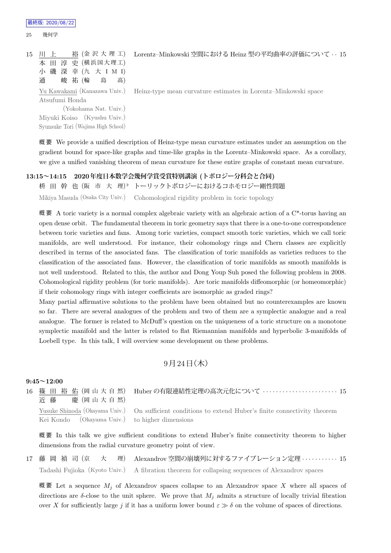| 最終版: 2020/08/22 |  |  |  |
|-----------------|--|--|--|
|-----------------|--|--|--|

#### 25 幾何学

| 15 | 本 田 淳 史 (横浜国大理工)<br>小 磯 深 幸 (九 大 I M I)<br>峻 祐 (輪<br>高)<br>島<br>通 | 裕 (金 沢 大 理 工) Lorentz-Minkowski 空間における Heinz 型の平均曲率の評価について … 15 |
|----|-------------------------------------------------------------------|-----------------------------------------------------------------|
|    | Yu Kawakami (Kanazawa Univ.)                                      | Heinz-type mean curvature estimates in Lorentz-Minkowski space  |
|    | Atsufumi Honda                                                    |                                                                 |
|    | (Yokohama Nat. Univ.)                                             |                                                                 |
|    | Miyuki Koiso (Kyushu Univ.)                                       |                                                                 |
|    | Syunsuke Tori (Wajima High School)                                |                                                                 |

概 要 We provide a unified description of Heinz-type mean curvature estimates under an assumption on the gradient bound for space-like graphs and time-like graphs in the Lorentz–Minkowski space. As a corollary, we give a unified vanishing theorem of mean curvature for these entire graphs of constant mean curvature.

#### **13:15~14:15 2020年度日本数学会幾何学賞受賞特別講演 (トポロジー分科会と合同)**

枡 田 幹 也 (阪 市 大 理) *♭* トーリックトポロジーにおけるコホモロジー剛性問題

Mikiya Masuda (Osaka City Univ.) Cohomological rigidity problem in toric topology

概要 A toric variety is a normal complex algebraic variety with an algebraic action of a  $C^*$ -torus having an open dense orbit. The fundamental theorem in toric geometry says that there is a one-to-one correspondence between toric varieties and fans. Among toric varieties, compact smooth toric varieties, which we call toric manifolds, are well understood. For instance, their cohomology rings and Chern classes are explicitly described in terms of the associated fans. The classification of toric manifolds as varieties reduces to the classification of the associated fans. However, the classification of toric manifolds as smooth manifolds is not well understood. Related to this, the author and Dong Youp Suh posed the following problem in 2008. Cohomological rigidity problem (for toric manifolds). Are toric manifolds diffeomorphic (or homeomorphic) if their cohomology rings with integer coefficients are isomorphic as graded rings?

Many partial affirmative solutions to the problem have been obtained but no counterexamples are known so far. There are several analogues of the problem and two of them are a symplectic analogue and a real analogue. The former is related to McDuff's question on the uniqueness of a toric structure on a monotone symplectic manifold and the latter is related to flat Riemannian manifolds and hyperbolic 3-manifolds of Loebell type. In this talk, I will overview some development on these problems.

#### $9$ 月 $24$ 日 $($ 木 $)$

#### **9:45~12:00**

16 篠 田 裕 佑 (岡 山 大 自 然) 近 藤 慶 (岡山大自然) Huber の有限連結性定理の高次元化について *· · · · · · · · · · · · · · · · · · · · · · ·* 15 Yusuke Shinoda (Okayama Univ.) Kei Kondo (Okayama Univ.) On sufficient conditions to extend Huber's finite connectivity theorem to higher dimensions

概要 In this talk we give sufficient conditions to extend Huber's finite connectivity theorem to higher dimensions from the radial curvature geometry point of view.

17 藤 岡 禎 司 (京 大 理) Alexandrov 空間の崩壊列に対するファイブレーション定理 *· · · · · · · · · · ·* 15 Tadashi Fujioka (Kyoto Univ.) A fibration theorem for collapsing sequences of Alexandrov spaces

概要 Let a sequence  $M_i$  of Alexandrov spaces collapse to an Alexandrov space X where all spaces of directions are  $\delta$ -close to the unit sphere. We prove that  $M_j$  admits a structure of locally trivial fibration over *X* for sufficiently large *j* if it has a uniform lower bound  $\varepsilon \gg \delta$  on the volume of spaces of directions.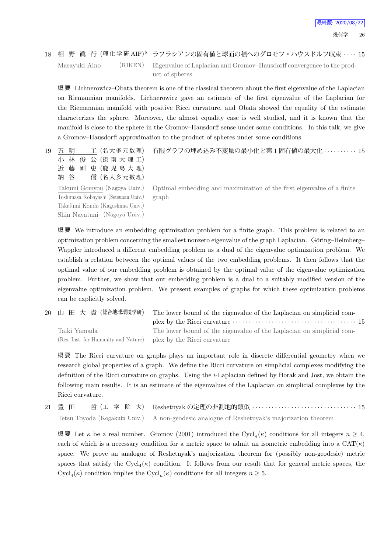$18$  相 野 眞 行 (理化学研 AIP) *♭* ラプラシアンの固有値と球面の積へのグロモフ・ハウスドルフ収束 *· · · ·* 15 Masayuki Aino (RIKEN) Eigenvalue of Laplacian and Gromov–Hausdorff convergence to the product of spheres

概 要 Lichnerowicz–Obata theorem is one of the classical theorem about the first eigenvalue of the Laplacian on Riemannian manifolds. Lichnerowicz gave an estimate of the first eigenvalue of the Laplacian for the Riemannian manifold with positive Ricci curvature, and Obata showed the equality of the estimate characterizes the sphere. Moreover, the almost equality case is well studied, and it is known that the manifold is close to the sphere in the Gromov–Hausdorff sense under some conditions. In this talk, we give a Gromov–Hausdorff approximation to the product of spheres under some conditions.

19 五 明 工 (名大多元数理) 小 林 俊 公 (摂 南 大 理 工) 近 藤 剛 史 (鹿 児 島 大 理) 有限グラフの埋め込み不変量の最小化と第 1 固有値の最大化 *· · · · · · · · · ·* 15

Takumi Gomyou (Nagoya Univ.) Toshimasa Kobayashi (Setsunan Univ.) Takefumi Kondo (Kagoshima Univ.) Shin Nayatani (Nagoya Univ.)

納 谷 信 (名大多元数理)

Optimal embedding and maximization of the first eigenvalue of a finite graph

概 要 We introduce an embedding optimization problem for a finite graph. This problem is related to an optimization problem concerning the smallest nonzero eigenvalue of the graph Laplacian. Göring–Helmberg– Wappler introduced a different embedding problem as a dual of the eigenvalue optimization problem. We establish a relation between the optimal values of the two embedding problems. It then follows that the optimal value of our embedding problem is obtained by the optimal value of the eigenvalue optimization problem. Further, we show that our embedding problem is a dual to a suitably modified version of the eigenvalue optimization problem. We present examples of graphs for which these optimization problems can be explicitly solved.

20 山 田 大 貴 (総合地球環境学研) The lower bound of the eigenvalue of the Laplacian on simplicial complex by the Ricci curvature *· · · · · · · · · · · · · · · · · · · · · · · · · · · · · · · · · · · · · ·* 15 Taiki Yamada (Res. Inst. for Humanity and Nature) The lower bound of the eigenvalue of the Laplacian on simplicial complex by the Ricci curvature

概 要 The Ricci curvature on graphs plays an important role in discrete differential geometry when we research global properties of a graph. We define the Ricci curvature on simplicial complexes modifying the definition of the Ricci curvature on graphs. Using the *i*-Laplacian defined by Horak and Jost, we obtain the following main results. It is an estimate of the eigenvalues of the Laplacian on simplicial complexes by the Ricci curvature.

|  | Tetsu Toyoda (Kogakuin Univ.) A non-geodesic analogue of Reshetnyak's majorization theorem |
|--|--------------------------------------------------------------------------------------------|

概 要 Let *κ* be a real number. Gromov (2001) introduced the Cycl*n*(*κ*) conditions for all integers *n ≥* 4, each of which is a necessary condition for a metric space to admit an isometric embedding into a  $CAT(\kappa)$ space. We prove an analogue of Reshetnyak's majorization theorem for (possibly non-geodesic) metric spaces that satisfy the  $Cycl_{4}(\kappa)$  condition. It follows from our result that for general metric spaces, the Cycl<sub>4</sub>( $\kappa$ ) condition implies the Cycl<sub>n</sub>( $\kappa$ ) conditions for all integers  $n \geq 5$ .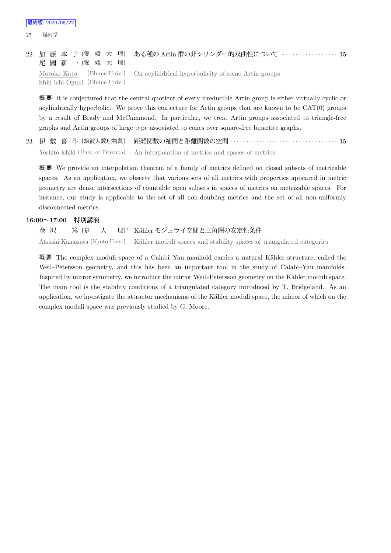22 加 藤 本 子 (愛 媛 大 理) 尾 國 新 一 (愛 媛 大 理) ある種の Artin 群の非シリンダー的双曲性について *· · · · · · · · · · · · · · · · ·* 15 Motoko Kato (Ehime Univ.) Shin-ichi Oguni (Ehime Univ.) On acylindrical hyperbolicity of some Artin groups

概要 It is conjectured that the central quotient of every irreducible Artin group is either virtually cyclic or acylindrically hyperbolic. We prove this conjecture for Artin groups that are known to be CAT(0) groups by a result of Brady and McCammond. In particular, we treat Artin groups associated to triangle-free graphs and Artin groups of large type associated to cones over square-free bipartite graphs.

23 伊 敷 喜 斗 (筑波大数理物質) 距離関数の補間と距離関数の空間 *· · · · · · · · · · · · · · · · · · · · · · · · · · · · · · · · ·* 15 Yoshito Ishiki (Univ. of Tsukuba) An interpolation of metrics and spaces of metrics

概 要 We provide an interpolation theorem of a family of metrics defined on closed subsets of metrizable spaces. As an application, we observe that various sets of all metrics with properties appeared in metric geometry are dense intersections of countable open subsets in spaces of metrics on metrizable spaces. For instance, our study is applicable to the set of all non-doubling metrics and the set of all non-uniformly disconnected metrics.

#### **16:00~17:00 特別講演**

金 沢 篤 (京 大 理) 理)<sup></sup> Kähler モジュライ空間と三角圏の安定性条件 Atsushi Kanazawa (Kyoto Univ.) Kähler moduli spaces and stability spaces of triangulated categories

概要 The complex moduli space of a Calabi–Yau manifold carries a natural Kähler structure, called the Weil–Petersson geometry, and this has been an important tool in the study of Calabi–Yau manifolds. Inspired by mirror symmetry, we introduce the mirror Weil–Petersson geometry on the Kähler moduli space. The main tool is the stability conditions of a triangulated category introduced by T. Bridgeland. As an application, we investigate the attractor mechanisms of the Kähler moduli space, the mirror of which on the complex moduli space was previously studied by G. Moore.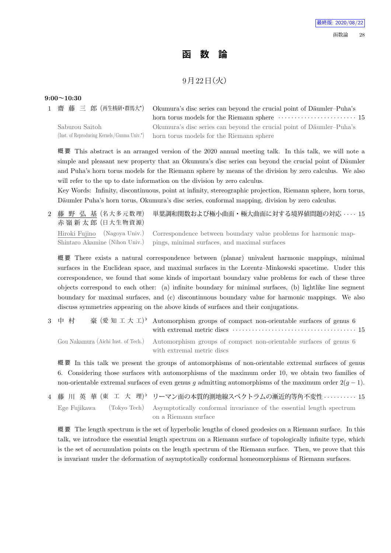## **函 数 論**

## 9月22日 (火)

#### **9:00~10:30**

1 齋 藤 三 郎 (再生核研・群馬大*<sup>⋆</sup>* Okumura's disc series can beyond the crucial point of Däumler–Puha's horn torus models for the Riemann sphere *· · · · · · · · · · · · · · · · · · · · · · · ·* 15 Saburou Saitoh (Inst. of Reproducing Kernels /Gunma Univ.*<sup>⋆</sup>* ) Okumura's disc series can beyond the crucial point of Däumler–Puha's horn torus models for the Riemann sphere

概 要 This abstract is an arranged version of the 2020 annual meeting talk. In this talk, we will note a simple and pleasant new property that an Okumura's disc series can beyond the crucial point of Däumler and Puha's horn torus models for the Riemann sphere by means of the division by zero calculus. We also will refer to the up to date information on the division by zero calculus.

Key Words: Infinity, discontinuous, point at infinity, stereographic projection, Riemann sphere, horn torus, Däumler Puha's horn torus, Okumura's disc series, conformal mapping, division by zero calculus.

2 藤 野 弘 基 (名大多元数理) 赤 嶺 新 太 郎 (日大生物資源) 単葉調和関数および極小曲面・極大曲面に対する境界値問題の対応 *· · · ·* 15 Hiroki Fujino (Nagoya Univ.) Shintaro Akamine (Nihon Univ.) Correspondence between boundary value problems for harmonic mappings, minimal surfaces, and maximal surfaces

概 要 There exists a natural correspondence between (planar) univalent harmonic mappings, minimal surfaces in the Euclidean space, and maximal surfaces in the Lorentz–Minkowski spacetime. Under this correspondence, we found that some kinds of important boundary value problems for each of these three objects correspond to each other: (a) infinite boundary for minimal surfaces, (b) lightlike line segment boundary for maximal surfaces, and (c) discontinuous boundary value for harmonic mappings. We also discuss symmetries appearing on the above kinds of surfaces and their conjugations.

3 中村 豪(愛知工大工<sup>)</sup> Automorphism groups of compact non-orientable surfaces of genus 6 with extremal metric discs *· · · · · · · · · · · · · · · · · · · · · · · · · · · · · · · · · · · · · ·* 15

Gou Nakamura (Aichi Inst. of Tech.) Automorphism groups of compact non-orientable surfaces of genus 6 with extremal metric discs

概 要 In this talk we present the groups of automorphisms of non-orientable extremal surfaces of genus 6. Considering those surfaces with automorphisms of the maximum order 10, we obtain two families of non-orientable extremal surfaces of even genus *g* admitting automorphisms of the maximum order 2(*g −* 1).

4 藤 川 英 華 (東 工 大 理) *♭* リーマン面の本質的測地線スペクトラムの漸近的等角不変性 *· · · · · · · · · ·* 15 Ege Fujikawa (Tokyo Tech) Asymptotically conformal invariance of the essential length spectrum on a Riemann surface

概 要 The length spectrum is the set of hyperbolic lengths of closed geodesics on a Riemann surface. In this talk, we introduce the essential length spectrum on a Riemann surface of topologically infinite type, which is the set of accumulation points on the length spectrum of the Riemann surface. Then, we prove that this is invariant under the deformation of asymptotically conformal homeomorphisms of Riemann surfaces.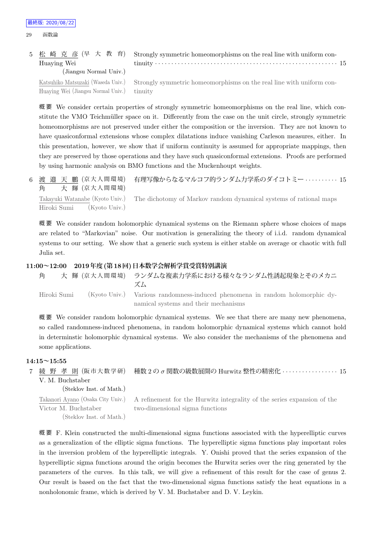| 5 松崎克彦(早大教育)<br>Huaying Wei                | Strongly symmetric homeomorphisms on the real line with uniform con-                                    |
|--------------------------------------------|---------------------------------------------------------------------------------------------------------|
| (Jiangsu Normal Univ.)                     |                                                                                                         |
| Huaying Wei (Jiangsu Normal Univ.) tinuity | Katsuhiko Matsuzaki (Waseda Univ.) Strongly symmetric homeomorphisms on the real line with uniform con- |

概 要 We consider certain properties of strongly symmetric homeomorphisms on the real line, which constitute the VMO Teichmüller space on it. Differently from the case on the unit circle, strongly symmetric homeomorphisms are not preserved under either the composition or the inversion. They are not known to have quasiconformal extensions whose complex dilatations induce vanishing Carleson measures, either. In this presentation, however, we show that if uniform continuity is assumed for appropriate mappings, then they are preserved by those operations and they have such quasiconformal extensions. Proofs are performed by using harmonic analysis on BMO functions and the Muckenhoupt weights.

6 渡 邉 天 鵬 (京大人間環境) 角 大 輝 (京大人間環境) 有理写像からなるマルコフ的ランダム力学系のダイコトミー *· · · · · · · · · ·* 15

Takayuki Watanabe (Kyoto Univ.) Hiroki Sumi (Kyoto Univ.) The dichotomy of Markov random dynamical systems of rational maps

概 要 We consider random holomorphic dynamical systems on the Riemann sphere whose choices of maps are related to "Markovian" noise. Our motivation is generalizing the theory of i.i.d. random dynamical systems to our setting. We show that a generic such system is either stable on average or chaotic with full Julia set.

#### **11:00~12:00 2019年度(第18回)日本数学会解析学賞受賞特別講演**

| 角           |  | 大 輝 (京大人間環境) ランダムな複素力学系における様々なランダム性誘起現象とそのメカニ<br>ズム                          |
|-------------|--|------------------------------------------------------------------------------|
| Hiroki Sumi |  | (Kyoto Univ.) Various randomness-induced phenomena in random holomorphic dy- |
|             |  | namical systems and their mechanisms                                         |

概 要 We consider random holomorphic dynamical systems. We see that there are many new phenomena, so called randomness-induced phenomena, in random holomorphic dynamical systems which cannot hold in determinstic holomorphic dynamical systems. We also consider the mechanisms of the phenomena and some applications.

#### **14:15~15:55**

7 綾 野 孝 則 (阪市大数学研) V. M. Buchstaber (Steklov Inst. of Math.) 種数 2 の *σ* 関数の級数展開の Hurwitz 整性の精密化 *· · · · · · · · · · · · · · · · ·* 15

Takanori Ayano (Osaka City Univ.) Victor M. Buchstaber

A refinement for the Hurwitz integrality of the series expansion of the two-dimensional sigma functions

(Steklov Inst. of Math.)

概 要 F. Klein constructed the multi-dimensional sigma functions associated with the hyperelliptic curves as a generalization of the elliptic sigma functions. The hyperelliptic sigma functions play important roles in the inversion problem of the hyperelliptic integrals. Y. Onishi proved that the series expansion of the hyperelliptic sigma functions around the origin becomes the Hurwitz series over the ring generated by the parameters of the curves. In this talk, we will give a refinement of this result for the case of genus 2. Our result is based on the fact that the two-dimensional sigma functions satisfy the heat equations in a nonholonomic frame, which is derived by V. M. Buchstaber and D. V. Leykin.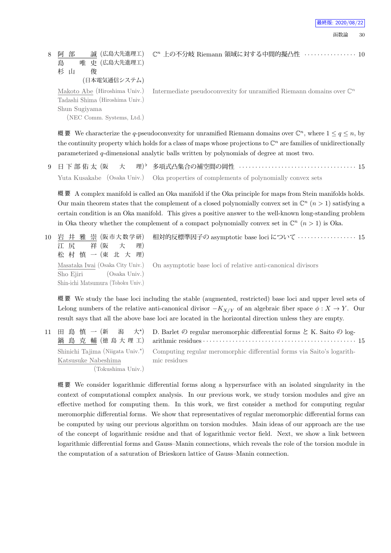最終版: 2020/08/22

8 阿 部 誠 (広島大先進理工) 島 唯 史 (広島大先進理工) 杉 山 俊 (日本電気通信システム) Makoto Abe (Hiroshima Univ.) Tadashi Shima (Hiroshima Univ.) Shun Sugiyama (NEC Comm. Systems, Ltd.) Intermediate pseudoconvexity for unramified Riemann domains over  $\mathbb{C}^n$ 

概要 We characterize the *q*-pseudoconvexity for unramified Riemann domains over  $\mathbb{C}^n$ , where  $1 \le q \le n$ , by the continuity property which holds for a class of maps whose projections to  $\mathbb{C}^n$  are families of unidirectionally parameterized *q*-dimensional analytic balls written by polynomials of degree at most two.

 $9$  日下部佑太 (阪 大 理) $^{\flat}$ *♭* 多項式凸集合の補空間の岡性 *· · · · · · · · · · · · · · · · · · · · · · · · · · · · · · · · · · · ·* 15 Yuta Kusakabe (Osaka Univ.) Oka properties of complements of polynomially convex sets

概要 A complex manifold is called an Oka manifold if the Oka principle for maps from Stein manifolds holds. Our main theorem states that the complement of a closed polynomially convex set in  $\mathbb{C}^n$  ( $n > 1$ ) satisfying a certain condition is an Oka manifold. This gives a positive answer to the well-known long-standing problem in Oka theory whether the complement of a compact polynomially convex set in  $\mathbb{C}^n$  ( $n > 1$ ) is Oka.

| 江尻 祥(阪大理)<br>松 村 慎 一 (東 北 大 理)                                | 10 岩 井 雅 崇 (阪市大数学研)  相対的反標準因子の asymptotic base loci について ‥‥‥‥‥‥‥‥‥‥ 15                       |
|---------------------------------------------------------------|----------------------------------------------------------------------------------------------|
| Sho Ejiri (Osaka Univ.)<br>Shin-ichi Matsumura (Tohoku Univ.) | Masataka Iwai (Osaka City Univ.) On asymptotic base loci of relative anti-canonical divisors |

概 要 We study the base loci including the stable (augmented, restricted) base loci and upper level sets of Lelong numbers of the relative anti-canonical divisor  $-K_{X/Y}$  of an algebraic fiber space  $\phi : X \to Y$ . Our result says that all the above base loci are located in the horizontal direction unless they are empty.

11 田 島 慎 一 (新 潟 大\*) 鍋 島 克 輔 (徳 島 大 理 工) D. Barlet  $\mathcal D$  regular meromorphic differential forms  $\mathcal E$  K. Saito  $\mathcal D$  logarithmic residues *· · · · · · · · · · · · · · · · · · · · · · · · · · · · · · · · · · · · · · · · · · · · · · ·* 15 Shinichi Tajima (Niigata Univ.*<sup>⋆</sup>* ) Katsusuke Nabeshima (Tokushima Univ.) Computing regular meromorphic differential forms via Saito's logarithmic residues

概 要 We consider logarithmic differential forms along a hypersurface with an isolated singularity in the context of computational complex analysis. In our previous work, we study torsion modules and give an effective method for computing them. In this work, we first consider a method for computing regular meromorphic differential forms. We show that representatives of regular meromorphic differential forms can be computed by using our previous algorithm on torsion modules. Main ideas of our approach are the use of the concept of logarithmic residue and that of logarithmic vector field. Next, we show a link between logarithmic differential forms and Gauss–Manin connections, which reveals the role of the torsion module in the computation of a saturation of Brieskorn lattice of Gauss–Manin connection.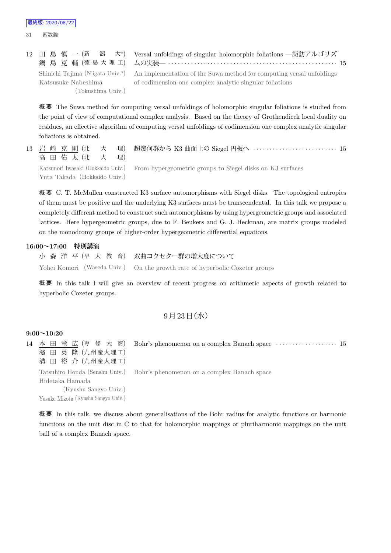12 田 島 慎 一 (新 潟  $\pm\star$ 鍋 島 克 輔 (徳 島 大 理 工) Versal unfoldings of singular holomorphic foliations —諏訪アルゴリズ ムの実装— *· · · · · · · · · · · · · · · · · · · · · · · · · · · · · · · · · · · · · · · · · · · · · · · · · · · ·* 15 Shinichi Tajima (Niigata Univ.*<sup>⋆</sup>* ) Katsusuke Nabeshima (Tokushima Univ.) An implementation of the Suwa method for computing versal unfoldings of codimension one complex analytic singular foliations

概 要 The Suwa method for computing versal unfoldings of holomorphic singular foliations is studied from the point of view of computational complex analysis. Based on the theory of Grothendieck local duality on residues, an effective algorithm of computing versal unfoldings of codimension one complex analytic singular foliations is obtained.

13 岩 崎 克 則 (北 大 理) 高田佑太(北 大理) 超幾何群から K3 曲面上の Siegel 円板へ *· · · · · · · · · · · · · · · · · · · · · · · · · ·* 15 Katsunori Iwasaki (Hokkaido Univ.) Yuta Takada (Hokkaido Univ.) From hypergeometric groups to Siegel disks on K3 surfaces

概 要 C. T. McMullen constructed K3 surface automorphisms with Siegel disks. The topological entropies of them must be positive and the underlying K3 surfaces must be transcendental. In this talk we propose a completely different method to construct such automorphisms by using hypergeometric groups and associated lattices. Here hypergeometric groups, due to F. Beukers and G. J. Heckman, are matrix groups modeled on the monodromy groups of higher-order hypergeometric differential equations.

### **16:00~17:00 特別講演**

小 森 洋 平 (早 大 教 育) 双曲コクセター群の増大度について Yohei Komori (Waseda Univ.) On the growth rate of hyperbolic Coxeter groups

概 要 In this talk I will give an overview of recent progress on arithmetic aspects of growth related to hyperbolic Coxeter groups.

## $9$ 月 $23$ 日 $($ 水 $)$

## **9:00~10:20**

14 本 田 竜 広 (専 修 大 商) 濱 田 英 隆 (九州産大理工) 溝 田 裕 介 (九州産大理工) Bohr's phenomenon on a complex Banach space *· · · · · · · · · · · · · · · · · · ·* 15 Tatsuhiro Honda (Senshu Univ.) Hidetaka Hamada (Kyushu Sangyo Univ.) Yusuke Mizota (Kyushu Sangyo Univ.) Bohr's phenomenon on a complex Banach space

概 要 In this talk, we discuss about generalisations of the Bohr radius for analytic functions or harmonic functions on the unit disc in C to that for holomorphic mappings or pluriharmonic mappings on the unit ball of a complex Banach space.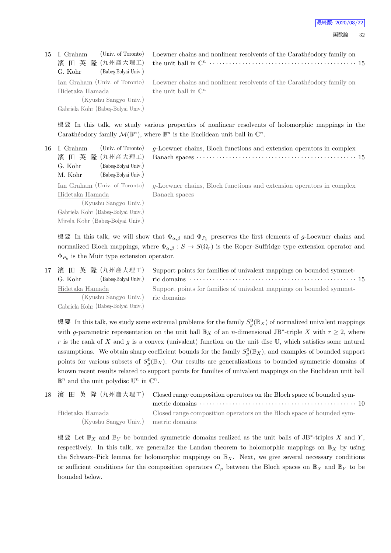| (Univ. of Toronto)<br>濱 田 英 隆 (九州産大理工)<br>(Babes-Bolyai Univ.)<br>G. Kohr | Loewner chains and nonlinear resolvents of the Carathéodory family on                               |
|---------------------------------------------------------------------------|-----------------------------------------------------------------------------------------------------|
|                                                                           | Ian Graham (Univ. of Toronto) Loewner chains and nonlinear resolvents of the Carathéodory family on |
| Hidetaka Hamada                                                           | the unit ball in $\mathbb{C}^n$                                                                     |
| (Kyushu Sangyo Univ.)                                                     |                                                                                                     |
| Gabriela Kohr (Babeş-Bolyai Univ.)                                        |                                                                                                     |
|                                                                           | 15 I. Graham                                                                                        |

概 要 In this talk, we study various properties of nonlinear resolvents of holomorphic mappings in the Carathéodory family  $\mathcal{M}(\mathbb{B}^n)$ , where  $\mathbb{B}^n$  is the Euclidean unit ball in  $\mathbb{C}^n$ .

| 16 I. Graham                       | (Univ. of Toronto)   | $q$ -Loewner chains, Bloch functions and extension operators in complex |
|------------------------------------|----------------------|-------------------------------------------------------------------------|
| 濱田 英隆 (九州産大理工)                     |                      |                                                                         |
| G. Kohr                            | (Babes-Bolyai Univ.) |                                                                         |
| M. Kohr                            | (Babes-Bolyai Univ.) |                                                                         |
| Ian Graham (Univ. of Toronto)      |                      | $g$ -Loewner chains, Bloch functions and extension operators in complex |
| Hidetaka Hamada                    |                      | Banach spaces                                                           |
| (Kyushu Sangyo Univ.)              |                      |                                                                         |
| Gabriela Kohr (Babeş-Bolyai Univ.) |                      |                                                                         |
| Mirela Kohr (Babeş-Bolyai Univ.)   |                      |                                                                         |
|                                    |                      |                                                                         |

概要 In this talk, we will show that  $\Phi_{\alpha,\beta}$  and  $\Phi_{P_k}$  preserves the first elements of *g*-Loewner chains and normalized Bloch mappings, where  $\Phi_{\alpha,\beta}: S \to S(\Omega_r)$  is the Roper–Suffridge type extension operator and Φ*P<sup>k</sup>* is the Muir type extension operator.

|                                    | 17 濱 田 英 隆 (九州産大理工) Support points for families of univalent mappings on bounded symmet- |
|------------------------------------|------------------------------------------------------------------------------------------|
| (Babes-Bolyai Univ.)<br>G. Kohr    |                                                                                          |
| Hidetaka Hamada                    | Support points for families of univalent mappings on bounded symmet-                     |
| (Kyushu Sangyo Univ.) ric domains  |                                                                                          |
| Gabriela Kohr (Babeş-Bolyai Univ.) |                                                                                          |

概 要 In this talk, we study some extremal problems for the family  $S_g^0(\mathbb{B}_X)$  of normalized univalent mappings with *g*-parametric representation on the unit ball  $\mathbb{B}_X$  of an *n*-dimensional JB<sup>\*</sup>-triple X with  $r \geq 2$ , where *r* is the rank of *X* and *g* is a convex (univalent) function on the unit disc U, which satisfies some natural assumptions. We obtain sharp coefficient bounds for the family  $S_g^0(\mathbb{B}_X)$ , and examples of bounded support points for various subsets of  $S_g^0(\mathbb{B}_X)$ . Our results are generalizations to bounded symmetric domains of known recent results related to support points for families of univalent mappings on the Euclidean unit ball  $\mathbb{B}^n$  and the unit polydisc  $\mathbb{U}^n$  in  $\mathbb{C}^n$ .

|                                      | 18 濱 田 英 隆 (九州産大理工) Closed range composition operators on the Bloch space of bounded sym- |
|--------------------------------------|-------------------------------------------------------------------------------------------|
|                                      |                                                                                           |
| Hidetaka Hamada                      | Closed range composition operators on the Bloch space of bounded sym-                     |
| (Kyushu Sangyo Univ.) metric domains |                                                                                           |

概 要 Let B*<sup>X</sup>* and B*<sup>Y</sup>* be bounded symmetric domains realized as the unit balls of JB*<sup>∗</sup>* -triples *X* and *Y* , respectively. In this talk, we generalize the Landau theorem to holomorphic mappings on  $\mathbb{B}_X$  by using the Schwarz–Pick lemma for holomorphic mappings on  $\mathbb{B}_X$ . Next, we give several necessary conditions or sufficient conditions for the composition operators  $C_\varphi$  between the Bloch spaces on  $\mathbb{B}_X$  and  $\mathbb{B}_Y$  to be bounded below.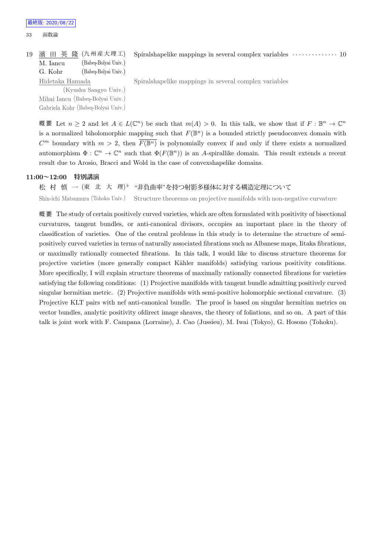#### 33 函数論

|                 |                      | 19 濱 田 英 隆 (九州産大理工) Spiralshapelike mappings in several complex variables ……………… 10 |  |
|-----------------|----------------------|-------------------------------------------------------------------------------------|--|
| M. Iancu        | (Babes-Bolvai Univ.) |                                                                                     |  |
| G. Kohr         | (Babes-Bolyai Univ.) |                                                                                     |  |
| Hidetaka Hamada |                      | Spiralshapelike mappings in several complex variables                               |  |

(Kyushu Sangyo Univ.) Mihai Iancu (Babes-Bolyai Univ.) Gabriela Kohr (Babeş-Bolyai Univ.)

概要 Let  $n \geq 2$  and let  $A \in L(\mathbb{C}^n)$  be such that  $m(A) > 0$ . In this talk, we show that if  $F : \mathbb{B}^n \to \mathbb{C}^n$ is a normalized biholomorphic mapping such that  $F(\mathbb{B}^n)$  is a bounded strictly pseudoconvex domain with  $C^m$  boundary with  $m > 2$ , then  $\overline{F(\mathbb{B}^n)}$  is polynomially convex if and only if there exists a normalized automorphism  $\Phi: \mathbb{C}^n \to \mathbb{C}^n$  such that  $\Phi(F(\mathbb{B}^n))$  is an *A*-spirallike domain. This result extends a recent result due to Arosio, Bracci and Wold in the case of convexshapelike domains.

## **11:00~12:00 特別講演**

松 村 慎 一 (東 北 大 理) *♭* "非負曲率"を持つ射影多様体に対する構造定理について Shin-ichi Matsumura (Tohoku Univ.) Structure theorems on projective manifolds with non-negative curvature

概 要 The study of certain positively curved varieties, which are often formulated with positivity of bisectional curvatures, tangent bundles, or anti-canonical divisors, occupies an important place in the theory of classification of varieties. One of the central problems in this study is to determine the structure of semipositively curved varieties in terms of naturally associated fibrations such as Albanese maps, Iitaka fibrations, or maximally rationally connected fibrations. In this talk, I would like to discuss structure theorems for projective varieties (more generally compact K¨ahler manifolds) satisfying various positivity conditions. More specifically, I will explain structure theorems of maximally rationally connected fibrations for varieties satisfying the following conditions: (1) Projective manifolds with tangent bundle admitting positively curved singular hermitian metric. (2) Projective manifolds with semi-positive holomorphic sectional curvature. (3) Projective KLT pairs with nef anti-canonical bundle. The proof is based on singular hermitian metrics on vector bundles, analytic positivity ofdirect image sheaves, the theory of foliations, and so on. A part of this talk is joint work with F. Campana (Lorraine), J. Cao (Jussieu), M. Iwai (Tokyo), G. Hosono (Tohoku).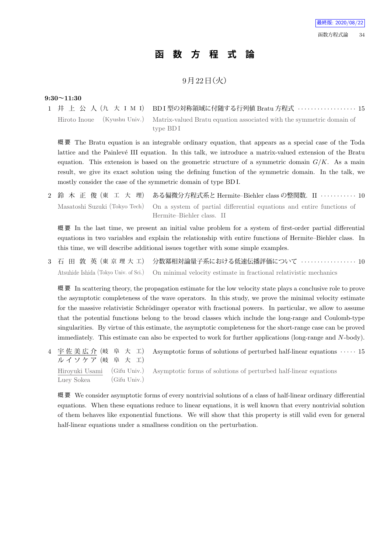# **函 数 方 程 式 論**

# 9月22日 (火)

## **9:30~11:30**

1 井 上 公 人 (九 大 I M I) BD I 型の対称領域に付随する行列値 Bratu 方程式 ·················· 15 Hiroto Inoue (Kyushu Univ.) Matrix-valued Bratu equation associated with the symmetric domain of type BD I

概 要 The Bratu equation is an integrable ordinary equation, that appears as a special case of the Toda lattice and the Painlevé III equation. In this talk, we introduce a matrix-valued extension of the Bratu equation. This extension is based on the geometric structure of a symmetric domain  $G/K$ . As a main result, we give its exact solution using the defining function of the symmetric domain. In the talk, we mostly consider the case of the symmetric domain of type BD I.

2 鈴 木 正 俊 (東 工 大 理) ある偏微分方程式系と Hermite–Biehler class の整関数. II *· · · · · · · · · · ·* 10 Masatoshi Suzuki (Tokyo Tech) On a system of partial differential equations and entire functions of Hermite–Biehler class. II

概 要 In the last time, we present an initial value problem for a system of first-order partial differential equations in two variables and explain the relationship with entire functions of Hermite–Biehler class. In this time, we will describe additional issues together with some simple examples.

3 石 田 敦 英 (東 京 理 大 工) 分数冪相対論量子系における低速伝播評価について *· · · · · · · · · · · · · · · · ·* 10 Atsuhide Ishida (Tokyo Univ. of Sci.) On minimal velocity estimate in fractional relativistic mechanics

概 要 In scattering theory, the propagation estimate for the low velocity state plays a conclusive role to prove the asymptotic completeness of the wave operators. In this study, we prove the minimal velocity estimate for the massive relativistic Schrödinger operator with fractional powers. In particular, we allow to assume that the potential functions belong to the broad classes which include the long-range and Coulomb-type singularities. By virtue of this estimate, the asymptotic completeness for the short-range case can be proved immediately. This estimate can also be expected to work for further applications (long-range and *N*-body).

4 宇 佐 美 広 介 (岐 阜 大 工) ル イ ソ ケ ア (岐 阜 大 工) Asymptotic forms of solutions of perturbed half-linear equations *· · · · ·* 15 Hiroyuki Usami (Gifu Univ.) Luey Sokea (Gifu Univ.) Asymptotic forms of solutions of perturbed half-linear equations

概要 We consider asymptotic forms of every nontrivial solutions of a class of half-linear ordinary differential equations. When these equations reduce to linear equations, it is well known that every nontrivial solution of them behaves like exponential functions. We will show that this property is still valid even for general half-linear equations under a smallness condition on the perturbation.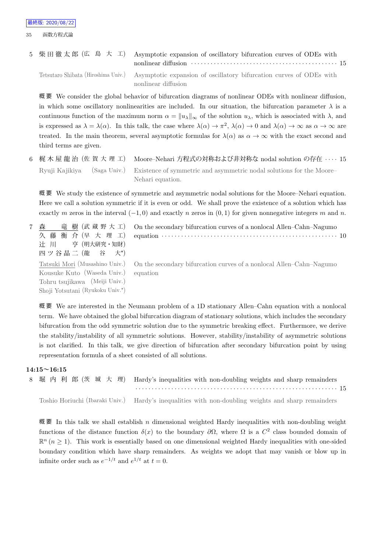5 柴 田 徹 太 郎 (広 島 大 工) Asymptotic expansion of oscillatory bifurcation curves of ODEs with nonlinear diffusion *· · · · · · · · · · · · · · · · · · · · · · · · · · · · · · · · · · · · · · · · · · · · ·* 15 Tetsutaro Shibata (Hiroshima Univ.) Asymptotic expansion of oscillatory bifurcation curves of ODEs with

nonlinear diffusion

概 要 We consider the global behavior of bifurcation diagrams of nonlinear ODEs with nonlinear diffusion, in which some oscillatory nonlinearities are included. In our situation, the bifurcation parameter  $\lambda$  is a continuous function of the maximum norm  $\alpha = ||u_\lambda||_\infty$  of the solution  $u_\lambda$ , which is associated with  $\lambda$ , and is expressed as  $\lambda = \lambda(\alpha)$ . In this talk, the case where  $\lambda(\alpha) \to \pi^2$ ,  $\lambda(\alpha) \to 0$  and  $\lambda(\alpha) \to \infty$  as  $\alpha \to \infty$  are treated. In the main theorem, several asymptotic formulas for  $\lambda(\alpha)$  as  $\alpha \to \infty$  with the exact second and third terms are given.

6 梶 木 屋 龍 治 (佐 賀 大 理 工) Moore–Nehari 方程式の対称および非対称な nodal solution の存在 *· · · ·* 15 Ryuji Kajikiya (Saga Univ.) Existence of symmetric and asymmetric nodal solutions for the Moore– Nehari equation.

概 要 We study the existence of symmetric and asymmetric nodal solutions for the Moore–Nehari equation. Here we call a solution symmetric if it is even or odd. We shall prove the existence of a solution which has exactly *m* zeros in the interval (*−*1*,* 0) and exactly *n* zeros in (0*,* 1) for given nonnegative integers *m* and *n*.

7 森 竜 樹 (武 蔵 野 大 工) 久 藤 衡 介 (早 大 理 工) 辻 川 亨 (明大研究・知財) 四ツ谷晶二 (龍 谷  $\ket{+}$ On the secondary bifurcation curves of a nonlocal Allen–Cahn–Nagumo equation *· · · · · · · · · · · · · · · · · · · · · · · · · · · · · · · · · · · · · · · · · · · · · · · · · · · · · ·* 10 Tatsuki Mori (Musashino Univ.) Kousuke Kuto (Waseda Univ.) Tohru tsujikawa (Meiji Univ.) Shoji Yotsutani (Ryukoku Univ.*<sup>⋆</sup>* ) On the secondary bifurcation curves of a nonlocal Allen–Cahn–Nagumo equation

概 要 We are interested in the Neumann problem of a 1D stationary Allen–Cahn equation with a nonlocal term. We have obtained the global bifurcation diagram of stationary solutions, which includes the secondary bifurcation from the odd symmetric solution due to the symmetric breaking effect. Furthermore, we derive the stability/instability of all symmetric solutions. However, stability/instability of asymmetric solutions is not clarified. In this talk, we give direction of bifurcation after secondary bifurcation point by using representation formula of a sheet consisted of all solutions.

### **14:15~16:15**



概 要 In this talk we shall establish *n* dimensional weighted Hardy inequalities with non-doubling weight functions of the distance function  $\delta(x)$  to the boundary  $\partial\Omega$ , where  $\Omega$  is a  $C^2$  class bounded domain of  $\mathbb{R}^n$  ( $n \geq 1$ ). This work is essentially based on one dimensional weighted Hardy inequalities with one-sided boundary condition which have sharp remainders. As weights we adopt that may vanish or blow up in infinite order such as  $e^{-1/t}$  and  $e^{1/t}$  at  $t = 0$ .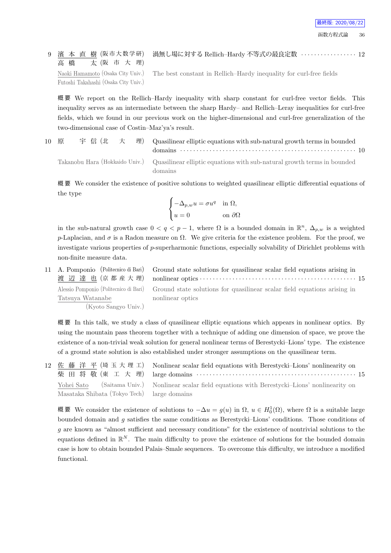9 濱 本 直 樹 (阪市大数学研) 高橋 太 (阪 市 大 理) Naoki Hamamoto (Osaka City Univ.) Futoshi Takahashi (Osaka City Univ.) 渦無し場に対する Rellich–Hardy 不等式の最良定数 *· · · · · · · · · · · · · · · · ·* 12

The best constant in Rellich–Hardy inequality for curl-free fields

概 要 We report on the Rellich–Hardy inequality with sharp constant for curl-free vector fields. This inequality serves as an intermediate between the sharp Hardy– and Rellich–Leray inequalities for curl-free fields, which we found in our previous work on the higher-dimensional and curl-free generalization of the two-dimensional case of Costin–Maz'ya's result.

10 原 宇 信 (北 大 理) Quasilinear elliptic equations with sub-natural growth terms in bounded domains *· · · · · · · · · · · · · · · · · · · · · · · · · · · · · · · · · · · · · · · · · · · · · · · · · · · · · ·* 10 Takanobu Hara (Hokkaido Univ.) Quasilinear elliptic equations with sub-natural growth terms in bounded

概 要 We consider the existence of positive solutions to weighted quasilinear elliptic differential equations of the type

$$
\begin{cases} -\Delta_{p,w}u=\sigma u^q&\text{in }\Omega,\\ u=0&\text{on }\partial\Omega \end{cases}
$$

domains

in the sub-natural growth case  $0 < q < p-1$ , where  $\Omega$  is a bounded domain in  $\mathbb{R}^n$ ,  $\Delta_{p,w}$  is a weighted *p*-Laplacian, and  $\sigma$  is a Radon measure on  $\Omega$ . We give criteria for the existence problem. For the proof, we investigate various properties of *p*-superharmonic functions, especially solvability of Dirichlet problems with non-finite measure data.

11 A. Pomponio (Politecnico di Bari) 渡 辺 達 也 (京 都 産 大 理) Ground state solutions for quasilinear scalar field equations arising in nonlinear optics *· · · · · · · · · · · · · · · · · · · · · · · · · · · · · · · · · · · · · · · · · · · · · · · ·* 15 Alessio Pomponio (Politecnico di Bari) Tatsuya Watanabe (Kyoto Sangyo Univ.) Ground state solutions for quasilinear scalar field equations arising in nonlinear optics

概 要 In this talk, we study a class of quasilinear elliptic equations which appears in nonlinear optics. By using the mountain pass theorem together with a technique of adding one dimension of space, we prove the existence of a non-trivial weak solution for general nonlinear terms of Berestycki–Lions' type. The existence of a ground state solution is also established under stronger assumptions on the quasilinear term.

12 佐 藤 洋 平 (埼 玉 大 理 工) 柴 田 将 敬 (東 工 大 理) Nonlinear scalar field equations with Berestycki–Lions' nonlinearity on large domains *· · · · · · · · · · · · · · · · · · · · · · · · · · · · · · · · · · · · · · · · · · · · · · · · ·* 15 Yohei Sato (Saitama Univ.) Masataka Shibata (Tokyo Tech) Nonlinear scalar field equations with Berestycki–Lions' nonlinearity on large domains

概 要 We consider the existence of solutions to *−*∆*u* = *g*(*u*) in Ω, *u ∈ H*<sup>1</sup> 0 (Ω), where Ω is a suitable large bounded domain and *g* satisfies the same conditions as Berestycki–Lions' conditions. Those conditions of *g* are known as "almost sufficient and necessary conditions" for the existence of nontrivial solutions to the equations defined in  $\mathbb{R}^N$ . The main difficulty to prove the existence of solutions for the bounded domain case is how to obtain bounded Palais–Smale sequences. To overcome this difficulty, we introduce a modified functional.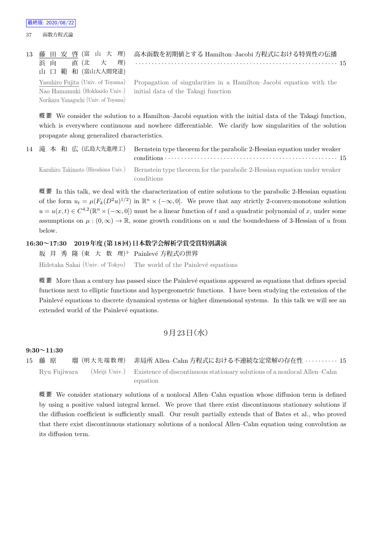|                                      | 13 藤 田 安 啓 (富 山 大 理) 高木函数を初期値とする Hamilton-Jacobi方程式における特異性の伝播                                         |
|--------------------------------------|-------------------------------------------------------------------------------------------------------|
|                                      | 浜向 直(北大理) ……………………………………………………………………15                                                                |
| 山 口 範 和 (富山大人間発達)                    |                                                                                                       |
|                                      | Yasuhiro Fujita (Univ. of Toyama) Propagation of singularities in a Hamilton-Jacobi equation with the |
|                                      | Nao Hamamuki (Hokkaido Univ.) initial data of the Takagi function                                     |
| Norikazu Yanaguchi (Univ. of Toyama) |                                                                                                       |

概 要 We consider the solution to a Hamilton–Jacobi equation with the initial data of the Takagi function, which is everywhere continuous and nowhere differentiable. We clarify how singularities of the solution propagate along generalized characteristics.

14 滝 本 和 広 (広島大先進理工) Bernstein type theorem for the parabolic 2-Hessian equation under weaker conditions *· · · · · · · · · · · · · · · · · · · · · · · · · · · · · · · · · · · · · · · · · · · · · · · · · · · · ·* 15 Kazuhiro Takimoto (Hiroshima Univ.) Bernstein type theorem for the parabolic 2-Hessian equation under weaker conditions

概 要 In this talk, we deal with the characterization of entire solutions to the parabolic 2-Hessian equation of the form  $u_t = \mu(F_k(D^2u)^{1/2})$  in  $\mathbb{R}^n \times (-\infty, 0]$ . We prove that any strictly 2-convex-monotone solution  $u = u(x, t) \in C^{4,2}(\mathbb{R}^n \times (-\infty, 0])$  must be a linear function of *t* and a quadratic polynomial of *x*, under some assumptions on  $\mu$  :  $(0, \infty) \to \mathbb{R}$ , some growth conditions on *u* and the boundedness of 3-Hessian of *u* from below.

## **16:30~17:30 2019年度(第18回)日本数学会解析学賞受賞特別講演**

坂 井 秀 隆 (東 大 数 理)♭ Painlevé方程式の世界 Hidetaka Sakai (Univ. of Tokyo) The world of the Painlevé equations

概 要 More than a century has passed since the Painlevé equations appeared as equations that defines special functions next to elliptic functions and hypergeometric functions. I have been studying the extension of the Painlevé equations to discrete dynamical systems or higher dimensional systems. In this talk we will see an extended world of the Painlevé equations.

## $9$ 月 $23$ 日 $($ 水 $)$

### **9:30~11:30**

15 藤 原 瑠 (明 大 先 端 数 理) 非局所 Allen–Cahn 方程式における不連続な定常解の存在性 *· · · · · · · · · ·* 15 Ryu Fujiwara (Meiji Univ.) Existence of discontinuous stationary solutions of a nonlocal Allen–Cahn equation

概 要 We consider stationary solutions of a nonlocal Allen–Cahn equation whose diffusion term is defined by using a positive valued integral kernel. We prove that there exist discontinuous stationary solutions if the diffusion coefficient is sufficiently small. Our result partially extends that of Bates et al., who proved that there exist discontinuous stationary solutions of a nonlocal Allen–Cahn equation using convolution as its diffusion term.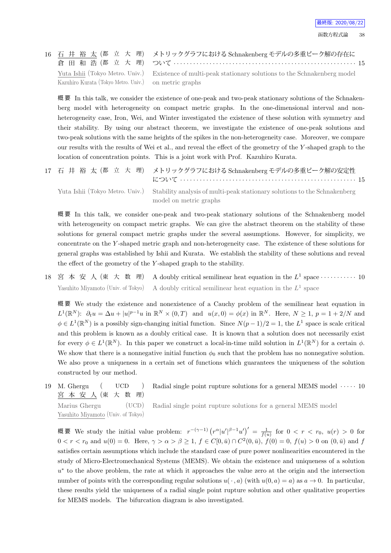

|                                                       | 16 石 井 裕 太 (都 立 大 理) メトリックグラフにおける Schnakenberg モデルの多重ピーク解の存在に                                          |
|-------------------------------------------------------|--------------------------------------------------------------------------------------------------------|
|                                                       |                                                                                                        |
|                                                       | Yuta Ishii (Tokyo Metro. Univ.) Existence of multi-peak stationary solutions to the Schnakenberg model |
| Kazuhiro Kurata (Tokyo Metro. Univ.) on metric graphs |                                                                                                        |

概 要 In this talk, we consider the existence of one-peak and two-peak stationary solutions of the Schnakenberg model with heterogeneity on compact metric graphs. In the one-dimensional interval and nonheterogeneity case, Iron, Wei, and Winter investigated the existence of these solution with symmetry and their stability. By using our abstract theorem, we investigate the existence of one-peak solutions and two-peak solutions with the same heights of the spikes in the non-heterogeneity case. Moreover, we compare our results with the results of Wei et al., and reveal the effect of the geometry of the *Y* -shaped graph to the location of concentration points. This is a joint work with Prof. Kazuhiro Kurata.

| 17 石 井 裕 太 (都 立 大 理) メトリックグラフにおける Schnakenberg モデルの多重ピーク解の安定性                                             |
|-----------------------------------------------------------------------------------------------------------|
| Yuta Ishii (Tokyo Metro. Univ.) Stability analysis of multi-peak stationary solutions to the Schnakenberg |
| model on metric graphs                                                                                    |

概 要 In this talk, we consider one-peak and two-peak stationary solutions of the Schnakenberg model with heterogeneity on compact metric graphs. We can give the abstract theorem on the stability of these solutions for general compact metric graphs under the several assumptions. However, for simplicity, we concentrate on the *Y* -shaped metric graph and non-heterogeneity case. The existence of these solutions for general graphs was established by Ishii and Kurata. We establish the stability of these solutions and reveal the effect of the geometry of the *Y* -shaped graph to the stability.

18 宮 本 安 人 (東 大 数 理) A doubly critical semilinear heat equation in the  $L^1$  space  $\cdots \cdots \cdots$  10 Yasuhito Miyamoto (Univ. of Tokyo) A doubly critical semilinear heat equation in the  $L^1$  space

概 要 We study the existence and nonexistence of a Cauchy problem of the semilinear heat equation in  $L^1(\mathbb{R}^N)$ :  $\partial_t u = \Delta u + |u|^{p-1}u$  in  $\mathbb{R}^N \times (0,T)$  and  $u(x,0) = \phi(x)$  in  $\mathbb{R}^N$ . Here,  $N \ge 1$ ,  $p = 1 + 2/N$  and  $\phi \in L^1(\mathbb{R}^N)$  is a possibly sign-changing initial function. Since  $N(p-1)/2 = 1$ , the  $L^1$  space is scale critical and this problem is known as a doubly critical case. It is known that a solution does not necessarily exist for every  $\phi \in L^1(\mathbb{R}^N)$ . In this paper we construct a local-in-time mild solution in  $L^1(\mathbb{R}^N)$  for a certain  $\phi$ . We show that there is a nonnegative initial function  $\phi_0$  such that the problem has no nonnegative solution. We also prove a uniqueness in a certain set of functions which guarantees the uniqueness of the solution constructed by our method.

19 M. Ghergu ( UCD ) 宮 本 安 人 (東 大 数 理) Radial single point rupture solutions for a general MEMS model *· · · · ·* 10 Marius Ghergu (UCD)

Yasuhito Miyamoto (Univ. of Tokyo)

Radial single point rupture solutions for a general MEMS model

概要 We study the initial value problem:  $r^{-(\gamma-1)} (r^{\alpha} |u'|^{\beta-1} u')' = \frac{1}{f(u)}$  for  $0 < r < r_0$ ,  $u(r) > 0$  for  $0 < r < r_0$  and  $u(0) = 0$ . Here,  $\gamma > \alpha > \beta \ge 1$ ,  $f \in C[0, \bar{u}) \cap C^2(0, \bar{u})$ ,  $f(0) = 0$ ,  $f(u) > 0$  on  $(0, \bar{u})$  and  $f$ satisfies certain assumptions which include the standard case of pure power nonlinearities encountered in the study of Micro-Electromechanical Systems (MEMS). We obtain the existence and uniqueness of a solution *u*<sup>∗</sup> to the above problem, the rate at which it approaches the value zero at the origin and the intersection number of points with the corresponding regular solutions  $u(\cdot, a)$  (with  $u(0, a) = a$ ) as  $a \to 0$ . In particular, these results yield the uniqueness of a radial single point rupture solution and other qualitative properties for MEMS models. The bifurcation diagram is also investigated.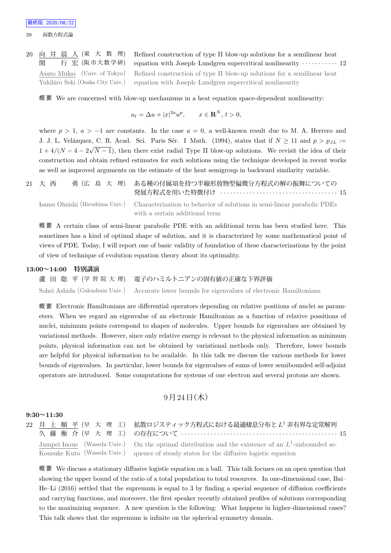20 向 井 晨 人 (東 大 数 理) 関 行宏 (阪市大数学研) Refined construction of type II blow-up solutions for a semilinear heat equation with Joseph–Lundgren supercritical nonlinearity *· · · · · · · · · · ·* 12 Asato Mukai (Univ. of Tokyo) Yukihiro Seki (Osaka City Univ.) Refined construction of type II blow-up solutions for a semilinear heat equation with Joseph–Lundgren supercritical nonlinearity

概 要 We are concerned with blow-up mechanisms in a heat equation space-dependent nonlinearity:

$$
u_t = \Delta u + |x|^{2a} u^p, \qquad x \in \mathbf{R}^N, t > 0,
$$

where  $p > 1$ ,  $a > -1$  are constants. In the case  $a = 0$ , a well-known result due to M. A. Herrero and J. J. L. Velázquez, C. R. Acad. Sci. Paris Sér. I Math. (1994), states that if  $N \ge 11$  and  $p > p_{JL}$  :=  $1 + 4/(N - 4 - 2\sqrt{N - 1})$ , then there exist radial Type II blow-up solutions. We revisit the idea of their construction and obtain refined estimates for such solutions using the technique developed in recent works as well as improved arguments on the estimate of the heat semigroup in backward similarity variable.

21 大 西 勇 (広 島 大 理) ある種の付属項を持つ半線形放物型偏微分方程式の解の振舞についての 発展方程式を用いた特徴付け *· · · · · · · · · · · · · · · · · · · · · · · · · · · · · · · · · · · ·* 15 Isamu Ohnishi (Hiroshima Univ.) Characterization to behavior of solutions in semi-linear parabolic PDEs

with a certain additional term

概 要 A certain class of semi-linear parabolic PDE with an additional term has been studied here. This sometimes has a kind of optimal shape of solution, and it is characterized by some mathematical point of views of PDE. Today, I will report one of basic validity of foundation of these characterizations by the point of view of technique of evolution equation theory about its optimality.

### **13:00~14:00 特別講演**

蘆 田 聡 平 (学 習 院 大 理) 電子のハミルトニアンの固有値の正確な下界評価 Sohei Ashida (Gakushuin Univ.) Accurate lower bounds for eigenvalues of electronic Hamiltonians

概 要 Electronic Hamiltonians are differential operators depending on relative positions of nuclei as parameters. When we regard an eigenvalue of an electronic Hamiltonian as a function of relative possitions of nuclei, minimum points correspond to shapes of molecules. Upper bounds for eigenvalues are obtained by variational methods. However, since only relative energy is relevant to the physical information as minimum points, physical information can not be obtained by variational methods only. Therefore, lower bounds are helpful for physical information to be available. In this talk we discuss the various methods for lower bounds of eigenvalues. In particular, lower bounds for eigenvalues of sums of lower semibounded self-adjoint operators are introduced. Some computations for systems of one electron and several protons are shown.

## $9$ 月 $24$ 日 $($ 木 $)$

## **9:30~11:30**

|  | 22 井 上 順 平 (早 大 理 工) 拡散ロジスティック方程式における最適棲息分布と L <sup>1</sup> 非有界な定常解列                                 |
|--|------------------------------------------------------------------------------------------------------|
|  | 久藤 衡 介 (早 大 理 工) の存在について ………………………………………………… 15                                                      |
|  | Jumpei Inoue (Waseda Univ.) On the optimal distribution and the existence of an $L^1$ -unbounded se- |
|  | Kousuke Kuto (Waseda Univ.) quence of steady states for the diffusive logistic equation              |

概 要 We discuss a stationary diffusive logistic equation on a ball. This talk focuses on an open question that showing the upper bound of the ratio of a total population to total resources. In one-dimensional case, Bai– He–Li (2016) settled that the supremum is equal to 3 by finding a special sequence of diffusion coefficients and carrying functions, and moreover, the first speaker recently obtained profiles of solutions corresponding to the maximizing sequence. A new question is the following: What happens in higher-dimensional cases? This talk shows that the supremum is infinite on the spherical symmetry domain.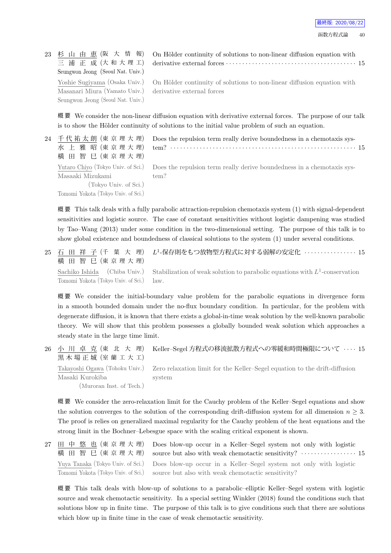23 杉 山 由 恵 (阪 大 情 報) 三 浦 正 成 (大 和 大 理 工) Seungwon Jeong (Seoul Nat. Univ.) Yoshie Sugiyama (Osaka Univ.) Masanari Miura (Yamato Univ.) Seungwon Jeong (Seoul Nat. Univ.) On Hölder continuity of solutions to non-linear diffusion equation with derivative external forces *· · · · · · · · · · · · · · · · · · · · · · · · · · · · · · · · · · · · · · · ·* 15

On Hölder continuity of solutions to non-linear diffusion equation with derivative external forces

概 要 We consider the non-linear diffusion equation with derivative external forces. The purpose of our talk is to show the Hölder continuity of solutions to the initial value problem of such an equation.

| 24 千代祐太朗 (東京理大理)                    | Does the repulsion term really derive boundedness in a chemotaxis sys-                                    |
|-------------------------------------|-----------------------------------------------------------------------------------------------------------|
| 水 上雅昭(東京理大理)                        |                                                                                                           |
| 横 田 智 巳 (東京理大理)                     |                                                                                                           |
|                                     | Yutaro Chiyo (Tokyo Univ. of Sci.) Does the repulsion term really derive boundedness in a chemotaxis sys- |
| Masaaki Mizukami                    | tem?                                                                                                      |
| (Tokyo Univ. of Sci.)               |                                                                                                           |
| Tomomi Yokota (Tokyo Univ. of Sci.) |                                                                                                           |
|                                     |                                                                                                           |

概 要 This talk deals with a fully parabolic attraction-repulsion chemotaxis system (1) with signal-dependent sensitivities and logistic source. The case of constant sensitivities without logistic dampening was studied by Tao–Wang (2013) under some condition in the two-dimensional setting. The purpose of this talk is to show global existence and boundedness of classical solutions to the system (1) under several conditions.

| 横田智巳(東京理大理)                              | 25 石 田 祥 子(千 葉 大 理) <i>Ŀ</i> 1-保存則をもつ放物型方程式に対する弱解の安定化 ・・・・・・・・・・・・・15                                       |
|------------------------------------------|-------------------------------------------------------------------------------------------------------------|
|                                          | Sachiko Ishida (Chiba Univ.) Stabilization of weak solution to parabolic equations with $L^1$ -conservation |
| Tomomi Yokota (Tokyo Univ. of Sci.) law. |                                                                                                             |

概 要 We consider the initial-boundary value problem for the parabolic equations in divergence form in a smooth bounded domain under the no-flux boundary condition. In particular, for the problem with degenerate diffusion, it is known that there exists a global-in-time weak solution by the well-known parabolic theory. We will show that this problem possesses a globally bounded weak solution which approaches a steady state in the large time limit.

| 黒木場正城 (室蘭工大工)                               | 26 小 川 卓 克(東 北 大 理) Keller–Segel方程式の移流拡散方程式への零緩和時間極限について ‥‥ 15                                                      |
|---------------------------------------------|---------------------------------------------------------------------------------------------------------------------|
| Masaki Kurokiba<br>(Muroran Inst. of Tech.) | Takayoshi Ogawa (Tohoku Univ.) Zero relaxation limit for the Keller-Segel equation to the drift-diffusion<br>system |

概 要 We consider the zero-relaxation limit for the Cauchy problem of the Keller–Segel equations and show the solution converges to the solution of the corresponding drift-diffusion system for all dimension  $n \geq 3$ . The proof is relies on generalized maximal regularity for the Cauchy problem of the heat equations and the strong limit in the Bochner–Lebesgue space with the scaling critical exponent is shown.

27 田 中 悠 也 (東 京 理 大 理) 横 田 智 巳 (東 京 理 大 理) Does blow-up occur in a Keller–Segel system not only with logistic source but also with weak chemotactic sensitivity?  $\cdots$  *· · · · · · · · · · · · · · ·* 15 Yuya Tanaka (Tokyo Univ. of Sci.) Tomomi Yokota (Tokyo Univ. of Sci.) Does blow-up occur in a Keller–Segel system not only with logistic source but also with weak chemotactic sensitivity?

概 要 This talk deals with blow-up of solutions to a parabolic–elliptic Keller–Segel system with logistic source and weak chemotactic sensitivity. In a special setting Winkler (2018) found the conditions such that solutions blow up in finite time. The purpose of this talk is to give conditions such that there are solutions which blow up in finite time in the case of weak chemotactic sensitivity.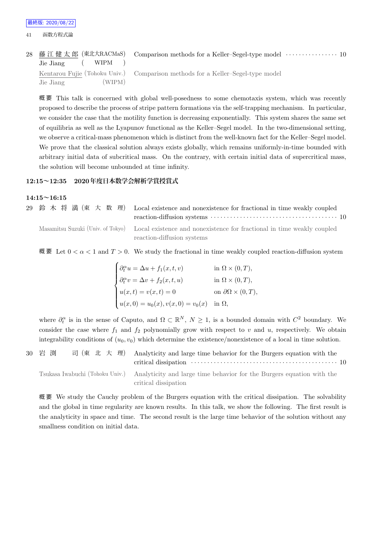| Jie Jiang (WIPM)    | 28 藤江健太郎 (東北大RACMaS) Comparison methods for a Keller-Segel-type model ………………………… 10 |
|---------------------|-------------------------------------------------------------------------------------|
|                     | Kentarou Fujie (Tohoku Univ.) Comparison methods for a Keller-Segel-type model      |
| (WIPM)<br>Jie Jiang |                                                                                     |

概 要 This talk is concerned with global well-posedness to some chemotaxis system, which was recently proposed to describe the process of stripe pattern formations via the self-trapping mechanism. In particular, we consider the case that the motility function is decreasing exponentially. This system shares the same set of equilibria as well as the Lyapunov functional as the Keller–Segel model. In the two-dimensional setting, we observe a critical-mass phenomenon which is distinct from the well-known fact for the Keller–Segel model. We prove that the classical solution always exists globally, which remains uniformly-in-time bounded with arbitrary initial data of subcritical mass. On the contrary, with certain initial data of supercritical mass, the solution will become unbounded at time infinity.

### **12:15~12:35 2020年度日本数学会解析学賞授賞式**

## **14:15~16:15**

| 29 鈴木将満(東大数理) Local existence and nonexistence for fractional in time weakly coupled                                                   |
|----------------------------------------------------------------------------------------------------------------------------------------|
| Masamitsu Suzuki (Univ. of Tokyo) Local existence and nonexistence for fractional in time weakly coupled<br>reaction-diffusion systems |

概 要 Let 0 *< α <* 1 and *T >* 0. We study the fractional in time weakly coupled reaction-diffusion system

$$
\begin{cases}\n\partial_t^\alpha u = \Delta u + f_1(x, t, v) & \text{in } \Omega \times (0, T), \\
\partial_t^\alpha v = \Delta v + f_2(x, t, u) & \text{in } \Omega \times (0, T), \\
u(x, t) = v(x, t) = 0 & \text{on } \partial\Omega \times (0, T), \\
u(x, 0) = u_0(x), v(x, 0) = v_0(x) & \text{in } \Omega,\n\end{cases}
$$

where  $\partial_t^{\alpha}$  is in the sense of Caputo, and  $\Omega \subset \mathbb{R}^N$ ,  $N \geq 1$ , is a bounded domain with  $C^2$  boundary. We consider the case where  $f_1$  and  $f_2$  polynomially grow with respect to  $v$  and  $u$ , respectively. We obtain integrability conditions of  $(u_0, v_0)$  which determine the existence/nonexistence of a local in time solution.

30 岩 渕 司 (東 北 大 理) Analyticity and large time behavior for the Burgers equation with the critical dissipation *· · · · · · · · · · · · · · · · · · · · · · · · · · · · · · · · · · · · · · · · · · · · ·* 10 Tsukasa Iwabuchi (Tohoku Univ.) Analyticity and large time behavior for the Burgers equation with the critical dissipation

概 要 We study the Cauchy problem of the Burgers equation with the critical dissipation. The solvability and the global in time regularity are known results. In this talk, we show the following. The first result is the analyticity in space and time. The second result is the large time behavior of the solution without any smallness condition on initial data.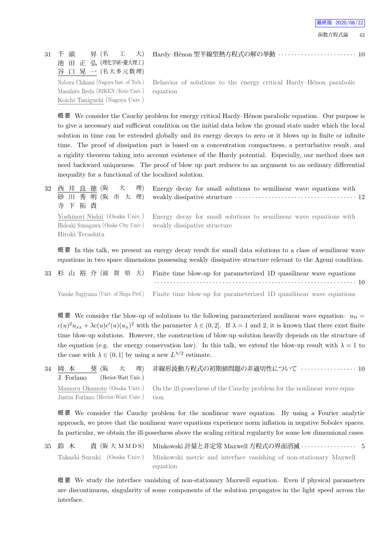31 千 頭 昇 (名 工 大) 池 田 正 弘 (理化学研・慶大理工) 谷 口 晃 一 (名大多元数理) Hardy–H´enon 型半線型熱方程式の解の挙動 *· · · · · · · · · · · · · · · · · · · · · · · ·* 10

Noboru Chikami (Nagoya Inst. of Tech.) Masahiro Ikeda (RIKEN/Keio Univ.) Koichi Taniguchi (Nagoya Univ.) Behavior of solutions to the energy critical Hardy–Hénon parabolic equation

概要 We consider the Cauchy problem for energy critical Hardy–Hénon parabolic equation. Our purpose is to give a necessary and sufficient condition on the initial data below the ground state under which the local solution in time can be extended globally and its energy decays to zero or it blows up in finite or infinite time. The proof of dissipation part is based on a concentration compactness, a perturbative result, and a rigidity theorem taking into account existence of the Hardy potential. Especially, our method does not need backward uniqueness. The proof of blow up part reduces to an argument to an ordinary differential inequality for a functional of the localized solution.

| $32^{\circ}$ | 西井良徳(阪<br>理)<br>大<br>Energy decay for small solutions to semilinear wave equations with                    |
|--------------|------------------------------------------------------------------------------------------------------------|
|              | 砂川秀明(阪市大理)                                                                                                 |
|              | 寺下拓貴                                                                                                       |
|              | Yoshinori Nishii (Osaka Univ.)<br>Energy decay for small solutions to semilinear wave equations with       |
|              | Hideaki Sunagawa (Osaka City Univ.)<br>weakly dissipative structure                                        |
|              | Hiroki Terashita                                                                                           |
|              |                                                                                                            |
|              | 概要 In this talk, we present an energy decay result for small data solutions to a class of semilinear wave  |
|              | equations in two space dimensions possessing weakly dissipative structure relevant to the Agemi condition. |

33 杉 山 裕 介 (滋 賀 県 大) Finite time blow-up for parameterized 1D quasilinear wave equations *· · · · · · · · · · · · · · · · · · · · · · · · · · · · · · · · · · · · · · · · · · · · · · · · · · · · · · · · · · · · · ·* 10 Yusuke Sugiyama (Univ. of Shiga Pref.) Finite time blow-up for parameterized 1D quasilinear wave equations

概 要 We consider the blow-up of solutions to the following parameterized nonlinear wave equation:  $u_{tt}$  $c(u)^2 u_{xx} + \lambda c(u) c'(u)(u_x)^2$  with the parameter  $\lambda \in (0, 2]$ . If  $\lambda = 1$  and 2, it is known that there exist finite time blow-up solutions. However, the construction of blow-up solution heavily depends on the structure of the equation (e.g. the energy conservation law). In this talk, we extend the blow-up result with  $\lambda = 1$  to the case with  $\lambda \in (0,1]$  by using a new  $L^{\lambda/2}$  estimate.

34 岡 本 葵 (阪 大 理) J. Forlano (Heriot-Watt Univ.) 非線形波動方程式の初期値問題の非適切性について *· · · · · · · · · · · · · · · · ·* 10 Mamoru Okamoto (Osaka Univ.) Justin Forlano (Heriot-Watt Univ.) On the ill-posedness of the Cauchy problem for the nonlinear wave equation

概 要 We consider the Cauchy problem for the nonlinear wave equation. By using a Fourier analytic approach, we prove that the nonlinear wave equations experience norm inflation in negative Sobolev spaces. In particular, we obtain the ill-posedness above the scaling critical regularity for some low dimensional cases.

35 鈴 木 貴 (阪 大 M M D S) Minkowski 計量と非定常 Maxwell 方程式の界面消滅 · · · · · · · · · · · · · · · 5 Takashi Suzuki (Osaka Univ.) Minkowski metric and interface vanishing of non-stationary Maxwell equation

概 要 We study the interface vanishing of non-stationary Maxwell equation. Even if physical parameters are discontinuous, singularity of some components of the solution propagates in the light speed across the interface.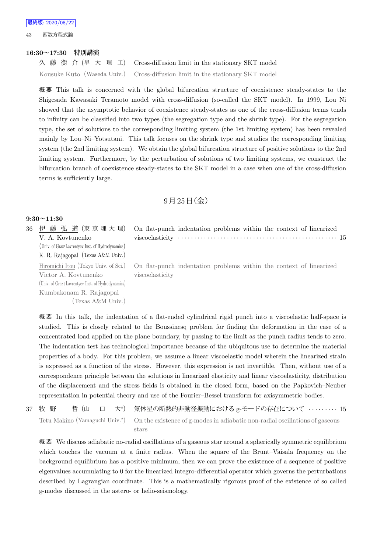43 函数方程式論

#### **16:30~17:30 特別講演**

久 藤 衡 介 (早 大 理 工) Cross-diffusion limit in the stationary SKT model Kousuke Kuto (Waseda Univ.) Cross-diffusion limit in the stationary SKT model

概 要 This talk is concerned with the global bifurcation structure of coexistence steady-states to the Shigesada–Kawasaki–Teramoto model with cross-diffusion (so-called the SKT model). In 1999, Lou–Ni showed that the asymptotic behavior of coexistence steady-states as one of the cross-diffusion terms tends to infinity can be classified into two types (the segregation type and the shrink type). For the segregation type, the set of solutions to the corresponding limiting system (the 1st limiting system) has been revealed mainly by Lou–Ni–Yotsutani. This talk focuses on the shrink type and studies the corresponding limiting system (the 2nd limiting system). We obtain the global bifurcation structure of positive solutions to the 2nd limiting system. Furthermore, by the perturbation of solutions of two limiting systems, we construct the bifurcation branch of coexistence steady-states to the SKT model in a case when one of the cross-diffusion terms is sufficiently large.

## $9$ 月 $25$ 日(金)

## **9:30~11:30**

36 伊 藤 弘 道 (東 京 理 大 理) V. A. Kovtunenko (Univ. of Graz・Lavrentyev Inst. of Hydrodynamics) K. R. Rajagopal (Texas A&M Univ.) On flat-punch indentation problems within the context of linearized viscoelasticity *· · · · · · · · · · · · · · · · · · · · · · · · · · · · · · · · · · · · · · · · · · · · · · · · ·* 15 Hiromichi Itou (Tokyo Univ. of Sci.) Victor A. Kovtunenko (Univ. of Graz/Lavrentyev Inst. of Hydrodynamics) Kumbakonam R. Rajagopal (Texas A&M Univ.) On flat-punch indentation problems within the context of linearized viscoelasticity

概 要 In this talk, the indentation of a flat-ended cylindrical rigid punch into a viscoelastic half-space is studied. This is closely related to the Boussinesq problem for finding the deformation in the case of a concentrated load applied on the plane boundary, by passing to the limit as the punch radius tends to zero. The indentation test has technological importance because of the ubiquitous use to determine the material properties of a body. For this problem, we assume a linear viscoelastic model wherein the linearized strain is expressed as a function of the stress. However, this expression is not invertible. Then, without use of a correspondence principle between the solutions in linearized elasticity and linear viscoelasticity, distribution of the displacement and the stress fields is obtained in the closed form, based on the Papkovich–Neuber representation in potential theory and use of the Fourier–Bessel transform for axisymmetric bodies.

| 37 牧 野 |  |  |  | 哲 (山 ロ 大*) 気体星の断熱的非動径振動における g-モードの存在について ………… 15                                                                        |
|--------|--|--|--|-------------------------------------------------------------------------------------------------------------------------|
|        |  |  |  | Tetu Makino (Yamaguchi Univ. <sup>*</sup> ) On the existence of g-modes in adiabatic non-radial oscillations of gaseous |
|        |  |  |  | stars                                                                                                                   |

概 要 We discuss adiabatic no-radial oscillations of a gaseous star around a spherically symmetric equilibrium which touches the vacuum at a finite radius. When the square of the Brunt–Vaisala frequency on the background equilibrium has a positive minimum, then we can prove the existence of a sequence of positive eigenvalues accumulating to 0 for the linearized integro-differential operator which governs the perturbations described by Lagrangian coordinate. This is a mathematically rigorous proof of the existence of so called g-modes discussed in the astero- or helio-seismology.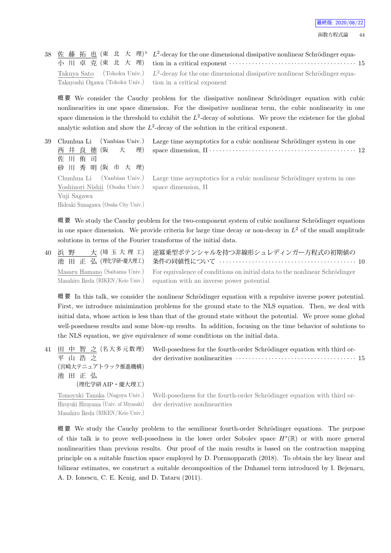|                                                            | 38 佐藤拓也(東北大理) $L^2$ -decay for the one dimensional dissipative nonlinear Schrödinger equa-              |
|------------------------------------------------------------|---------------------------------------------------------------------------------------------------------|
|                                                            | 小川卓克(東北大理) tion in a critical exponent …………………………………… 15                                                |
|                                                            | Takuya Sato (Tohoku Univ.) $L^2$ -decay for the one dimensional dissipative nonlinear Schrödinger equa- |
| Takayoshi Ogawa (Tohoku Univ.) tion in a critical exponent |                                                                                                         |

概要 We consider the Cauchy problem for the dissipative nonlinear Schrödinger equation with cubic nonlinearities in one space dimension. For the dissipative nonlinear term, the cubic nonlinearity in one space dimension is the threshold to exhibit the  $L^2$ -decay of solutions. We prove the existence for the global analytic solution and show the  $L^2$ -decay of the solution in the critical exponent.

| 39 | Chunhua Li (Yanbian Univ.)<br>西井良徳(阪大理)<br>佐川侑司<br>砂川秀明(阪市大理)                                            | Large time asymptotics for a cubic nonlinear Schrödinger system in one                            |
|----|----------------------------------------------------------------------------------------------------------|---------------------------------------------------------------------------------------------------|
|    | Yoshinori Nishii (Osaka Univ.) space dimension, II<br>Yuji Sagawa<br>Hideaki Sunagawa (Osaka City Univ.) | Chunhua Li (Yanbian Univ.) Large time asymptotics for a cubic nonlinear Schrödinger system in one |

概要 We study the Cauchy problem for the two-component system of cubic nonlinear Schrödinger equations in one space dimension. We provide criteria for large time decay or non-decay in *L* <sup>2</sup> of the small amplitude solutions in terms of the Fourier transforms of the initial data.

40 浜 野 大 (埼玉大理工) 池 田 正 弘 (理化学研・慶大理工) 逆冪乗型ポテンシャルを持つ非線形シュレディンガー方程式の初期値の 条件の同値性について *· · · · · · · · · · · · · · · · · · · · · · · · · · · · · · · · · · · · · · · · · ·* 10 Masaru Hamano (Saitama Univ.) Masahiro Ikeda (RIKEN/Keio Univ.) For equivalence of conditions on initial data to the nonlinear Schrödinger equation with an inverse power potential

概要 In this talk, we consider the nonlinear Schrödinger equation with a repulsive inverse power potential. First, we introduce minimization problems for the ground state to the NLS equation. Then, we deal with initial data, whose action is less than that of the ground state without the potential. We prove some global well-posedness results and some blow-up results. In addition, focusing on the time behavior of solutions to the NLS equation, we give equivalence of some conditions on the initial data.

| 41 - | 田 中 智 之 (名大多元数理)<br>平山浩之<br>(宮崎大テニュアトラック推進機構)<br>池田正弘<br>(理化学研 AIP・慶大理工) | Well-posedness for the fourth-order Schrödinger equation with third or-<br>der derivative nonlinearities $\cdots \cdots \cdots \cdots \cdots \cdots \cdots \cdots \cdots \cdots \cdots 15$ |
|------|--------------------------------------------------------------------------|--------------------------------------------------------------------------------------------------------------------------------------------------------------------------------------------|
|      | Tomoyuki Tanaka (Nagoya Univ.)<br>Hiroyuki Hirayama (Univ. of Miyazaki)  | Well-posedness for the fourth-order Schrödinger equation with third or-<br>der derivative nonlinearities                                                                                   |

Masahiro Ikeda (RIKEN/Keio Univ.)

概要 We study the Cauchy problem to the semilinear fourth-order Schrödinger equations. The purpose of this talk is to prove well-posedness in the lower order Sobolev space *H<sup>s</sup>* (R) or with more general nonlinearities than previous results. Our proof of the main results is based on the contraction mapping principle on a suitable function space employed by D. Pornnopparath (2018). To obtain the key linear and bilinear estimates, we construct a suitable decomposition of the Duhamel term introduced by I. Bejenaru, A. D. Ionescu, C. E. Kenig, and D. Tataru (2011).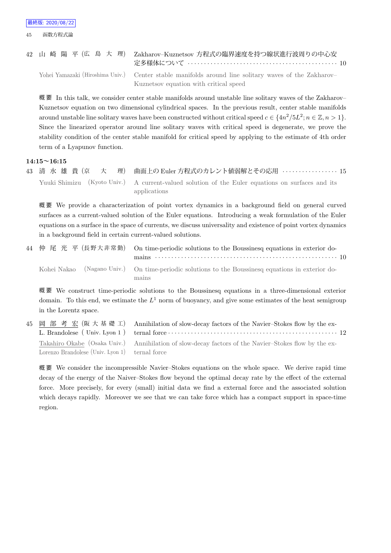|  |  |  |  | 42 山 崎 陽 平 (広 島 大 理) Zakharov-Kuznetsov 方程式の臨界速度を持つ線状進行波周りの中心安                                                                                                                                                                                                                                |  |  |  |  |  |  |  |  |  |  |  |
|--|--|--|--|-----------------------------------------------------------------------------------------------------------------------------------------------------------------------------------------------------------------------------------------------------------------------------------------------|--|--|--|--|--|--|--|--|--|--|--|
|  |  |  |  |                                                                                                                                                                                                                                                                                               |  |  |  |  |  |  |  |  |  |  |  |
|  |  |  |  | $\tau$ , $\tau$ , $\tau$ , $\tau$ , $\tau$ , $\tau$ , $\tau$ , $\tau$ , $\tau$ , $\tau$ , $\tau$ , $\tau$ , $\tau$ , $\tau$ , $\tau$ , $\tau$ , $\tau$ , $\tau$ , $\tau$ , $\tau$ , $\tau$ , $\tau$ , $\tau$ , $\tau$ , $\tau$ , $\tau$ , $\tau$ , $\tau$ , $\tau$ , $\tau$ , $\tau$ , $\tau$ |  |  |  |  |  |  |  |  |  |  |  |

Yohei Yamazaki (Hiroshima Univ.) Center stable manifolds around line solitary waves of the Zakharov– Kuznetsov equation with critical speed

概要 In this talk, we consider center stable manifolds around unstable line solitary waves of the Zakharov– Kuznetsov equation on two dimensional cylindrical spaces. In the previous result, center stable manifolds around unstable line solitary waves have been constructed without critical speed  $c \in \{4n^2/5L^2; n \in \mathbb{Z}, n > 1\}$ . Since the linearized operator around line solitary waves with critical speed is degenerate, we prove the stability condition of the center stable manifold for critical speed by applying to the estimate of 4th order term of a Lyapunov function.

#### **14:15~16:15**

43 清 水 雄 貴 (京 大 理) 曲面上の Euler 方程式のカレント値弱解とその応用 *· · · · · · · · · · · · · · · · ·* 15 Yuuki Shimizu (Kyoto Univ.) A current-valued solution of the Euler equations on surfaces and its applications

概 要 We provide a characterization of point vortex dynamics in a background field on general curved surfaces as a current-valued solution of the Euler equations. Introducing a weak formulation of the Euler equations on a surface in the space of currents, we discuss universality and existence of point vortex dynamics in a background field in certain current-valued solutions.

| 44 仲 尾 光 平 (長野大非常勤) On time-periodic solutions to the Boussinesq equations in exterior do-                 |
|------------------------------------------------------------------------------------------------------------|
| Kohei Nakao (Nagano Univ.) On time-periodic solutions to the Boussinesq equations in exterior do-<br>mains |

概 要 We construct time-periodic solutions to the Boussinesq equations in a three-dimensional exterior domain. To this end, we estimate the  $L^1$  norm of buoyancy, and give some estimates of the heat semigroup in the Lorentz space.

45 岡 部 考 宏 (阪 大 基 礎 工) L. Brandolese ( Univ. Lyon 1 ) Annihilation of slow-decay factors of the Navier–Stokes flow by the external force *· · · · · · · · · · · · · · · · · · · · · · · · · · · · · · · · · · · · · · · · · · · · · · · · · · · ·* 12 Takahiro Okabe (Osaka Univ.) Lorenzo Brandolese (Univ. Lyon 1) Annihilation of slow-decay factors of the Navier–Stokes flow by the external force

概 要 We consider the incompressible Navier–Stokes equations on the whole space. We derive rapid time decay of the energy of the Naiver–Stokes flow beyond the optimal decay rate by the effect of the external force. More precisely, for every (small) initial data we find a external force and the associated solution which decays rapidly. Moreover we see that we can take force which has a compact support in space-time region.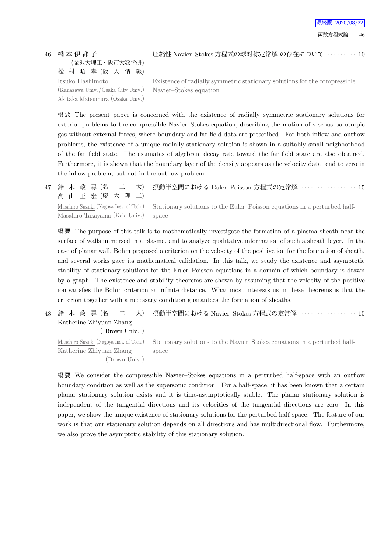46 橋 本 伊 都 子 (金沢大理工・阪市大数学研) 松 村 昭 孝 (阪 大 情 報) Itsuko Hashimoto (Kanazawa Univ. /Osaka City Univ.) Akitaka Matsumura (Osaka Univ.) 圧縮性 Navier–Stokes 方程式の球対称定常解 の存在について *· · · · · · · · ·* 10

Existence of radially symmetric stationary solutions for the compressible Navier–Stokes equation

概 要 The present paper is concerned with the existence of radially symmetric stationary solutions for exterior problems to the compressible Navier–Stokes equation, describing the motion of viscous barotropic gas without external forces, where boundary and far field data are prescribed. For both inflow and outflow problems, the existence of a unique radially stationary solution is shown in a suitably small neighborhood of the far field state. The estimates of algebraic decay rate toward the far field state are also obtained. Furthermore, it is shown that the boundary layer of the density appears as the velocity data tend to zero in the inflow problem, but not in the outflow problem.

47 鈴 木 政 尋 (名 工 大) 高 山 正 宏 (慶 大 理 工) 摂動半空間における Euler–Poisson 方程式の定常解 *· · · · · · · · · · · · · · · · ·* 15 Masahiro Suzuki (Nagoya Inst. of Tech.) Masahiro Takayama (Keio Univ.) Stationary solutions to the Euler–Poisson equations in a perturbed halfspace

概 要 The purpose of this talk is to mathematically investigate the formation of a plasma sheath near the surface of walls immersed in a plasma, and to analyze qualitative information of such a sheath layer. In the case of planar wall, Bohm proposed a criterion on the velocity of the positive ion for the formation of sheath, and several works gave its mathematical validation. In this talk, we study the existence and asymptotic stability of stationary solutions for the Euler–Poisson equations in a domain of which boundary is drawn by a graph. The existence and stability theorems are shown by assuming that the velocity of the positive ion satisfies the Bohm criterion at infinite distance. What most interests us in these theorems is that the criterion together with a necessary condition guarantees the formation of sheaths.

48 鈴 木 政 尋 (名 工 大) Katherine Zhiyuan Zhang 摂動半空間における Navier–Stokes 方程式の定常解 *· · · · · · · · · · · · · · · · ·* 15

Masahiro Suzuki (Nagoya Inst. of Tech.) Katherine Zhiyuan Zhang (Brown Univ.) space

( Brown Univ. )

Stationary solutions to the Navier–Stokes equations in a perturbed half-

概 要 We consider the compressible Navier–Stokes equations in a perturbed half-space with an outflow boundary condition as well as the supersonic condition. For a half-space, it has been known that a certain planar stationary solution exists and it is time-asymptotically stable. The planar stationary solution is independent of the tangential directions and its velocities of the tangential directions are zero. In this paper, we show the unique existence of stationary solutions for the perturbed half-space. The feature of our work is that our stationary solution depends on all directions and has multidirectional flow. Furthermore, we also prove the asymptotic stability of this stationary solution.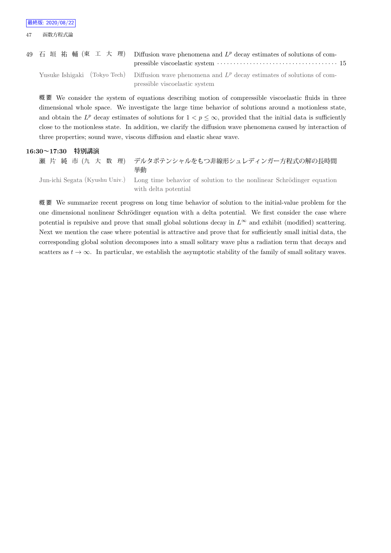| 49 石垣祐輔 (東工大理) Diffusion wave phenomena and $L^p$ decay estimates of solutions of com-               |
|------------------------------------------------------------------------------------------------------|
| Yusuke Ishigaki (Tokyo Tech) Diffusion wave phenomena and $L^p$ decay estimates of solutions of com- |
| pressible viscoelastic system                                                                        |

概 要 We consider the system of equations describing motion of compressible viscoelastic fluids in three dimensional whole space. We investigate the large time behavior of solutions around a motionless state, and obtain the  $L^p$  decay estimates of solutions for  $1 < p \leq \infty$ , provided that the initial data is sufficiently close to the motionless state. In addition, we clarify the diffusion wave phenomena caused by interaction of three properties; sound wave, viscous diffusion and elastic shear wave.

## **16:30~17:30 特別講演**

瀬 片 純 市 (九 大 数 理) デルタポテンシャルをもつ非線形シュレディンガー方程式の解の長時間 挙動 Jun-ichi Segata (Kyushu Univ.) Long time behavior of solution to the nonlinear Schrödinger equation

with delta potential

概 要 We summarize recent progress on long time behavior of solution to the initial-value problem for the one dimensional nonlinear Schrödinger equation with a delta potential. We first consider the case where potential is repulsive and prove that small global solutions decay in  $L^\infty$  and exhibit (modified) scattering. Next we mention the case where potential is attractive and prove that for sufficiently small initial data, the corresponding global solution decomposes into a small solitary wave plus a radiation term that decays and scatters as  $t \to \infty$ . In particular, we establish the asymptotic stability of the family of small solitary waves.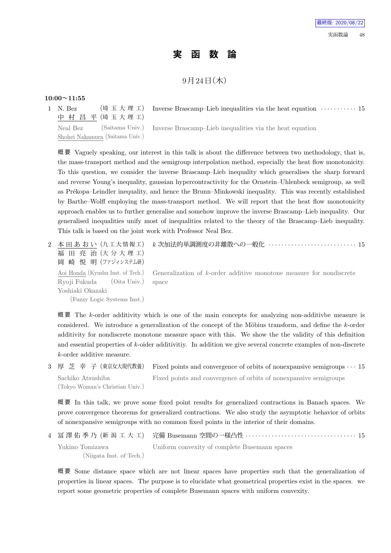# **実 函 数 論**

# $9$ 月 $24$ 日 $($ 木 $)$

## **10:00~11:55**

1 N. Bez (埼 玉 大 理 工) 中 村 昌 平 (埼 玉 大 理 工) Inverse Brascamp–Lieb inequalities via the heat equation *· · · · · · · · · · ·* 15

Neal Bez (Saitama Univ.) Shohei Nakamura (Saitama Univ.) Inverse Brascamp–Lieb inequalities via the heat equation

概 要 Vaguely speaking, our interest in this talk is about the difference between two methodology, that is, the mass-transport method and the semigroup interpolation method, especially the heat flow monotonicity. To this question, we consider the inverse Brascamp–Lieb inequality which generalises the sharp forward and reverse Young's inequality, gaussian hypercontractivity for the Ornstein–Uhlenbeck semigroup, as well as Prékopa–Leindler inequality, and hence the Brunn–Minkowski inequality. This was recently established by Barthe–Wolff employing the mass-transport method. We will report that the heat flow monotonicity approach enables us to further generalise and somehow improve the inverse Brascamp–Lieb inequality. Our generalised inequalities unify most of inequalities related to the theory of the Brascamp–Lieb inequality. This talk is based on the joint work with Professor Neal Bez.

| 福田亮治(大分大理工)<br>岡 崎 悦 明 (ファジィシステム研)                                                 | 2 本 田 あ お い(九工大情報工) k 次加法的単調測度の非離散への一般化 ····························· 15                              |
|------------------------------------------------------------------------------------|-------------------------------------------------------------------------------------------------------|
| Ryoji Fukuda (Oita Univ.) space<br>Yoshiaki Okazaki<br>(Fuzzy Logic Systems Inst.) | Aoi Honda (Kyushu Inst. of Tech.) Generalization of k-order additive monotone measure for nondiscrete |

概 要 The *k*-order additivity which is one of the main concepts for analyzing non-additivbe measure is considered. We introduce a generalization of the concept of the Möbius transform, and define the *k*-order additivity for nondiscrete monotone measure space with this. We show the the validity of this definition and essential properties of *k*-oider additivitiy. In addition we give several concrete examples of non-discrete *k*-order additive measure.

3 厚 芝 幸 子 (東京女大現代教養) Fixed points and convergence of orbits of nonexpansive semigroups *· · ·* 15 Sachiko Atsushiba

(Tokyo Woman's Christian Univ.) Fixed points and convergence of orbits of nonexpansive semigroups

概 要 In this talk, we prove some fixed point results for generalized contractions in Banach spaces. We prove convergence theorems for generalized contractions. We also study the asymptotic behavior of orbits of nonexpansive semigroups with no common fixed points in the interior of their domains.

4 冨 澤 佑 季 乃 (新 潟 工 大 工) 完備 Busemann 空間の一様凸性 *· · · · · · · · · · · · · · · · · · · · · · · · · · · · · · · · · ·* 15 Yukino Tomizawa (Niigata Inst. of Tech.) Uniform convexity of complete Busemann spaces

概 要 Some distance space which are not linear spaces have properties such that the generalization of properties in linear spaces. The purpose is to elucidate what geometrical properties exist in the spaces. we report some geometric properties of complete Busemann spaces with uniform convexity.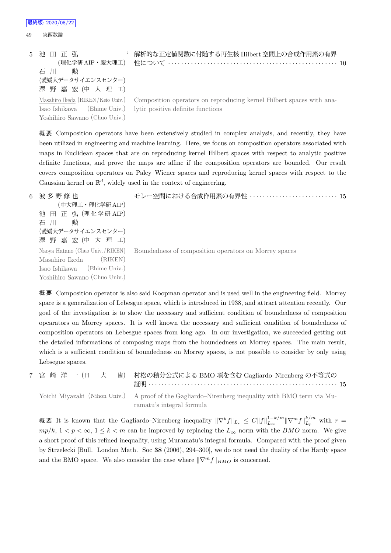```
49 実函数論
5 池 田 正 弘
          (理化学研 AIP・慶大理工)
    石 川 勲
    (愛媛大データサイエンスセンター)
    澤 野 嘉 宏 (中 大 理 工)
                               ♭ 解析的な正定値関数に付随する再生核 Hilbert 空間上の合成作用素の有界
                                 性について · · · · · · · · · · · · · · · · · · · · · · · · · · · · · · · · · · · · · · · · · · · · · · · · · · · · 10
    Masahiro Ikeda (RIKEN/Keio Univ.)
    Isao Ishikawa (Ehime Univ.)
    Yoshihiro Sawano (Chuo Univ.)
                                  Composition operators on reproducing kernel Hilbert spaces with ana-
                                 lytic positive definite functions
```
最終版: 2020/08/22

概 要 Composition operators have been extensively studied in complex analysis, and recently, they have been utilized in engineering and machine learning. Here, we focus on composition operators associated with maps in Euclidean spaces that are on reproducing kernel Hilbert spaces with respect to analytic positive definite functions, and prove the maps are affine if the composition operators are bounded. Our result covers composition operators on Paley–Wiener spaces and reproducing kernel spaces with respect to the Gaussian kernel on  $\mathbb{R}^d$ , widely used in the context of engineering.

6 波 多 野 修 也 (中大理工・理化学研 AIP) 池 田 正 弘 (理化学研 AIP) 石 川 勲 (愛媛大データサイエンスセンター) 澤 野 嘉 宏 (中 大 理 工) モレー空間における合成作用素の有界性 *· · · · · · · · · · · · · · · · · · · · · · · · · · ·* 15 Naoya Hatano (Chuo Univ./RIKEN) Masahiro Ikeda (RIKEN) Isao Ishikawa (Ehime Univ.) Yoshihiro Sawano (Chuo Univ.) Boundedness of composition operators on Morrey spaces

概 要 Composition operator is also said Koopman operator and is used well in the engineering field. Morrey space is a generalization of Lebesgue space, which is introduced in 1938, and attract attention recently. Our goal of the investigation is to show the necessary and sufficient condition of boundedness of composition opearators on Morrey spaces. It is well known the necessary and sufficient condition of boundedness of composition operators on Lebesgue spaces from long ago. In our investigation, we succeeded getting out the detailed informations of composing maps from the boundedness on Morrey spaces. The main result, which is a sufficient condition of boundedness on Morrey spaces, is not possible to consider by only using Lebsegue spaces.

|  | 7 宮 崎 洋 一 (日 大 歯) 村松の積分公式による BMO 項を含む Gagliardo-Nirenberg の不等式の                                                                |  |
|--|--------------------------------------------------------------------------------------------------------------------------------|--|
|  | Yoichi Miyazaki (Nihon Univ.) A proof of the Gagliardo–Nirenberg inequality with BMO term via Mu-<br>ramatu's integral formula |  |

概要 It is known that the Gagliardo–Nirenberg inequality  $\|\nabla^k f\|_{L_r} \leq C \|f\|_{L_\infty}^{1-k/m} \|\nabla^m f\|_{L_p}^{k/m}$  $L_p^{k/m}$  with  $r =$  $mp/k$ ,  $1 < p < \infty$ ,  $1 \leq k < m$  can be improved by replacing the  $L_{\infty}$  norm with the *BMO* norm. We give a short proof of this refined inequality, using Muramatu's integral formula. Compared with the proof given by Strzelecki [Bull. London Math. Soc **38** (2006), 294–300], we do not need the duality of the Hardy space and the BMO space. We also consider the case where  $\|\nabla^m f\|_{BMO}$  is concerned.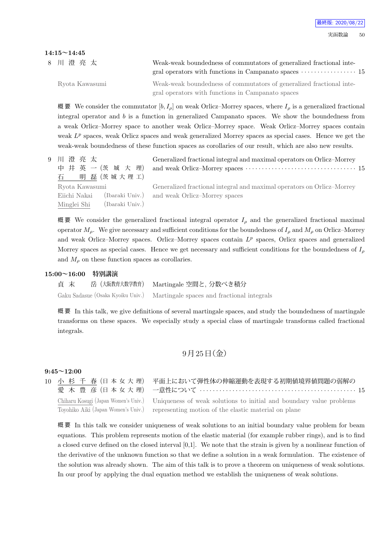## **14:15~14:45**

| 8 川 澄 亮 太      | Weak-weak boundedness of commutators of generalized fractional inte-<br>gral operators with functions in Campanato spaces $\cdots \cdots \cdots \cdots 15$ |  |
|----------------|------------------------------------------------------------------------------------------------------------------------------------------------------------|--|
| Ryota Kawasumi | Weak-weak boundedness of commutators of generalized fractional inte-<br>gral operators with functions in Campanato spaces                                  |  |

概 要 We consider the commutator  $[b, I_\rho]$  on weak Orlicz–Morrey spaces, where  $I_\rho$  is a generalized fractional integral operator and *b* is a function in generalized Campanato spaces. We show the boundedness from a weak Orlicz–Morrey space to another weak Orlicz–Morrey space. Weak Orlicz–Morrey spaces contain weak  $L^p$  spaces, weak Orlicz spaces and weak generalized Morrey spaces as special cases. Hence we get the weak-weak boundedness of these function spaces as corollaries of our result, which are also new results.

| 9 川 澄 亮 太<br>中井英一(茨城大理)<br>石 明磊(茨城大理工)                           | Generalized fractional integral and maximal operators on Orlicz-Morrey                                                  |
|------------------------------------------------------------------|-------------------------------------------------------------------------------------------------------------------------|
| Ryota Kawasumi<br>Eiichi Nakai<br>(Ibaraki Univ.)<br>Minglei Shi | Generalized fractional integral and maximal operators on Orlicz-Morrey<br>(Ibaraki Univ.) and weak Orlicz-Morrey spaces |

概要 We consider the generalized fractional integral operator  $I_\rho$  and the generalized fractional maximal operator *Mρ*. We give necessary and sufficient conditions for the boundedness of *I<sup>ρ</sup>* and *M<sup>ρ</sup>* on Orlicz–Morrey and weak Orlicz-Morrey spaces. Orlicz-Morrey spaces contain  $L^p$  spaces, Orlicz spaces and generalized Morrey spaces as special cases. Hence we get necessary and sufficient conditions for the boundedness of *I<sup>ρ</sup>* and  $M<sub>o</sub>$  on these function spaces as corollaries.

### **15:00~16:00 特別講演**

貞 末 岳 (大阪教育大数学教育) Martingale 空間と, 分数べき積分 Gaku Sadasue (Osaka Kyoiku Univ.) Martingale spaces and fractional integrals

概 要 In this talk, we give definitions of several martingale spaces, and study the boundedness of martingale transforms on these spaces. We especially study a special class of martingale transforms called fractional integrals.

# $9$ 月 $25$ 日(金)

## **9:45~12:00**

10 小 杉 千 春 (日 本 女 大 理) 愛 木 豊 彦 (日本女大理)

Chiharu Kosugi (Japan Women's Univ.) Toyohiko Aiki (Japan Women's Univ.)

平面上において弾性体の伸縮運動を表現する初期値境界値問題の弱解の 一意性について *· · · · · · · · · · · · · · · · · · · · · · · · · · · · · · · · · · · · · · · · · · · · · · · ·* 15 Uniqueness of weak solutions to initial and boundary value problems representing motion of the elastic material on plane

概 要 In this talk we consider uniqueness of weak solutions to an initial boundary value problem for beam equations. This problem represents motion of the elastic material (for example rubber rings), and is to find a closed curve defined on the closed interval [0,1]. We note that the strain is given by a nonlinear function of the derivative of the unknown function so that we define a solution in a weak formulation. The existence of the solution was already shown. The aim of this talk is to prove a theorem on uniqueness of weak solutions. In our proof by applying the dual equation method we establish the uniqueness of weak solutions.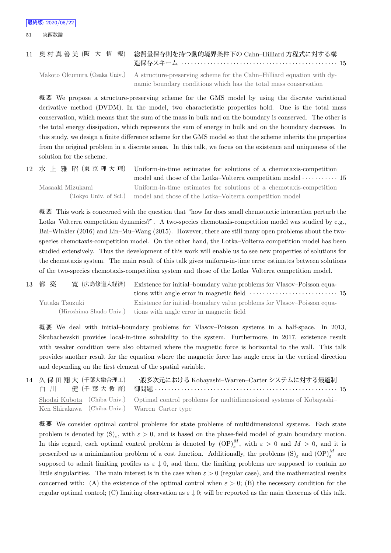## 11 奥 村 真 善 美 (阪 大 情 報) 総質量保存則を持つ動的境界条件下の Cahn–Hilliard 方程式に対する構 造保存スキーム *· · · · · · · · · · · · · · · · · · · · · · · · · · · · · · · · · · · · · · · · · · · · · · · ·* 15

Makoto Okumura (Osaka Univ.) A structure-preserving scheme for the Cahn–Hilliard equation with dynamic boundary conditions which has the total mass conservation

概 要 We propose a structure-preserving scheme for the GMS model by using the discrete variational derivative method (DVDM). In the model, two characteristic properties hold. One is the total mass conservation, which means that the sum of the mass in bulk and on the boundary is conserved. The other is the total energy dissipation, which represents the sum of energy in bulk and on the boundary decrease. In this study, we design a finite difference scheme for the GMS model so that the scheme inherits the properties from the original problem in a discrete sense. In this talk, we focus on the existence and uniqueness of the solution for the scheme.

|                  | 12 水 上 雅 昭 (東 京 理 大 理) Uniform-in-time estimates for solutions of a chemotaxis-competition |
|------------------|--------------------------------------------------------------------------------------------|
|                  | model and those of the Lotka–Volterra competition model $\cdots \cdots \cdots$ 15          |
| Masaaki Mizukami | Uniform-in-time estimates for solutions of a chemotaxis-competition                        |
|                  | (Tokyo Univ. of Sci.) model and those of the Lotka-Volterra competition model              |

概 要 This work is concerned with the question that "how far does small chemotactic interaction perturb the Lotka–Volterra competition dynamics?". A two-species chemotaxis-competition model was studied by e.g., Bai–Winkler (2016) and Lin–Mu–Wang (2015). However, there are still many open problems about the twospecies chemotaxis-competition model. On the other hand, the Lotka–Volterra competition model has been studied extensively. Thus the development of this work will enable us to see new properties of solutions for the chemotaxis system. The main result of this talk gives uniform-in-time error estimates between solutions of the two-species chemotaxis-competition system and those of the Lotka–Volterra competition model.

13 都 築 寛 (広島修道大経済) Existence for initial–boundary value problems for Vlasov–Poisson equations with angle error in magnetic field *· · · · · · · · · · · · · · · · · · · · · · · · · · ·* 15 Yutaka Tsuzuki (Hiroshima Shudo Univ.) Existence for initial–boundary value problems for Vlasov–Poisson equations with angle error in magnetic field

概 要 We deal with initial–boundary problems for Vlasov–Poisson systems in a half-space. In 2013, Skubachevskii provides local-in-time solvability to the system. Furthermore, in 2017, existence result with weaker condition were also obtained where the magnetic force is horizontal to the wall. This talk provides another result for the equation where the magnetic force has angle error in the vertical direction and depending on the first element of the spatial variable.

14 久 保 田 翔 大 (千葉大融合理工) 白 川 健 (千 葉 大 教 育) 一般多次元における Kobayashi–Warren–Carter システムに対する最適制 御問題 *· · · · · · · · · · · · · · · · · · · · · · · · · · · · · · · · · · · · · · · · · · · · · · · · · · · · · · · ·* 15 Shodai Kubota (Chiba Univ.) Ken Shirakawa (Chiba Univ.) Optimal control problems for multidimensional systems of Kobayashi– Warren–Carter type

概 要 We consider optimal control problems for state problems of multidimensional systems. Each state problem is denoted by  $(S)_{\varepsilon}$ , with  $\varepsilon > 0$ , and is based on the phase-field model of grain boundary motion. In this regard, each optimal control problem is denoted by  $({\rm OP})^M_\varepsilon$ , with  $\varepsilon > 0$  and  $M > 0$ , and it is prescribed as a minimization problem of a cost function. Additionally, the problems  $(S)_{\varepsilon}$  and  ${OP}^M_{\varepsilon}$  are supposed to admit limiting profiles as  $\varepsilon \downarrow 0$ , and then, the limiting problems are supposed to contain no little singularities. The main interest is in the case when  $\varepsilon > 0$  (regular case), and the mathematical results concerned with: (A) the existence of the optimal control when  $\varepsilon > 0$ ; (B) the necessary condition for the regular optimal control; (C) limiting observation as *ε ↓* 0; will be reported as the main theorems of this talk.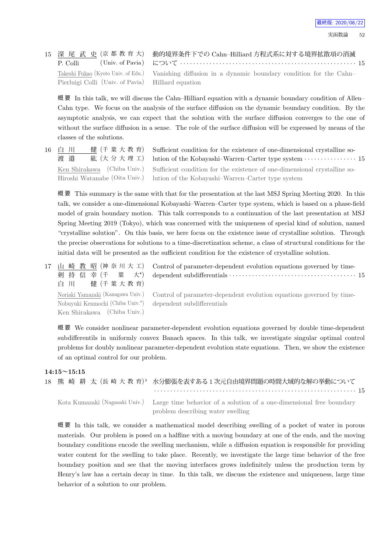|                                                    | 15 深 尾 武 史 (京 都 教 育 大) 動的境界条件下での Cahn-Hilliard 方程式系に対する境界拡散項の消滅                                       |
|----------------------------------------------------|-------------------------------------------------------------------------------------------------------|
| P. Colli                                           |                                                                                                       |
|                                                    | Takeshi Fukao (Kyoto Univ. of Edu.) Vanishing diffusion in a dynamic boundary condition for the Cahn- |
| Pierluigi Colli (Univ. of Pavia) Hilliard equation |                                                                                                       |

概 要 In this talk, we will discuss the Cahn–Hilliard equation with a dynamic boundary condition of Allen– Cahn type. We focus on the analysis of the surface diffusion on the dynamic boundary condition. By the asymptotic analysis, we can expect that the solution with the surface diffusion converges to the one of without the surface diffusion in a sense. The role of the surface diffusion will be expressed by means of the classes of the solutions.

16 白 川 健 (千 葉 大 教 育) 渡 邉 紘 (大分大理工) Ken Shirakawa (Chiba Univ.) Hiroshi Watanabe (Oita Univ.)

Sufficient condition for the existence of one-dimensional crystalline solution of the Kobayashi–Warren–Carter type system *· · · · · · · · · · · · · · · ·* 15 Sufficient condition for the existence of one-dimensional crystalline solution of the Kobayashi–Warren–Carter type system

概 要 This summary is the same with that for the presentation at the last MSJ Spring Meeting 2020. In this talk, we consider a one-dimensional Kobayashi–Warren–Carter type system, which is based on a phase-field model of grain boundary motion. This talk corresponds to a continuation of the last presentation at MSJ Spring Meeting 2019 (Tokyo), which was concerned with the uniqueness of special kind of solution, named "crystalline solution". On this basis, we here focus on the existence issue of crystalline solution. Through the precise observations for solutions to a time-discretization scheme, a class of structural conditions for the initial data will be presented as the sufficient condition for the existence of crystalline solution.

17 山 崎 教 昭 (神 奈 川 大 工) 剣 持 信 幸 (千 葉 大*<sup>⋆</sup>*  $+^{\star}$ 白 川 健 (千 葉 大 教 育) Noriaki Yamazaki (Kanagawa Univ.) Nobuyuki Kenmochi (Chiba Univ.*<sup>⋆</sup>* ) Ken Shirakawa (Chiba Univ.)

Control of parameter-dependent evolution equations governed by timedependent subdifferentials *· · · · · · · · · · · · · · · · · · · · · · · · · · · · · · · · · · · · · · ·* 15

Control of parameter-dependent evolution equations governed by timedependent subdifferentials

概 要 We consider nonlinear parameter-dependent evolution equations governed by double time-dependent subdifferentils in uniformly convex Banach spaces. In this talk, we investigate singular optimal control problems for doubly nonlinear parameter-dependent evolution state equations. Then, we show the existence of an optimal control for our problem.

#### **14:15~15:15**

|  |  |                                                                                                                                                                                                                                                                                                                                                                            |  |  |  |  |  |  |  |  |  | 18 熊 崎 耕 太 (長 崎 大 教 育)。 水分膨張を表すある1次元自由境界問題の時間大域的な解の挙動について |  |
|--|--|----------------------------------------------------------------------------------------------------------------------------------------------------------------------------------------------------------------------------------------------------------------------------------------------------------------------------------------------------------------------------|--|--|--|--|--|--|--|--|--|-----------------------------------------------------------|--|
|  |  |                                                                                                                                                                                                                                                                                                                                                                            |  |  |  |  |  |  |  |  |  |                                                           |  |
|  |  | $\mathcal{T}$ , $\mathcal{T}$ , $\mathcal{T}$ , $\left(\mathcal{M} \right)$ , $\mathcal{T}$ , $\mathcal{T}$ , $\mathcal{T}$ , $\mathcal{T}$ , $\mathcal{T}$ , $\mathcal{T}$ , $\mathcal{T}$ , $\mathcal{T}$ , $\mathcal{T}$ , $\mathcal{T}$ , $\mathcal{T}$ , $\mathcal{T}$ , $\mathcal{T}$ , $\mathcal{T}$ , $\mathcal{T}$ , $\mathcal{T}$ , $\mathcal{T}$ , $\mathcal{T$ |  |  |  |  |  |  |  |  |  |                                                           |  |

Kota Kumazaki (Nagasaki Univ.) Large time behavior of a solution of a one-dimensional free boundary problem describing water swelling

概 要 In this talk, we consider a mathematical model describing swelling of a pocket of water in porous materials. Our problem is posed on a halfline with a moving boundary at one of the ends, and the moving boundary conditions encode the swelling mechanism, while a diffusion equation is responsible for providing water content for the swelling to take place. Recently, we investigate the large time behavior of the free boundary position and see that the moving interfaces grows indefinitely unless the production term by Henry's law has a certain decay in time. In this talk, we discuss the existence and uniqueness, large time behavior of a solution to our problem.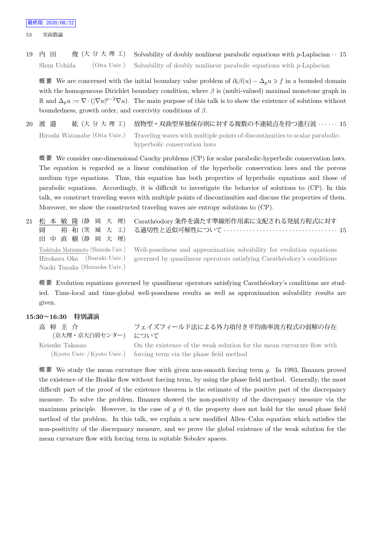53 実函数論

19 内 田 俊 (大 分 大 理 工) Solvability of doubly nonlinear parabolic equations with *p*-Laplacian *· ·* 15 Shun Uchida (Oita Univ.) Solvability of doubly nonlinear parabolic equations with *p*-Laplacian

概 要 We are concerned with the initial boundary value problem of *∂tβ*(*u*) *−* ∆*pu ∋ f* in a bounded domain with the homogeneous Dirichlet boundary condition, where *β* is (multi-valued) maximal monotone graph in R and  $\Delta_p u := \nabla \cdot (|\nabla u|^{p-2} \nabla u)$ . The main purpose of this talk is to show the existence of solutions without boundedness, growth order, and coercivity conditions of *β*.

20 渡 邉 紘 (大 分 大 理 工) 放物型・双曲型単独保存則に対する複数の不連続点を持つ進行波 *· · · · · ·* 15 Hiroshi Watanabe (Oita Univ.) Traveling waves with multiple points of discontinuities to scalar parabolichyperbolic conservation laws

概 要 We consider one-dimensional Cauchy problems (CP) for scalar parabolic-hyperbolic conservation laws. The equation is regarded as a linear combination of the hyperbolic conservation laws and the porous medium type equations. Thus, this equation has both properties of hyperbolic equations and those of parabolic equations. Accordingly, it is difficult to investigate the behavior of solutions to (CP). In this talk, we construct traveling waves with multiple points of discontinuities and discuss the properties of them. Moreover, we show the constructed traveling waves are entropy solutions to (CP).

| 21 松本 敏 隆 (静 岡 大 理)<br>裕 和 (茨 城 大 工)<br>岡<br>田 中 直 樹 (静 岡 大 理) | Carathéodory 条件を満たす準線形作用素に支配される発展方程式に対す<br>る適切性と近似可解性について ‥‥‥‥‥‥‥‥‥‥‥‥‥‥‥‥‥‥ 15                                                                                                     |
|----------------------------------------------------------------|-------------------------------------------------------------------------------------------------------------------------------------------------------------------------------------|
| Hirokazu Oka (Ibaraki Univ.)<br>Naoki Tanaka (Shizuoka Univ.)  | Toshitaka Matsumoto (Shizuoka Univ.) Well-posedness and approximation solvability for evolution equations<br>governed by quasilinear operators satisfying Carathéodory's conditions |

概要 Evolution equations governed by quasilinear operators satisfying Carathéodory's conditions are studied. Time-local and time-global well-posedness results as well as approximation solvability results are given.

## **15:30~16:30 特別講演**

| 高 棹 圭 介<br>(京大理・京大白眉センター) について | フェイズフィールド法による外力項付き平均曲率流方程式の弱解の存在                                       |
|--------------------------------|------------------------------------------------------------------------|
| Keisuke Takasao                | On the existence of the weak solution for the mean curvature flow with |
|                                | (Kyoto Univ./Kyoto Univ.) forcing term via the phase field method      |

概 要 We study the mean curvature flow with given non-smooth forcing term *g*. In 1993, Ilmanen proved the existence of the Brakke flow without forcing term, by using the phase field method. Generally, the most difficult part of the proof of the existence theorem is the estimate of the positive part of the discrepancy measure. To solve the problem, Ilmanen showed the non-positivity of the discrepancy measure via the maximum principle. However, in the case of  $q \neq 0$ , the property does not hold for the usual phase field method of the problem. In this talk, we explain a new modified Allen–Cahn equation which satisfies the non-positivity of the discrepancy measure, and we prove the global existence of the weak solution for the mean curvature flow with forcing term in suitable Sobolev spaces.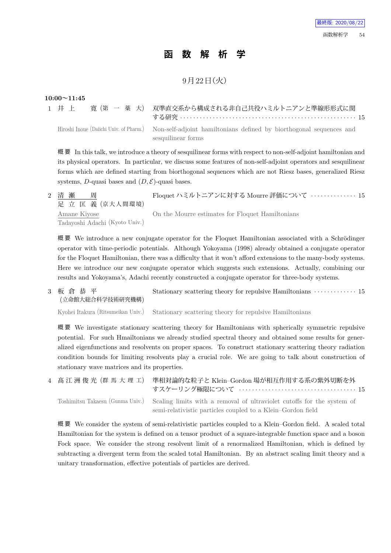# **函 数 解 析 学**

# 9月22日 (火)

## **10:00~11:45**

|  |  | 1 井上 寛(第一 薬大) 双準直交系から構成される非自己共役ハミルトニアンと準線形形式に関                                                              |
|--|--|-------------------------------------------------------------------------------------------------------------|
|  |  |                                                                                                             |
|  |  | Hiroshi Inque (Daijchi Univ. of Pharm.) Non-self-adjoint hamiltonians defined by biorthogonal sequences and |

Hiroshi Inoue (Daiichi Univ. of Pharm.) Non-self-adjoint hamiltonians defined by biorthogonal sequences and sesquilinear forms

概 要 In this talk, we introduce a theory of sesquilinear forms with respect to non-self-adjoint hamiltonian and its physical operators. In particular, we discuss some features of non-self-adjoint operators and sesquilinear forms which are defined starting from biorthogonal sequences which are not Riesz bases, generalized Riesz systems, *D*-quasi bases and  $(D, \mathcal{E})$ -quasi bases.

2 清 瀬 周 足 立 匡 義 (京大人間環境) Floquet ハミルトニアンに対する Mourre 評価について *· · · · · · · · · · · · · ·* 15 Amane Kiyose Tadayoshi Adachi (Kyoto Univ.) On the Mourre estimates for Floquet Hamiltonians

概要 We introduce a new conjugate operator for the Floquet Hamiltonian associated with a Schrödinger operator with time-periodic potentials. Although Yokoyama (1998) already obtained a conjugate operator for the Floquet Hamiltonian, there was a difficulty that it won't afford extensions to the many-body systems. Here we introduce our new conjugate operator which suggests such extensions. Actually, combining our results and Yokoyama's, Adachi recently constructed a conjugate operator for three-body systems.

3 板 倉 恭 平 (立命館大総合科学技術研究機構) Stationary scattering theory for repulsive Hamiltonians  $\cdots$  *· · · · · · · · · · · · 15* 

Kyohei Itakura (Ritsumeikan Univ.) Stationary scattering theory for repulsive Hamiltonians

概 要 We investigate stationary scattering theory for Hamiltonians with spherically symmetric repulsive potential. For such Hmailtonians we already studied spectral theory and obtained some results for generalized eigenfunctions and resolvents on proper spaces. To construct stationary scattering theory radiation condition bounds for limiting resolvents play a crucial role. We are going to talk about construction of stationary wave matrices and its properties.

|  | 4 - 髙 江 洲 俊 光(群 馬 大 理 工) 準相対論的な粒子と Klein–Gordon 場が相互作用する系の紫外切断を外                                        |
|--|---------------------------------------------------------------------------------------------------------|
|  | Toshimitsu Takaesu (Gunma Univ.) Scaling limits with a removal of ultraviolet cutoffs for the system of |
|  | semi-relativistic particles coupled to a Klein-Gordon field                                             |

概 要 We consider the system of semi-relativistic particles coupled to a Klein–Gordon field. A scaled total Hamiltonian for the system is defined on a tensor product of a square-integrable function space and a boson Fock space. We consider the strong resolvent limit of a renormalized Hamiltonian, which is defined by subtracting a divergent term from the scaled total Hamiltonian. By an abstract scaling limit theory and a unitary transformation, effective potentials of particles are derived.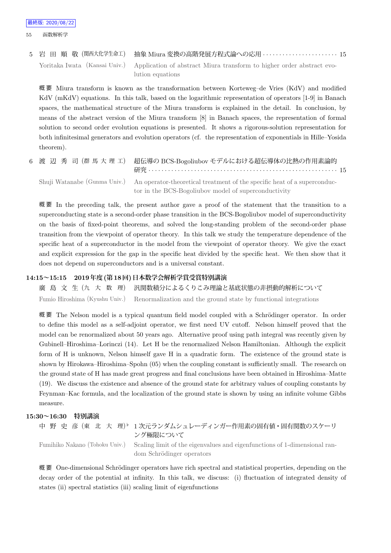5 岩 田 順 敬 (関西大化学生命工) 抽象 Miura 変換の高階発展方程式論への応用 *· · · · · · · · · · · · · · · · · · · · · · ·* 15 Yoritaka Iwata (Kansai Univ.) Application of abstract Miura transform to higher order abstract evolution equations

概 要 Miura transform is known as the transformation between Korteweg–de Vries (KdV) and modified KdV (mKdV) equations. In this talk, based on the logarithmic representation of operators [1-9] in Banach spaces, the mathematical structure of the Miura transform is explained in the detail. In conclusion, by means of the abstract version of the Miura transform [8] in Banach spaces, the representation of formal solution to second order evolution equations is presented. It shows a rigorous-solution representation for both infinitesimal generators and evolution operators (cf. the representation of exponentials in Hille–Yosida theorem).

6 渡 辺 秀 司 (群 馬 大 理 工) 超伝導の BCS-Bogoliubov モデルにおける超伝導体の比熱の作用素論的 研究 *· · · · · · · · · · · · · · · · · · · · · · · · · · · · · · · · · · · · · · · · · · · · · · · · · · · · · · · · · ·* 15 Shuji Watanabe (Gunma Univ.) An operator-theoretical treatment of the specific heat of a superconductor in the BCS-Bogoliubov model of superconductivity

概 要 In the preceding talk, the present author gave a proof of the statement that the transition to a superconducting state is a second-order phase transition in the BCS-Bogoliubov model of superconductivity on the basis of fixed-point theorems, and solved the long-standing problem of the second-order phase transition from the viewpoint of operator theory. In this talk we study the temperature dependence of the specific heat of a superconductor in the model from the viewpoint of operator theory. We give the exact and explicit expression for the gap in the specific heat divided by the specific heat. We then show that it does not depend on superconductors and is a universal constant.

## **14:15~15:15 2019年度(第18回)日本数学会解析学賞受賞特別講演**

廣 島 文 生 (九 大 数 理) 汎関数積分によるくりこみ理論と基底状態の非摂動的解析について Fumio Hiroshima (Kyushu Univ.) Renormalization and the ground state by functional integrations

概要 The Nelson model is a typical quantum field model coupled with a Schrödinger operator. In order to define this model as a self-adjoint operator, we first need UV cutoff. Nelson himself proved that the model can be renormalized about 50 years ago. Alternative proof using path integral was recently given by Gubinell–Hiroshima–Lorinczi (14). Let H be the renormalized Nelson Hamiltonian. Although the explicit form of H is unknown, Nelson himself gave H in a quadratic form. The existence of the ground state is shown by Hirokawa–Hiroshima–Spohn (05) when the coupling constant is sufficiently small. The research on the ground state of H has made great progress and final conclusions have been obtained in Hiroshima–Matte (19). We discuss the existence and absence of the ground state for arbitrary values of coupling constants by Feynman–Kac formula, and the localization of the ground state is shown by using an infinite volume Gibbs measure.

**15:30~16:30 特別講演**

```
中 野 史 彦 (東 北 大 理)
                         ♭ 1 次元ランダムシュレーディンガー作用素の固有値・固有関数のスケーリ
                         ング極限について
Fumihiko Nakano (Tohoku Univ.) Scaling limit of the eigenvalues and eigenfunctions of 1-dimensional ran-
                         dom Schrödinger operators
```
概要 One-dimensional Schrödinger operators have rich spectral and statistical properties, depending on the decay order of the potential at infinity. In this talk, we discuss: (i) fluctuation of integrated density of states (ii) spectral statistics (iii) scaling limit of eigenfunctions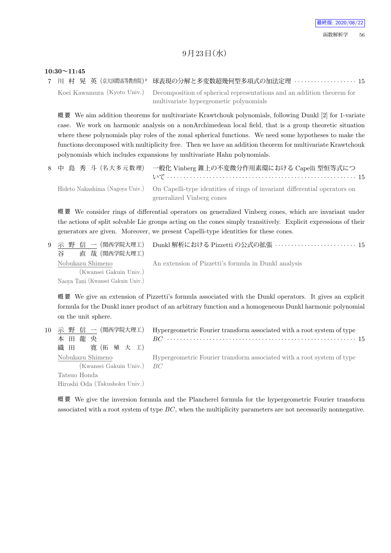# $9$ 月 $23$ 日 $($ 水 $)$

## **10:30~11:45**

7 川 村 晃 英 (京大国際高等教育院) b *♭* 球表現の分解と多変数超幾何型多項式の加法定理 *· · · · · · · · · · · · · · · · · · ·* 15 Koei Kawamura (Kyoto Univ.) Decomposition of spherical representations and an addition theorem for multivariate hypergeometic polynomials

概要 We aim addition theorems for multivariate Krawtchouk polynomials, following Dunkl [2] for 1-variate case. We work on harmonic analysis on a nonArchimedean local field, that is a group theoretic situation where these polynomials play roles of the zonal spherical functions. We need some hypotheses to make the functions decomposed with multiplicity free. Then we have an addition theorem for multivariate Krawtchouk polynomials which includes expansions by multivariate Hahn polynomials.

|  | 8 中 島 秀 斗 (名大多元数理) 一般化 Vinberg 錐上の不変微分作用素環における Capelli 型恒等式につ                                                                           |
|--|-----------------------------------------------------------------------------------------------------------------------------------------|
|  | Hideto Nakashima (Nagoya Univ.) On Capelli-type identities of rings of invariant differential operators on<br>generalized Vinberg cones |

概 要 We consider rings of differential operators on generalized Vinberg cones, which are invariant under the actions of split solvable Lie groups acting on the cones simply transitively. Explicit expressions of their generators are given. Moreover, we present Capelli-type identities for these cones.

| 直 哉 (関西学院大理工)<br>谷                                                              | 9 示 野 信 一 (関西学院大理工)  Dunkl 解析における Pizzetti の公式の拡張 ‥‥‥‥‥‥‥‥‥‥‥‥‥‥ 15 |
|---------------------------------------------------------------------------------|---------------------------------------------------------------------|
| Nobukazu Shimeno<br>(Kwansei Gakuin Univ.)<br>Naoya Tani (Kwansei Gakuin Univ.) | An extension of Pizzetti's formula in Dunkl analysis                |

概 要 We give an extension of Pizzetti's formula associated with the Dunkl operators. It gives an explicit formula for the Dunkl inner product of an arbitrary function and a homogeneous Dunkl harmonic polynomial on the unit sphere.

| 10 示 野 信 一 (関西学院大理工)          | Hypergeometric Fourier transform associated with a root system of type |
|-------------------------------|------------------------------------------------------------------------|
| 本田龍央                          |                                                                        |
| 織田 寛(拓殖大工)                    |                                                                        |
| Nobukazu Shimeno              | Hypergeometric Fourier transform associated with a root system of type |
| $(Kwansei Gakuin Univ.)$ $BC$ |                                                                        |
| Tatsuo Honda                  |                                                                        |
| Hiroshi Oda (Takushoku Univ.) |                                                                        |

概 要 We give the inversion formula and the Plancherel formula for the hypergeometric Fourier transform associated with a root system of type *BC*, when the multiplicity parameters are not necessarily nonnegative.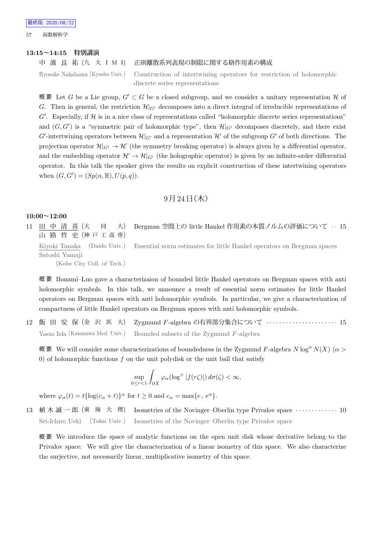57 函数解析学

#### **13:15~14:15 特別講演**

#### 中 濱 良 祐 (九 大 I M I) 正則離散系列表現の制限に関する絡作用素の構成

Ryosuke Nakahama (Kyushu Univ.) Construction of intertwining operators for restriction of holomorphic discrete series representations

概 要 Let *G* be a Lie group, *G′ ⊂ G* be a closed subgroup, and we consider a unitary representation *H* of *G*. Then in general, the restriction  $\mathcal{H}|_{G'}$  decomposes into a direct integral of irreducible representations of  $G'$ . Especially, if  $H$  is in a nice class of representations called "holomorphic discrete series representations" and  $(G, G')$  is a "symmetric pair of holomorphic type", then  $\mathcal{H}|_{G'}$  decomposes discretely, and there exist *G*<sup> $\prime$ </sup>-intertwining operators between  $\mathcal{H}|_{G'}$  and a representation  $\mathcal{H}'$  of the subgroup  $G'$  of both directions. The projection operator  $\mathcal{H}|_{G'} \to \mathcal{H}'$  (the symmetry breaking operator) is always given by a differential operator, and the embedding operator  $\mathcal{H}' \to \mathcal{H}|_{G'}$  (the holographic operator) is given by an infinite-order differential operator. In this talk the speaker gives the results on explicit construction of these intertwining operators when  $(G, G') = (Sp(n, \mathbb{R}), U(p, q)).$ 

## $9$  月  $24$  日 (木)

### **10:00~12:00**

11 田 中 清 喜 (大 同 大) 山 路 哲 史 (神 戸 工 高 専) Bergman 空間上の little Hankel 作用素の本質ノルムの評価について *· ·* 15 Kiyoki Tanaka (Daido Univ.) Satoshi Yamaji (Kobe City Coll. of Tech.) Essential norm estimates for little Hankel operators on Bergman spaces

概 要 Bonami–Luo gave a characterizaion of bounded little Hankel operators on Bergman spaces with anti holomorphic symbols. In this talk, we announce a result of essential norm estimates for little Hankel operators on Bergman spaces with anti holomorphic symbols. In particular, we give a characterization of compactness of little Hankel operators on Bergman spaces with anti holomorphic symbols.

12 飯 田 安 保 (金 沢 医 大) Zygmund *F*-algebra の有界部分集合について *· · · · · · · · · · · · · · · · · · · · · ·* 15 Yasuo Iida (Kanazawa Med. Univ.) Bounded subsets of the Zygmund *F*-algebra

概要 We will consider some characterizations of boundedness in the Zygmund F-algebra  $N \log^{\alpha} N(X)$  ( $\alpha$ ) 0) of holomorphic functions *f* on the unit polydisk or the unit ball that satisfy

$$
\sup_{0 \le r < 1} \int_{\partial X} \varphi_\alpha(\log^+ |f(r\zeta)|) \, d\sigma(\zeta) < \infty,
$$

where  $\varphi_{\alpha}(t) = t \{ \log(c_{\alpha} + t) \}^{\alpha}$  for  $t \ge 0$  and  $c_{\alpha} = \max\{e, e^{\alpha}\}.$ 

13 植木誠一郎 (東 海 大 理) Isometries of the Novinger–Oberlin type Privalov space ·············· 10 Sei-Ichiro Ueki (Tokai Univ.) Isometries of the Novinger–Oberlin type Privalov space

概 要 We introduce the space of analytic functions on the open unit disk whose derivative belong to the Privalov space. We will give the characterization of a linear isometry of this space. We also characterize the surjective, not necessarily linear, multiplicative isometry of this space.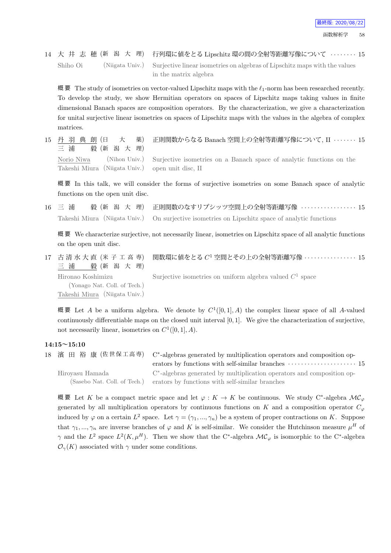# 14 大 井 志 穂 (新 潟 大 理) 行列環に値をとる Lipschitz 環の間の全射等距離写像について *· · · · · · · ·* 15 Shiho Oi (Niigata Univ.) Surjective linear isometries on algebras of Lipschitz maps with the values in the matrix algebra

概 要 The study of isometries on vector-valued Lipschitz maps with the *ℓ*1-norm has been researched recently. To develop the study, we show Hermitian operators on spaces of Lipschitz maps taking values in finite dimensional Banach spaces are composition operators. By the characterization, we give a characterization for unital surjective linear isometries on spaces of Lipschitz maps with the values in the algebra of complex matrices.

15 丹 羽 典 朗 (日 大 薬) 三 浦 毅 (新 潟 大 理) 正則関数からなる Banach 空間上の全射等距離写像について, II *· · · · · · ·* 15 Norio Niwa (Nihon Univ.) Takeshi Miura (Niigata Univ.) Surjective isometries on a Banach space of analytic functions on the open unit disc, II

概 要 In this talk, we will consider the forms of surjective isometries on some Banach space of analytic functions on the open unit disc.

16 三 浦 毅 (新 潟 大 理) 正則関数のなすリプシッツ空間上の全射等距離写像 *· · · · · · · · · · · · · · · · ·* 15 Takeshi Miura (Niigata Univ.) On surjective isometries on Lipschitz space of analytic functions

概 要 We characterize surjective, not necessarily linear, isometries on Lipschitz space of all analytic functions on the open unit disc.

17 古 清 水 大 直 (米 子 工 高 専) 三 浦 毅 (新 潟 大 理) 関数環に値をとる *C* <sup>1</sup> 空間とその上の全射等距離写像 *· · · · · · · · · · · · · · · ·* 15 Hironao Koshimizu (Yonago Nat. Coll. of Tech.) Takeshi Miura (Niigata Univ.) Surjective isometries on uniform algebra valued  $C^1$  space

概要 Let *A* be a uniform algebra. We denote by  $C^1([0,1], A)$  the complex linear space of all *A*-valued continuously differentiable maps on the closed unit interval [0*,* 1]. We give the characterization of surjective, not necessarily linear, isometries on  $C^1([0,1], A)$ .

## **14:15~15:10**

|                              | 18 濱 田 裕 康 (佐世保工高専) C*-algebras generated by multiplication operators and composition op-<br>erators by functions with self-similar branches $\dots\dots\dots\dots\dots\dots\dots$ 15 |
|------------------------------|---------------------------------------------------------------------------------------------------------------------------------------------------------------------------------------|
| Hiroyasu Hamada              | C <sup>*</sup> -algebras generated by multiplication operators and composition op-                                                                                                    |
| (Sasebo Nat. Coll. of Tech.) | erators by functions with self-similar branches                                                                                                                                       |

概要 Let *K* be a compact metric space and let  $\varphi: K \to K$  be continuous. We study C<sup>\*</sup>-algebra  $\mathcal{MC}_{\varphi}$ generated by all multiplication operators by continuous functions on *K* and a composition operator  $C_\varphi$ induced by  $\varphi$  on a certain  $L^2$  space. Let  $\gamma = (\gamma_1, ..., \gamma_n)$  be a system of proper contractions on *K*. Suppose that  $\gamma_1, ..., \gamma_n$  are inverse branches of  $\varphi$  and K is self-similar. We consider the Hutchinson measure  $\mu^H$  of *γ* and the  $L^2$  space  $L^2(K, \mu^H)$ . Then we show that the C<sup>\*</sup>-algebra  $\mathcal{MC}_{\varphi}$  is isomorphic to the C<sup>\*</sup>-algebra  $\mathcal{O}_\gamma(K)$  associated with  $\gamma$  under some conditions.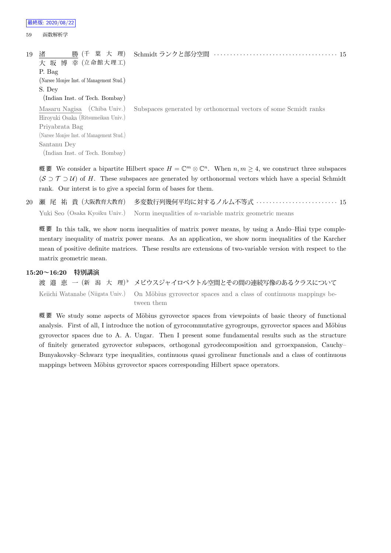59 函数解析学

| 19 | 勝 (千 葉 大 理)<br>渚<br>大 坂 博 幸 (立命館大理工)      | Schmidt ランクと部分空間                                                |
|----|-------------------------------------------|-----------------------------------------------------------------|
|    | P. Bag                                    |                                                                 |
|    | (Narsee Monjee Inst. of Management Stud.) |                                                                 |
|    | S. Dev                                    |                                                                 |
|    | (Indian Inst. of Tech. Bombay)            |                                                                 |
|    | Masaru Nagisa (Chiba Univ.)               | Subspaces generated by orthonormal vectors of some Scmidt ranks |
|    | Hiroyuki Osaka (Ritsumeikan Univ.)        |                                                                 |
|    | Priyabrata Bag                            |                                                                 |
|    | (Narsee Monjee Inst. of Management Stud.) |                                                                 |
|    | Santanu Dey                               |                                                                 |
|    |                                           |                                                                 |

(Indian Inst. of Tech. Bombay)

概要 We consider a bipartite Hilbert space  $H = \mathbb{C}^m \otimes \mathbb{C}^n$ . When  $n, m \geq 4$ , we construct three subspaces (*S ⊃ T ⊃ U*) of *H*. These subspaces are generated by orthonormal vectors which have a special Schmidt rank. Our interst is to give a special form of bases for them.

```
20 瀬 尾 祐 貴 (大阪教育大教育) 多変数行列幾何平均に対するノルム不等式 · · · · · · · · · · · · · · · · · · · · · · · · · 15
   Yuki Seo (Osaka Kyoiku Univ.) Norm inequalities of n-variable matrix geometric means
```
概 要 In this talk, we show norm inequalities of matrix power means, by using a Ando–Hiai type complementary inequality of matrix power means. As an application, we show norm inequalities of the Karcher mean of positive definite matrices. These results are extensions of two-variable version with respect to the matrix geometric mean.

## **15:20~16:20 特別講演**

渡 邉 恵 一 (新 潟 大 理) *♭* メビウスジャイロベクトル空間とその間の連続写像のあるクラスについて Keiichi Watanabe (Niigata Univ.) On Möbius gyrovector spaces and a class of continuous mappings between them

概要 We study some aspects of Möbius gyrovector spaces from viewpoints of basic theory of functional analysis. First of all, I introduce the notion of gyrocommutative gyrogroups, gyrovector spaces and Möbius gyrovector spaces due to A. A. Ungar. Then I present some fundamental results such as the structure of finitely generated gyrovector subspaces, orthogonal gyrodecomposition and gyroexpansion, Cauchy– Bunyakovsky–Schwarz type inequalities, continuous quasi gyrolinear functionals and a class of continuous mappings between Möbius gyrovector spaces corresponding Hilbert space operators.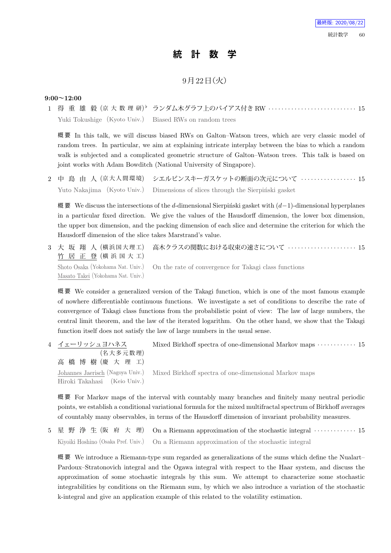# **統 計 数 学**

# 9月22日 (火)

## **9:00~12:00**

1 得 重 雄 毅 (京 大 数 理 研) *♭* ランダム木グラフ上のバイアス付き RW *· · · · · · · · · · · · · · · · · · · · · · · · · · ·* 15 Yuki Tokushige (Kyoto Univ.) Biased RWs on random trees

概 要 In this talk, we will discuss biased RWs on Galton–Watson trees, which are very classic model of random trees. In particular, we aim at explaining intricate interplay between the bias to which a random walk is subjected and a complicated geometric structure of Galton–Watson trees. This talk is based on joint works with Adam Bowditch (National University of Singapore).

2 中 島 由 人 (京 大 人 間 環 境) シエルピンスキーガスケットの断面の次元について *· · · · · · · · · · · · · · · · ·* 15 Yuto Nakajima (Kyoto Univ.) Dimensions of slices through the Sierpinski gasket

概要 We discuss the intersections of the *d*-dimensional Sierpinski gasket with (*d*−1)-dimensional hyperplanes in a particular fixed direction. We give the values of the Hausdorff dimension, the lower box dimension, the upper box dimension, and the packing dimension of each slice and determine the criterion for which the Hausdorff dimension of the slice takes Marstrand's value.

3 大 坂 翔 人 (横浜国大理工) 竹 居 正 登 (横 浜 国 大 工) 高木クラスの関数における収束の速さについて *· · · · · · · · · · · · · · · · · · · · ·* 15 Shoto Osaka (Yokohama Nat. Univ.) Masato Takei (Yokohama Nat. Univ.) On the rate of convergence for Takagi class functions

概 要 We consider a generalized version of the Takagi function, which is one of the most famous example of nowhere differentiable continuous functions. We investigate a set of conditions to describe the rate of convergence of Takagi class functions from the probabilistic point of view: The law of large numbers, the central limit theorem, and the law of the iterated logarithm. On the other hand, we show that the Takagi function itself does not satisfy the law of large numbers in the usual sense.

| 4 イェーリッシュヨハネス                | Mixed Birkhoff spectra of one-dimensional Markov maps $\cdots \cdots \cdots 15$        |
|------------------------------|----------------------------------------------------------------------------------------|
| (名大多元数理)                     |                                                                                        |
| 高橋博樹(慶大理工)                   |                                                                                        |
|                              | Johannes Jaerisch (Nagoya Univ.) Mixed Birkhoff spectra of one-dimensional Markov maps |
| Hiroki Takahasi (Keio Univ.) |                                                                                        |

概 要 For Markov maps of the interval with countably many branches and finitely many neutral periodic points, we establish a conditional variational formula for the mixed multifractal spectrum of Birkhoff averages of countably many observables, in terms of the Hausdorff dimension of invariant probability measures.

5 星 野 浄 生 (阪 府 大 理) On a Riemann approximation of the stochastic integral *· · · · · · · · · · · · ·* 15 Kiyoiki Hoshino (Osaka Pref. Univ.) On a Riemann approximation of the stochastic integral

概 要 We introduce a Riemann-type sum regarded as generalizations of the sums which define the Nualart– Pardoux–Stratonovich integral and the Ogawa integral with respect to the Haar system, and discuss the approximation of some stochastic integrals by this sum. We attempt to characterize some stochastic integrabilities by conditions on the Riemann sum, by which we also introduce a variation of the stochastic k-integral and give an application example of this related to the volatility estimation.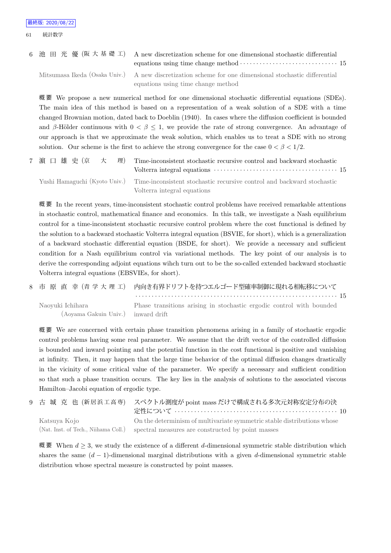|  | 6 池 田 光 優 (阪 大 基 礎 工) A new discretization scheme for one dimensional stochastic differential<br>equations using time change method $\cdots$ $\cdots$ $\cdots$ $\cdots$ $\cdots$ $\cdots$ $\cdots$ $\cdots$ $\cdots$ 15 |  |
|--|-------------------------------------------------------------------------------------------------------------------------------------------------------------------------------------------------------------------------|--|
|  | Mitsumasa Ikeda (Osaka Univ.) A new discretization scheme for one dimensional stochastic differential                                                                                                                   |  |
|  | equations using time change method                                                                                                                                                                                      |  |

概 要 We propose a new numerical method for one dimensional stochastic differential equations (SDEs). The main idea of this method is based on a representation of a weak solution of a SDE with a time changed Brownian motion, dated back to Doeblin (1940). In cases where the diffusion coefficient is bounded and *β*-Hölder continuous with  $0 < \beta \leq 1$ , we provide the rate of strong convergence. An advantage of our approach is that we approximate the weak solution, which enables us to treat a SDE with no strong solution. Our scheme is the first to achieve the strong convergence for the case  $0 < \beta < 1/2$ .

| 7 濵 口 雄 史 (京 ) 大 |  | 理) Time-inconsistent stochastic recursive control and backward stochastic                            |  |
|------------------|--|------------------------------------------------------------------------------------------------------|--|
|                  |  | Yushi Hamaguchi (Kyoto Univ.) Time-inconsistent stochastic recursive control and backward stochastic |  |
|                  |  | Volterra integral equations                                                                          |  |

概 要 In the recent years, time-inconsistent stochastic control problems have received remarkable attentions in stochastic control, mathematical finance and economics. In this talk, we investigate a Nash equilibrium control for a time-inconsistent stochastic recursive control problem where the cost functional is defined by the solution to a backward stochastic Volterra integral equation (BSVIE, for short), which is a generalization of a backward stochastic differential equation (BSDE, for short). We provide a necessary and sufficient condition for a Nash equilibrium control via variational methods. The key point of our analysis is to derive the corresponding adjoint equations wihch turn out to be the so-called extended backward stochastic Volterra integral equations (EBSVIEs, for short).

8 市 原 直 幸 (青 学 大 理 工) 内向き有界ドリフトを持つエルゴード型確率制御に現れる相転移について *· · · · · · · · · · · · · · · · · · · · · · · · · · · · · · · · · · · · · · · · · · · · · · · · · · · · · · · · · · · · · ·* 15 Naoyuki Ichihara Phase transitions arising in stochastic ergodic control with bounded

(Aoyama Gakuin Univ.) inward drift

概 要 We are concerned with certain phase transition phenomena arising in a family of stochastic ergodic control problems having some real parameter. We assume that the drift vector of the controlled diffusion is bounded and inward pointing and the potential function in the cost functional is positive and vanishing at infinity. Then, it may happen that the large time behavior of the optimal diffusion changes drastically in the vicinity of some critical value of the parameter. We specify a necessary and sufficient condition so that such a phase transition occurs. The key lies in the analysis of solutions to the associated viscous Hamilton–Jacobi equation of ergodic type.

9 古 城 克 也 (新居浜工高専) スペクトル測度が point mass だけで構成される多次元対称安定分布の決 定性について *· · · · · · · · · · · · · · · · · · · · · · · · · · · · · · · · · · · · · · · · · · · · · · · · · ·* 10 Katsuya Kojo (Nat. Inst. of Tech., Niihama Coll.) On the determinism of multivariate symmetric stable distributions whose spectral measures are constructed by point masses

概 要 When  $d$  ≥ 3, we study the existence of a different *d*-dimensional symmetric stable distribution which shares the same  $(d-1)$ -dimensional marginal distributions with a given *d*-dimensional symmetric stable distribution whose spectral measure is constructed by point masses.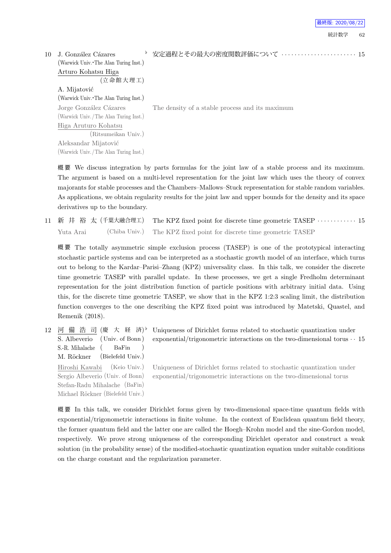| 最終版: 2020/08/22 |  |  |  |
|-----------------|--|--|--|
|-----------------|--|--|--|

| 10 | J. González Cázares                   | 安定過程とその最大の密度関数評価について  15                        |
|----|---------------------------------------|-------------------------------------------------|
|    | (Warwick Univ. The Alan Turing Inst.) |                                                 |
|    | Arturo Kohatsu Higa                   |                                                 |
|    | (立命館大理工)                              |                                                 |
|    | A. Mijatović                          |                                                 |
|    | (Warwick Univ. The Alan Turing Inst.) |                                                 |
|    | Jorge González Cázares                | The density of a stable process and its maximum |
|    | (Warwick Univ./The Alan Turing Inst.) |                                                 |
|    | Higa Aruturo Kohatsu                  |                                                 |
|    | (Ritsumeikan Univ.)                   |                                                 |
|    | Aleksandar Mijatović                  |                                                 |
|    | (Warwick Univ./The Alan Turing Inst.) |                                                 |

概 要 We discuss integration by parts formulas for the joint law of a stable process and its maximum. The argument is based on a multi-level representation for the joint law which uses the theory of convex majorants for stable processes and the Chambers–Mallows–Stuck representation for stable random variables. As applications, we obtain regularity results for the joint law and upper bounds for the density and its space derivatives up to the boundary.

11 新 井 裕 太 (千葉大融合理工) The KPZ fixed point for discrete time geometric TASEP *· · · · · · · · · · · ·* 15 Yuta Arai (Chiba Univ.) The KPZ fixed point for discrete time geometric TASEP

概 要 The totally asymmetric simple exclusion process (TASEP) is one of the prototypical interacting stochastic particle systems and can be interpreted as a stochastic growth model of an interface, which turns out to belong to the Kardar–Parisi–Zhang (KPZ) universality class. In this talk, we consider the discrete time geometric TASEP with parallel update. In these processes, we get a single Fredholm determinant representation for the joint distribution function of particle positions with arbitrary initial data. Using this, for the discrete time geometric TASEP, we show that in the KPZ 1:2:3 scaling limit, the distribution function converges to the one describing the KPZ fixed point was introduced by Matetski, Quastel, and Remenik (2018).

12 河 備 浩 司 (慶 大 経 済) S. Albeverio (Univ. of Bonn ) S.-R. Mihalache ( BaFin ) M. Röckner (Bielefeld Univ.) Hiroshi Kawabi (Keio Univ.) Sergio Albeverio (Univ. of Bonn) Stefan-Radu Mihalache (BaFin) Michael Röckner (Bielefeld Univ.)

Uniqueness of Dirichlet forms related to stochastic quantization under exponential/trigonometric interactions on the two-dimensional torus *· ·* 15

Uniqueness of Dirichlet forms related to stochastic quantization under exponential/trigonometric interactions on the two-dimensional torus

概 要 In this talk, we consider Dirichlet forms given by two-dimensional space-time quantum fields with exponential/trigonometric interactions in finite volume. In the context of Euclidean quantum field theory, the former quantum field and the latter one are called the Hoegh–Krohn model and the sine-Gordon model, respectively. We prove strong uniqueness of the corresponding Dirichlet operator and construct a weak solution (in the probability sense) of the modified-stochastic quantization equation under suitable conditions on the charge constant and the regularization parameter.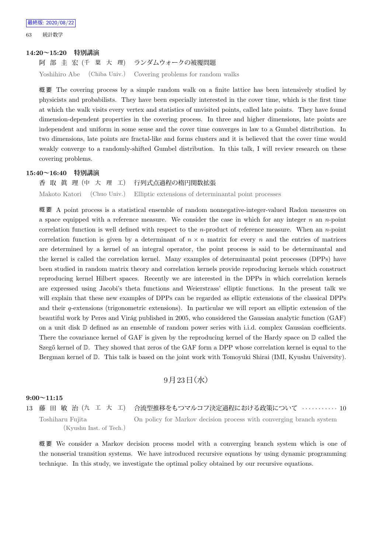63 統計数学

#### **14:20~15:20 特別講演**

阿 部 圭 宏 (千 葉 大 理) ランダムウォークの被覆問題

Yoshihiro Abe (Chiba Univ.) Covering problems for random walks

概 要 The covering process by a simple random walk on a finite lattice has been intensively studied by physicists and probabilists. They have been especially interested in the cover time, which is the first time at which the walk visits every vertex and statistics of unvisited points, called late points. They have found dimension-dependent properties in the covering process. In three and higher dimensions, late points are independent and uniform in some sense and the cover time converges in law to a Gumbel distribution. In two dimensions, late points are fractal-like and forms clusters and it is believed that the cover time would weakly converge to a randomly-shifted Gumbel distribution. In this talk, I will review research on these covering problems.

#### **15:40~16:40 特別講演**

香 取 眞 理 (中 大 理 工) 行列式点過程の楕円関数拡張 Makoto Katori (Chuo Univ.) Elliptic extensions of determinantal point processes

概 要 A point process is a statistical ensemble of random nonnegative-integer-valued Radon measures on a space equipped with a reference measure. We consider the case in which for any integer *n* an *n*-point correlation function is well defined with respect to the *n*-product of reference measure. When an *n*-point correlation function is given by a determinant of  $n \times n$  matrix for every *n* and the entries of matrices are determined by a kernel of an integral operator, the point process is said to be determinantal and the kernel is called the correlation kernel. Many examples of determinantal point processes (DPPs) have been studied in random matrix theory and correlation kernels provide reproducing kernels which construct reproducing kernel Hilbert spaces. Recently we are interested in the DPPs in which correlation kernels are expressed using Jacobi's theta functions and Weierstrass' elliptic functions. In the present talk we will explain that these new examples of DPPs can be regarded as elliptic extensions of the classical DPPs and their *q*-extensions (trigonometric extensions). In particular we will report an elliptic extension of the beautiful work by Peres and Virág published in 2005, who considered the Gaussian analytic function (GAF) on a unit disk D defined as an ensemble of random power series with i.i.d. complex Gaussian coefficients. There the covariance kernel of GAF is given by the reproducing kernel of the Hardy space on D called the Szegő kernel of  $\mathbb D$ . They showed that zeros of the GAF form a DPP whose correlation kernel is equal to the Bergman kernel of D. This talk is based on the joint work with Tomoyuki Shirai (IMI, Kyushu University).

## $9$ 月 $23$ 日 $($ 水 $)$

## **9:00~11:15**

13 藤 田 敏 治 (九 工 大 工) 合流型推移をもつマルコフ決定過程における政策について *· · · · · · · · · · ·* 10 Toshiharu Fujita (Kyushu Inst. of Tech.) On policy for Markov decision process with converging branch system

概 要 We consider a Markov decision process model with a converging branch system which is one of the nonserial transition systems. We have introduced recursive equations by using dynamic programming technique. In this study, we investigate the optimal policy obtained by our recursive equations.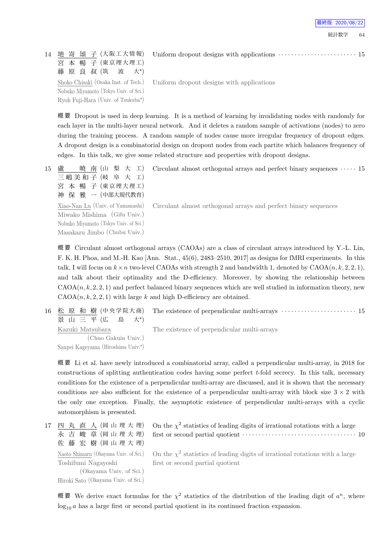14 地 嵜 頌 子 (大阪工大情報) 宮 本 暢 子 (東京理大理工) 藤 原 良 叔 (筑 波 大*<sup>⋆</sup>*  $\pm$ \*) Shoko Chisaki (Osaka Inst. of Tech.) Nobuko Miyamoto (Tokyo Univ. of Sci.) Ryoh Fuji-Hara (Univ. of Tsukuba*<sup>⋆</sup>* ) Uniform dropout designs with applications  $\cdots$  · · · · · · · · · · · · · · · · · · 15

Uniform dropout designs with applications

概 要 Dropout is used in deep learning. It is a method of learning by invalidating nodes with randomly for each layer in the multi-layer neural network. And it deletes a random sample of activations (nodes) to zero during the training process. A random sample of nodes cause more irregular frequency of dropout edges. A dropout design is a combinatorial design on dropout nodes from each partite which balances frequency of edges. In this talk, we give some related structure and properties with dropout designs.

15 盧 暁 南 (山 梨 大 工) 三嶋美和子 (岐 阜 大 工) 宮 本 暢 子 (東京理大理工) 神 保 雅 一 (中部大現代教育)

> Xiao-Nan Lu (Univ. of Yamanashi) Miwako Mishima (Gifu Univ.) Nobuko Miyamoto (Tokyo Univ. of Sci.) Masakazu Jimbo (Chubu Univ.)

Circulant almost orthogonal arrays and perfect binary sequences *· · · · ·* 15

Circulant almost orthogonal arrays and perfect binary sequences

概 要 Circulant almost orthogonal arrays (CAOAs) are a class of circulant arrays introduced by Y.-L. Lin, F. K. H. Phoa, and M.-H. Kao [Ann. Stat., 45(6), 2483–2510, 2017] as designs for fMRI experiments. In this talk, I will focus on  $k \times n$  two-level CAOAs with strength 2 and bandwidth 1, denoted by  $\text{CAOA}(n, k, 2, 2, 1)$ , and talk about their optimality and the D-efficiency. Moreover, by showing the relationship between  $CAOA(n, k, 2, 2, 1)$  and perfect balanced binary sequences which are well studied in information theory, new  $CAOA(n, k, 2, 2, 1)$  with large *k* and high D-efficiency are obtained.

16 松 原 和 樹 (中央学院大商) 景 山 三 平 (広 島  $+^{\star}$ The existence of perpendicular multi-arrays  $\cdots$  · · · · · · · · · · · · · · · · · · 15 The existence of perpendicular multi-arrays

Kazuki Matsubara (Chuo Gakuin Univ.) Sanpei Kageyama (Hiroshima Univ.*<sup>⋆</sup>* )

概 要 Li et al. have newly introduced a combinatorial array, called a perpendicular multi-array, in 2018 for constructions of splitting authentication codes having some perfect *t*-fold secrecy. In this talk, necessary conditions for the existence of a perpendicular multi-array are discussed, and it is shown that the necessary conditions are also sufficient for the existence of a perpendicular multi-array with block size  $3 \times 2$  with the only one exception. Finally, the asymptotic existence of perpendicular multi-arrays with a cyclic automorphism is presented.

17 四 丸 直 人 (岡 山 理 大 理) 永 吉 峻 章 (岡山理大理) 佐 藤 宏 樹 (岡 山 理 大 理) Naoto Shimaru (Okayama Univ. of Sci.) Toshifumi Nagayoshi (Okayama Univ. of Sci.) Hiroki Sato (Okayama Univ. of Sci.)

On the  $\chi^2$  statistics of leading digits of irrational rotations with a large first or second partial quotient *· · · · · · · · · · · · · · · · · · · · · · · · · · · · · · · · · · ·* 10

On the  $\chi^2$  statistics of leading digits of irrational rotations with a large first or second partial quotient

概要 We derive exact formulas for the  $\chi^2$  statistics of the distribution of the leading digit of  $a^n$ , where  $log_{10} a$  has a large first or second partial quotient in its continued fraction expansion.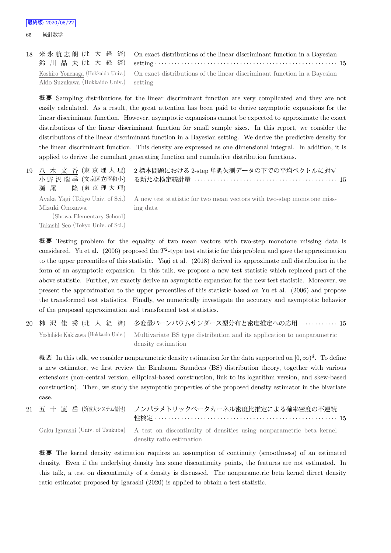65 統計数学

18 米 永 航 志 朗 (北 大 経 済) 鈴 川 晶 夫 (北 大 経 済) On exact distributions of the linear discriminant function in a Bayesian setting *· · · · · · · · · · · · · · · · · · · · · · · · · · · · · · · · · · · · · · · · · · · · · · · · · · · · · · · ·* 15 Koshiro Yonenaga (Hokkaido Univ.) Akio Suzukawa (Hokkaido Univ.) On exact distributions of the linear discriminant function in a Bayesian setting

概 要 Sampling distributions for the linear discriminant function are very complicated and they are not easily calculated. As a result, the great attention has been paid to derive asymptotic expansions for the linear discriminant function. However, asymptotic expansions cannot be expected to approximate the exact distributions of the linear discriminant function for small sample sizes. In this report, we consider the distributions of the linear discriminant function in a Bayesian setting. We derive the predictive density for the linear discriminant function. This density are expressed as one dimensional integral. In addition, it is applied to derive the cumulant generating function and cumulative distribution functions.

| 19 八 木 文 香 (東 京 理 大 理)<br>小 野 沢 瑞 季(文京区立昭和小)<br>瀬尾 隆 (東京理大理)                     | 2 標本問題における 2-step 単調欠測データの下での平均ベクトルに対す                                                                              |
|----------------------------------------------------------------------------------|---------------------------------------------------------------------------------------------------------------------|
| Mizuki Onozawa<br>(Showa Elementary School)<br>Takashi Seo (Tokyo Univ. of Sci.) | Ayaka Yagi (Tokyo Univ. of Sci.) A new test statistic for two mean vectors with two-step monotone miss-<br>ing data |

概 要 Testing problem for the equality of two mean vectors with two-step monotone missing data is considered. Yu et al.  $(2006)$  proposed the  $T^2$ -type test statistic for this problem and gave the approximation to the upper percentiles of this statistic. Yagi et al. (2018) derived its approximate null distribution in the form of an asymptotic expansion. In this talk, we propose a new test statistic which replaced part of the above statistic. Further, we exactly derive an asymptotic expansion for the new test statistic. Moreover, we present the approximation to the upper percentiles of this statistic based on Yu et al. (2006) and propose the transformed test statistics. Finally, we numerically investigate the accuracy and asymptotic behavior of the proposed approximation and transformed test statistics.

20 柿 沢 佳 秀 (北 大 経 済) 多変量バーンバウムサンダース型分布と密度推定への応用 *· · · · · · · · · · ·* 15 Yoshihide Kakizawa (Hokkaido Univ.) Multivariate BS type distribution and its application to nonparametric density estimation

概 要 In this talk, we consider nonparametric density estimation for the data supported on  $[0, \infty)^d$ . To define a new estimator, we first review the Birnbaum–Saunders (BS) distribution theory, together with various extensions (non-central version, elliptical-based construction, link to its logarithm version, and skew-based construction). Then, we study the asymptotic properties of the proposed density estimator in the bivariate case.

|  | 21 五 十 嵐 岳 (筑波大システム情報) ノンパラメトリックベータカーネル密度比推定による確率密度の不連続                                               |
|--|-------------------------------------------------------------------------------------------------------|
|  | Gaku Igarashi (Univ. of Tsukuba) A test on discontinuity of densities using nonparametric beta kernel |
|  | density ratio estimation                                                                              |

概 要 The kernel density estimation requires an assumption of continuity (smoothness) of an estimated density. Even if the underlying density has some discontinuity points, the features are not estimated. In this talk, a test on discontinuity of a density is discussed. The nonparametric beta kernel direct density ratio estimator proposed by Igarashi (2020) is applied to obtain a test statistic.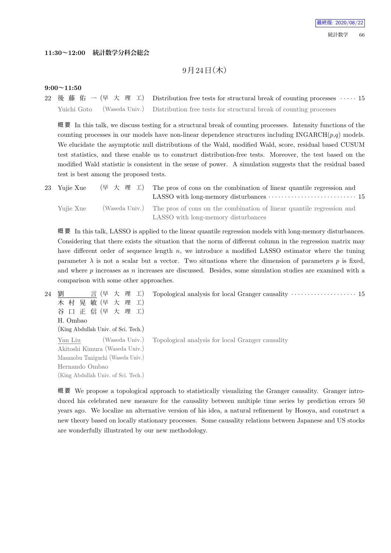### **11:30~12:00 統計数学分科会総会**

## $9$ 月 $24$ 日 $($ 木 $)$

#### **9:00~11:50**

22 後 藤 佑 一 (早 大 理 工) Distribution free tests for structural break of counting processes *· · · · ·* 15 Yuichi Goto (Waseda Univ.) Distribution free tests for structural break of counting processes

概 要 In this talk, we discuss testing for a structural break of counting processes. Intensity functions of the counting processes in our models have non-linear dependence structures including INGARCH(*p*,*q*) models. We elucidate the asymptotic null distributions of the Wald, modified Wald, score, residual based CUSUM test statistics, and these enable us to construct distribution-free tests. Moreover, the test based on the modified Wald statistic is consistent in the sense of power. A simulation suggests that the residual based test is best among the proposed tests.

| 23 Yujie Xue | (早 大 理 工) | The pros of cons on the combination of linear quantile regression and<br>LASSO with long-memory disturbances $\cdots$ $\cdots$ $\cdots$ $\cdots$ $\cdots$ $\cdots$ $\cdots$ 15 |
|--------------|-----------|--------------------------------------------------------------------------------------------------------------------------------------------------------------------------------|
| Yuiie Xue    |           | (Waseda Univ.) The pros of cons on the combination of linear quantile regression and<br>LASSO with long-memory disturbances                                                    |

概 要 In this talk, LASSO is applied to the linear quantile regression models with long-memory disturbances. Considering that there exists the situation that the norm of different column in the regression matrix may have different order of sequence length *n*, we introduce a modified LASSO estimator where the tuning parameter  $\lambda$  is not a scalar but a vector. Two situations where the dimension of parameters  $p$  is fixed, and where *p* increases as *n* increases are discussed. Besides, some simulation studies are examined with a comparison with some other approaches.

24 劉 言 (早 大 理 工) 木 村 晃 敏 (早 大 理 工) 谷 口 正 信 (早 大 理 工) H. Ombao (King Abdullah Univ. of Sci. Tech.) Topological analysis for local Granger causality *· · · · · · · · · · · · · · · · · · · ·* 15 Yan Liu (Waseda Univ.) Akitoshi Kimura (Waseda Univ.) Masanobu Taniguchi (Waseda Univ.) Hernando Ombao (King Abdullah Univ. of Sci. Tech.) Topological analysis for local Granger causality

概 要 We propose a topological approach to statistically visualizing the Granger causality. Granger introduced his celebrated new measure for the causality between multiple time series by prediction errors 50 years ago. We localize an alternative version of his idea, a natural refinement by Hosoya, and construct a new theory based on locally stationary processes. Some causality relations between Japanese and US stocks are wonderfully illustrated by our new methodology.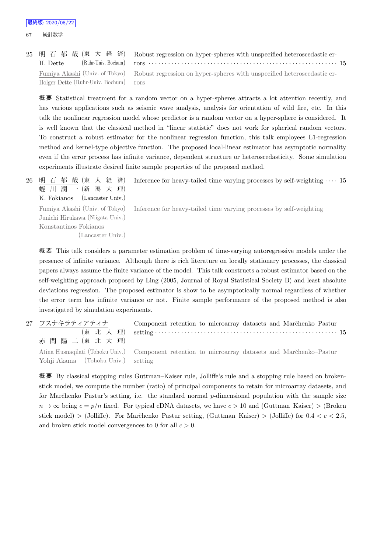67 統計数学

|                                       | 25 明 石 郁 哉 (東 大 経 済) Robust regression on hyper-spheres with unspecified heteroscedastic er-           |
|---------------------------------------|--------------------------------------------------------------------------------------------------------|
| H. Dette                              |                                                                                                        |
|                                       | Fumiya Akashi (Univ. of Tokyo) Robust regression on hyper-spheres with unspecified heteroscedastic er- |
| Holger Dette (Ruhr-Univ. Bochum) rors |                                                                                                        |

概 要 Statistical treatment for a random vector on a hyper-spheres attracts a lot attention recently, and has various applications such as seismic wave analysis, analysis for orientation of wild fire, etc. In this talk the nonlinear regression model whose predictor is a random vector on a hyper-sphere is considered. It is well known that the classical method in "linear statistic" does not work for spherical random vectors. To construct a robust estimator for the nonlinear regression function, this talk employees L1-regression method and kernel-type objective function. The proposed local-linear estimator has asymptotic normality even if the error process has infinite variance, dependent structure or heteroscedasticity. Some simulation experiments illustrate desired finite sample properties of the proposed method.

26 明 石 郁 哉 (東 大 経 済) 蛭 川 潤 一 (新 潟 大 理) K. Fokianos (Lancaster Univ.) Inference for heavy-tailed time varying processes by self-weighting *· · · ·* 15

Fumiya Akashi (Univ. of Tokyo) Junichi Hirukawa (Niigata Univ.) Konstantinos Fokianos (Lancaster Univ.) Inference for heavy-tailed time varying processes by self-weighting

概 要 This talk considers a parameter estimation problem of time-varying autoregressive models under the presence of infinite variance. Although there is rich literature on locally stationary processes, the classical papers always assume the finite variance of the model. This talk constructs a robust estimator based on the self-weighting approach proposed by Ling (2005, Journal of Royal Statistical Society B) and least absolute deviations regression. The proposed estimator is show to be asymptotically normal regardless of whether the error term has infinite variance or not. Finite sample performance of the proposed method is also investigated by simulation experiments.

27 フスナキラティアティナ (東 北 大 理) 赤 間 陽 二 (東 北 大 理) Component retention to microarray datasets and Marchenko–Pastur setting *· · · · · · · · · · · · · · · · · · · · · · · · · · · · · · · · · · · · · · · · · · · · · · · · · · · · · · · ·* 15 Atina Husnaqilati (Tohoku Univ.) Yohji Akama (Tohoku Univ.) Component retention to microarray datasets and Marc̆henko–Pastur setting

概 要 By classical stopping rules Guttman–Kaiser rule, Jolliffe's rule and a stopping rule based on brokenstick model, we compute the number (ratio) of principal components to retain for microarray datasets, and for Marˇchenko–Pastur's setting, i.e. the standard normal *p*-dimensional population with the sample size  $n \to \infty$  being  $c = p/n$  fixed. For typical cDNA datasets, we have  $c > 10$  and (Guttman–Kaiser) > (Broken stick model)  $>$  (Jolliffe). For Marchenko–Pastur setting, (Guttman–Kaiser)  $>$  (Jolliffe) for  $0.4 < c < 2.5$ , and broken stick model convergences to 0 for all *c >* 0.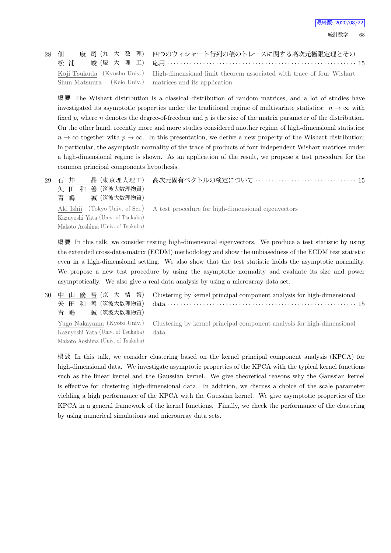最終版: 2020/08/22

| 28 佃                                                    | 康 司 (九 大 数 理) 四つのウィシャート行列の積のトレースに関する高次元極限定理とその                                                   |
|---------------------------------------------------------|--------------------------------------------------------------------------------------------------|
| 松 浦                                                     |                                                                                                  |
|                                                         | Koji Tsukuda (Kyushu Univ.) High-dimensional limit theorem associated with trace of four Wishart |
| Shun Matsuura (Keio Univ.) matrices and its application |                                                                                                  |

概 要 The Wishart distribution is a classical distribution of random matrices, and a lot of studies have investigated its asymptotic properties under the traditional regime of multivariate statistics:  $n \to \infty$  with fixed p, where n denotes the degree-of-freedom and p is the size of the matrix parameter of the distribution. On the other hand, recently more and more studies considered another regime of high-dimensional statistics:  $n \to \infty$  together with  $p \to \infty$ . In this presentation, we derive a new property of the Wishart distribution; in particular, the asymptotic normality of the trace of products of four independent Wishart matrices under a high-dimensional regime is shown. As an application of the result, we propose a test procedure for the common principal components hypothesis.

| 29 石井<br>矢 田 和 善 (筑波大数理物質)<br>青 嶋 誠 (筑波大数理物質) | 晶 (東京理大理工) 高次元固有ベクトルの検定について  15                                                    |
|-----------------------------------------------|------------------------------------------------------------------------------------|
| Kazuyoshi Yata (Univ. of Tsukuba)             | Aki Ishii (Tokyo Univ. of Sci.) A test procedure for high-dimensional eigenvectors |
| Makoto Aoshima (Univ. of Tsukuba)             |                                                                                    |

概 要 In this talk, we consider testing high-dimensional eigenvectors. We produce a test statistic by using the extended cross-data-matrix (ECDM) methodology and show the unbiasedness of the ECDM test statistic even in a high-dimensional setting. We also show that the test statistic holds the asymptotic normality. We propose a new test procedure by using the asymptotic normality and evaluate its size and power asymptotically. We also give a real data analysis by using a microarray data set.

30 中 山 優 吾 (京 大 情 報) 矢 田 和 善 (筑波大数理物質) 青 嶋 誠 (筑波大数理物質) Clustering by kernel principal component analysis for high-dimensional data *· · · · · · · · · · · · · · · · · · · · · · · · · · · · · · · · · · · · · · · · · · · · · · · · · · · · · · · · · ·* 15 Yugo Nakayama (Kyoto Univ.) Kazuyoshi Yata (Univ. of Tsukuba) Makoto Aoshima (Univ. of Tsukuba) Clustering by kernel principal component analysis for high-dimensional data

概 要 In this talk, we consider clustering based on the kernel principal component analysis (KPCA) for high-dimensional data. We investigate asymptotic properties of the KPCA with the typical kernel functions such as the linear kernel and the Gaussian kernel. We give theoretical reasons why the Gaussian kernel is effective for clustering high-dimensional data. In addition, we discuss a choice of the scale parameter yielding a high performance of the KPCA with the Gaussian kernel. We give asymptotic properties of the KPCA in a general framework of the kernel functions. Finally, we check the performance of the clustering by using numerical simulations and microarray data sets.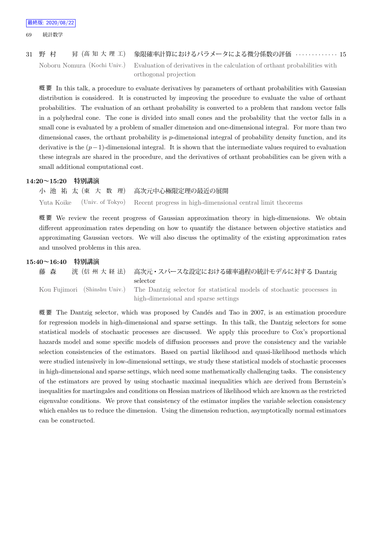## 31 野 村 昇 (高 知 大 理 工) 象限確率計算におけるパラメータによる微分係数の評価 *· · · · · · · · · · · · ·* 15 Noboru Nomura (Kochi Univ.) Evaluation of derivatives in the calculation of orthant probabilities with orthogonal projection

概 要 In this talk, a procedure to evaluate derivatives by parameters of orthant probabilities with Gaussian distribution is considered. It is constructed by improving the procedure to evaluate the value of orthant probabilities. The evaluation of an orthant probability is converted to a problem that random vector falls in a polyhedral cone. The cone is divided into small cones and the probability that the vector falls in a small cone is evaluated by a problem of smaller dimension and one-dimensional integral. For more than two dimensional cases, the orthant probability is *p*-dimensional integral of probability density function, and its derivative is the (*p−*1)-dimensional integral. It is shown that the intermediate values required to evaluation these integrals are shared in the procedure, and the derivatives of orthant probabilities can be given with a small additional computational cost.

#### **14:20~15:20 特別講演**

小 池 祐 太 (東 大 数 理) 高次元中心極限定理の最近の展開 Yuta Koike (Univ. of Tokyo) Recent progress in high-dimensional central limit theorems

概 要 We review the recent progress of Gaussian approximation theory in high-dimensions. We obtain different approximation rates depending on how to quantify the distance between objective statistics and approximating Gaussian vectors. We will also discuss the optimality of the existing approximation rates and unsolved problems in this area.

### **15:40~16:40 特別講演**

藤 森 洸 (信 州 大 経 法) 高次元・スパースな設定における確率過程の統計モデルに対する Dantzig selector Kou Fujimori (Shinshu Univ.) The Dantzig selector for statistical models of stochastic processes in high-dimensional and sparse settings

概要 The Dantzig selector, which was proposed by Candés and Tao in 2007, is an estimation procedure for regression models in high-dimensional and sparse settings. In this talk, the Dantzig selectors for some statistical models of stochastic processes are discussed. We apply this procedure to Cox's proportional hazards model and some specific models of diffusion processes and prove the consistency and the variable selection consistencies of the estimators. Based on partial likelihood and quasi-likelihood methods which were studied intensively in low-dimensional settings, we study these statistical models of stochastic processes in high-dimensional and sparse settings, which need some mathematically challenging tasks. The consistency of the estimators are proved by using stochastic maximal inequalities which are derived from Bernstein's inequalities for martingales and conditions on Hessian matrices of likelihood which are known as the restricted eigenvalue conditions. We prove that consistency of the estimator implies the variable selection consistency which enables us to reduce the dimension. Using the dimension reduction, asymptotically normal estimators can be constructed.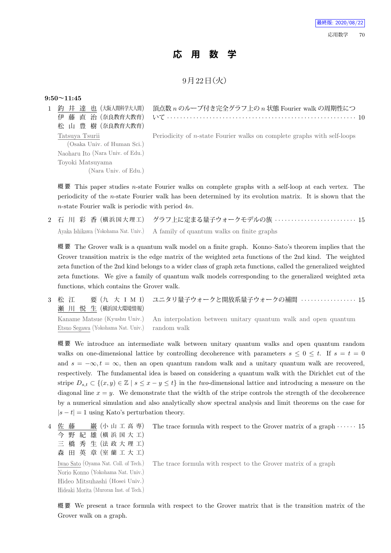## **応 用 数 学**

9月22日 (火)

### **9:50~11:45**

1 釣 井 達 也 (大阪人間科学大人間) 伊 藤 直 治 (奈良教育大教育) 松 山 豊 樹 (奈良教育大教育) 頂点数 *n* のループ付き完全グラフ上の *n* 状態 Fourier walk の周期性につ いて *· · · · · · · · · · · · · · · · · · · · · · · · · · · · · · · · · · · · · · · · · · · · · · · · · · · · · · · · · ·* 10 Tatsuya Tsurii (Osaka Univ. of Human Sci.) Naoharu Ito (Nara Univ. of Edu.) Toyoki Matsuyama (Nara Univ. of Edu.) Periodicity of *n*-state Fourier walks on complete graphs with self-loops

概 要 This paper studies *n*-state Fourier walks on complete graphs with a self-loop at each vertex. The periodicity of the *n*-state Fourier walk has been determined by its evolution matrix. It is shown that the *n*-state Fourier walk is periodic with period 4*n*.

2 石 川 彩 香 (横 浜 国 大 理 工) グラフ上に定まる量子ウォークモデルの族 *· · · · · · · · · · · · · · · · · · · · · · · · ·* 15 Ayaka Ishikawa (Yokohama Nat. Univ.) A family of quantum walks on finite graphs

概 要 The Grover walk is a quantum walk model on a finite graph. Konno–Sato's theorem implies that the Grover transition matrix is the edge matrix of the weighted zeta functions of the 2nd kind. The weighted zeta function of the 2nd kind belongs to a wider class of graph zeta functions, called the generalized weighted zeta functions. We give a family of quantum walk models corresponding to the generalized weighted zeta functions, which contains the Grover walk.

3 松 江 要 (九 大 I M I) 瀬 川 悦 生 (横浜国大環境情報) ユニタリ量子ウォークと開放系量子ウォークの補間 *· · · · · · · · · · · · · · · · ·* 15

Kaname Matsue (Kyushu Univ.) Etsuo Segawa (Yokohama Nat. Univ.)

An interpolation between unitary quantum walk and open quantum random walk

概 要 We introduce an intermediate walk between unitary quantum walks and open quantum random walks on one-dimensional lattice by controlling decoherence with parameters  $s \leq 0 \leq t$ . If  $s = t = 0$ and  $s = -\infty$ , then an open quantum random walk and a unitary quantum walk are recovered, respectively. The fundamental idea is based on considering a quantum walk with the Dirichlet cut of the stripe  $D_{s,t} \subset \{(x,y) \in \mathbb{Z} \mid s \leq x - y \leq t\}$  in the *two*-dimensional lattice and introducing a measure on the diagonal line  $x = y$ . We demonstrate that the width of the stripe controls the strength of the decoherence by a numerical simulation and also analytically show spectral analysis and limit theorems on the case for  $|s - t| = 1$  using Kato's perturbation theory.

4 佐藤 巖 (小 山 工 高 専) 今 野 紀 雄 (横 浜 国 大 工) 三 橋 秀 生 (法 政 大 理 工) 森 田 英 章 (室 蘭 工 大 工)

Iwao Sato (Oyama Nat. Coll. of Tech.) Norio Konno (Yokohama Nat. Univ.) Hideo Mitsuhashi (Hosei Univ.) Hideaki Morita (Muroran Inst. of Tech.) The trace formula with respect to the Grover matrix of a graph

The trace formula with respect to the Grover matrix of a graph  $\cdots \cdots$  15

概 要 We present a trace formula with respect to the Grover matrix that is the transition matrix of the Grover walk on a graph.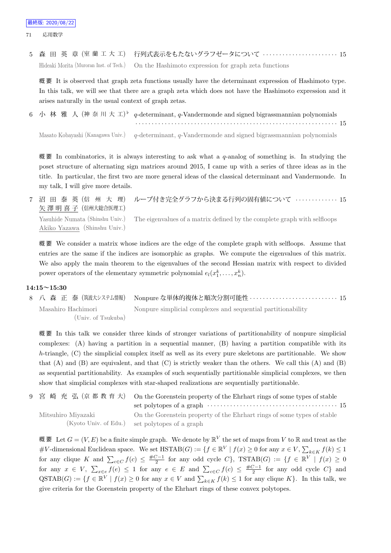71 応用数学

5 森 田 英 章 (室 蘭 工 大 工) 行列式表示をもたないグラフゼータについて *· · · · · · · · · · · · · · · · · · · · · · ·* 15 Hideaki Morita (Muroran Inst. of Tech.) On the Hashimoto expression for graph zeta functions

概 要 It is observed that graph zeta functions usually have the determinant expression of Hashimoto type. In this talk, we will see that there are a graph zeta which does not have the Hashimoto expression and it arises naturally in the usual context of graph zetas.

6 小 林 雅 人 (神 奈 川 大 工) *♭ q*-determinant, *q*-Vandermonde and signed bigrassmannian polynomials *· · · · · · · · · · · · · · · · · · · · · · · · · · · · · · · · · · · · · · · · · · · · · · · · · · · · · · · · · · · · · ·* 15 Masato Kobayashi (Kanagawa Univ.) *q*-determinant, *q*-Vandermonde and signed bigrassmannian polynomials

概 要 In combinatorics, it is always interesting to ask what a *q*-analog of something is. In studying the poset structure of alternating sign matrices around 2015, I came up with a series of three ideas as in the title. In particular, the first two are more general ideas of the classical determinant and Vandermonde. In my talk, I will give more details.

7 沼 田 泰 英 (信 州 大 理) 矢 澤 明 喜 子 (信州大総合医理工) ループ付き完全グラフから決まる行列の固有値について *· · · · · · · · · · · · ·* 15 Yasuhide Numata (Shinshu Univ.) Akiko Yazawa (Shinshu Univ.) The eigenvalues of a matrix defined by the complete graph with selfloops

概 要 We consider a matrix whose indices are the edge of the complete graph with selfloops. Assume that entries are the same if the indices are isomorphic as graphs. We compute the eigenvalues of this matrix. We also apply the main theorem to the eigenvalues of the second Hessian matrix with respect to divided power operators of the elementary symmetric polynomial  $e_l(x_1^k, \ldots, x_n^k)$ .

### **14:15~15:30**

|                    | 8 八 森 正 泰 (筑波大システム情報) Nonpure な単体的複体と順次分割可能性 ・・・・・・・・・・・・・・・・・・・・・・・・・・・15 |  |
|--------------------|----------------------------------------------------------------------------|--|
| Masahiro Hachimori | Nonpure simplicial complexes and sequential partitionability               |  |
| (Univ. of Tsukuba) |                                                                            |  |

概要 In this talk we consider three kinds of stronger variations of partitionability of nonpure simplicial complexes: (A) having a partition in a sequential manner, (B) having a partition compatible with its *h*-triangle, (C) the simplicial complex itself as well as its every pure skeletons are partitionable. We show that  $(A)$  and  $(B)$  are equivalent, and that  $(C)$  is strictly weaker than the others. We call this  $(A)$  and  $(B)$ as sequential partitionability. As examples of such sequentially partitionable simplicial complexes, we then show that simplicial complexes with star-shaped realizations are sequentially partitionable.

|                    | 9 宮崎充弘(京都教育大) On the Gorenstein property of the Ehrhart rings of some types of stable |  |
|--------------------|---------------------------------------------------------------------------------------|--|
|                    |                                                                                       |  |
| Mitsuhiro Miyazaki | On the Gorenstein property of the Ehrhart rings of some types of stable               |  |
|                    | (Kyoto Univ. of Edu.) set polytopes of a graph                                        |  |

概要 Let  $G = (V, E)$  be a finite simple graph. We denote by  $\mathbb{R}^V$  the set of maps from  $V$  to  $\mathbb R$  and treat as the #V-dimensional Euclidean space. We set  $\text{HSTAB}(G) := \{ f \in \mathbb{R}^V \mid f(x) \geq 0 \text{ for any } x \in V, \sum_{k \in K} f(k) \leq 1 \}$ for any clique K and  $\sum_{c \in C} f(c) \leq \frac{\#C-1}{2}$  for any odd cycle C},  $TSTAB(G) := \{f \in \mathbb{R}^V \mid f(x) \geq 0\}$ for any  $x \in V$ ,  $\sum_{x \in e} f(e) \le 1$  for any  $e \in E$  and  $\sum_{c \in C} f(c) \le \frac{\#C-1}{2}$  for any odd cycle  $C$  and  $\mathrm{QSTAB}(G) := \{ f \in \mathbb{R}^V \mid f(x) \geq 0 \text{ for any } x \in V \text{ and } \sum_{k \in K} f(k) \leq 1 \text{ for any clique } K \}.$  In this talk, we give criteria for the Gorenstein property of the Ehrhart rings of these convex polytopes.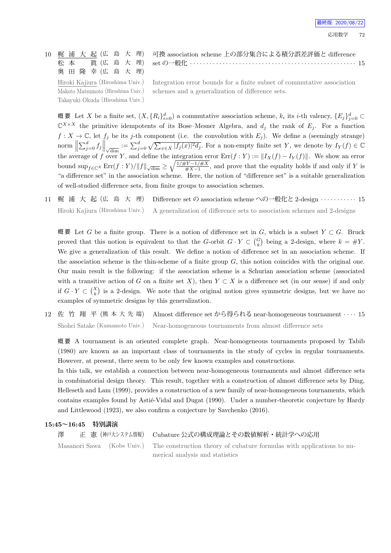|  |  |  |  |            | 10 梶 浦 大 起 (広 島 大 理) 可換 association scheme 上の部分集合による積分誤差評価と difference |
|--|--|--|--|------------|------------------------------------------------------------------------|
|  |  |  |  |            |                                                                        |
|  |  |  |  | 奥田隆幸(広島大理) |                                                                        |

Hiroki Kajiura (Hiroshima Univ.) Makoto Matsumoto (Hiroshima Univ.) Takayuki Okuda (Hiroshima Univ.)

Integration error bounds for a finite subset of commutative association schemes and a generalization of difference sets.

概要 Let X be a finite set,  $(X, \{R_i\}_{i=0}^d)$  a commutative association scheme,  $k_i$  its *i*-th valency,  $\{E_j\}_{j=0}^d$  $\mathbb{C}^{X \times X}$  the primitive idempotents of its Bose–Mesner Algebra, and  $d_j$  the rank of  $E_j$ . For a function  $f: X \to \mathbb{C}$ , let  $f_j$  be its *j*-th component (i.e. the convolution with  $E_j$ ). We define a (seemingly strange) norm  $\left\|\sum_{j=0}^d f_j\right\|_{\sqrt{\dim}} := \sum_{j=0}^d \sqrt{\sum_{x\in X} |f_j(x)|^2 d_j}$ . For a non-empty finite set Y, we denote by  $I_Y(f) \in \mathbb{C}$ the average of *f* over *Y*, and define the integration error  $\text{Err}(f:Y) := ||I_X(f) - I_Y(f)||$ . We show an error bound  $\sup_{f \in \mathbb{C}^X} \text{Err}(f : Y) / ||f|| \sqrt{\dim} \ge \sqrt{\frac{1/\#Y - 1/\#X}{\#X - 1}}$  $\frac{f(Y-1)\#X}{\#X-1}$ , and prove that the equality holds if and only if *Y* is "a difference set" in the association scheme. Here, the notion of "difference set" is a suitable generalization of well-studied difference sets, from finite groups to association schemes.

11 梶 浦 大 起 (広 島 大 理) Difference set の association scheme への一般化と 2-design *· · · · · · · · · · ·* 15 Hiroki Kajiura (Hiroshima Univ.) A generalization of difference sets to association schemes and 2-designs

概 要 Let *G* be a finite group. There is a notion of difference set in *G*, which is a subset *Y ⊂ G*. Bruck proved that this notion is equivalent to that the *G*-orbit  $G \cdot Y \subset {G \choose k}$  being a 2-design, where  $k = #Y$ . We give a generalization of this result. We define a notion of difference set in an association scheme. If the association scheme is the thin-scheme of a finite group *G*, this notion coincides with the original one. Our main result is the following: if the association scheme is a Schurian association scheme (associated with a transitive action of *G* on a finite set *X*), then  $Y \subset X$  is a difference set (in our sense) if and only if  $G \cdot Y \subset {X \choose k}$  is a 2-design. We note that the original notion gives symmetric designs, but we have no examples of symmetric designs by this generalization.

12 佐 竹 翔 平 (熊 本 大 先 端) Almost difference set から得られる near-homogeneous tournament *· · · ·* 15 Shohei Satake (Kumamoto Univ.) Near-homogeneous tournaments from almost difference sets

概 要 A tournament is an oriented complete graph. Near-homogeneous tournaments proposed by Tabib (1980) are known as an important class of tournaments in the study of cycles in regular tournaments. However, at present, there seem to be only few known examples and constructions.

In this talk, we establish a connection between near-homogeneous tournaments and almost difference sets in combinatorial design theory. This result, together with a construction of almost difference sets by Ding, Helleseth and Lam (1999), provides a construction of a new family of near-homogeneous tournaments, which contains examples found by Astié-Vidal and Dugat (1990). Under a number-theoretic conjecture by Hardy and Littlewood (1923), we also confirm a conjecture by Savchenko (2016).

#### **15:45~16:45 特別講演**

```
澤   正 憲 (神戸大システム情報) Cubature 公式の構成理論とその数値解析・統計学への応用
Masanori Sawa (Kobe Univ.) The construction theory of cubature formulas with applications to nu-
                          merical analysis and statistics
```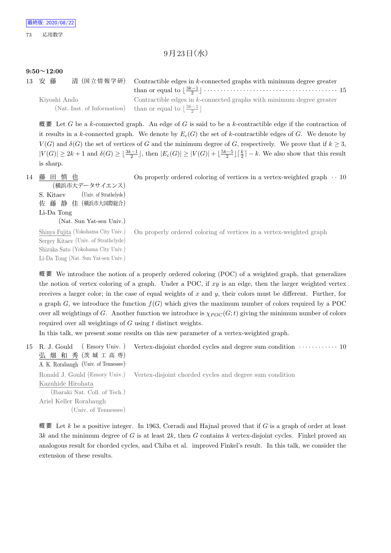## $9$ 月 $23$ 日 $($ 水 $)$

### **9:50~12:00**

| 13 安藤        | 清 (国立情報学研) Contractible edges in k-connected graphs with minimum degree greater |  |
|--------------|---------------------------------------------------------------------------------|--|
|              |                                                                                 |  |
| Kiyoshi Ando | Contractible edges in $k$ -connected graphs with minimum degree greater         |  |
|              | (Nat. Inst. of Information) than or equal to $\lfloor \frac{3k-1}{2} \rfloor$   |  |

概 要 Let *G* be a *k*-connected graph. An edge of *G* is said to be a *k*-contractible edge if the contraction of it results in a *k*-connected graph. We denote by  $E_c(G)$  the set of *k*-contractible edges of *G*. We denote by  $V(G)$  and  $\delta(G)$  the set of vertices of *G* and the minimum degree of *G*, respectively. We prove that if  $k \geq 3$ ,  $|V(G)| \geq 2k+1$  and  $\delta(G) \geq \lfloor \frac{3k-1}{2} \rfloor$ , then  $|E_c(G)| \geq |V(G)| + \lfloor \frac{5k-5}{2} \rfloor \lceil \frac{k}{2} \rceil - k$ . We also show that this result is sharp.

### 14 藤 田 慎 也

On properly ordered coloring of vertices in a vertex-weighted graph *· ·* 10

(横浜市大データサイエンス) S. Kitaev (Univ. of Strathclyde) 佐 藤 静 佳 (横浜市大国際総合) Li-Da Tong (Nat. Sun Yat-sen Univ.)

Shinya Fujita (Yokohama City Univ.) Sergey Kitaev (Univ. of Strathclyde) Shizuka Sato (Yokohama City Univ.) Li-Da Tong (Nat. Sun Yat-sen Univ.)

On properly ordered coloring of vertices in a vertex-weighted graph

概 要 We introduce the notion of a properly ordered coloring (POC) of a weighted graph, that generalizes the notion of vertex coloring of a graph. Under a POC, if *xy* is an edge, then the larger weighted vertex receives a larger color; in the case of equal weights of *x* and *y*, their colors must be different. Further, for a graph  $G$ , we introduce the function  $f(G)$  which gives the maximum number of colors required by a POC over all weightings of *G*. Another function we introduce is  $\chi_{POC}(G; t)$  giving the minimum number of colors required over all weightings of *G* using *t* distinct weights.

In this talk, we present some results on this new parameter of a vertex-weighted graph.

```
15 R. J. Gould ( Emory Univ. )
    弘 畑 和 秀 (茨城工高専)
    A. K. Rorabaugh (Univ. of Tennessee)
                                     Vertex-disjoint chorded cycles and degree sum condition · · · · · · · · · · · · 10
    Ronald J. Gould (Emory Univ.)
    Kazuhide Hirohata
        (Ibaraki Nat. Coll. of Tech.)
    Ariel Keller Rorabaugh
               (Univ. of Tennessee)
                                     Vertex-disjoint chorded cycles and degree sum condition
```
概 要 Let *k* be a positive integer. In 1963, Corradi and Hajnal proved that if *G* is a graph of order at least 3*k* and the minimum degree of *G* is at least 2*k*, then *G* contains *k* vertex-disjoint cycles. Finkel proved an analogous result for chorded cycles, and Chiba et al. improved Finkel's result. In this talk, we consider the extension of these results.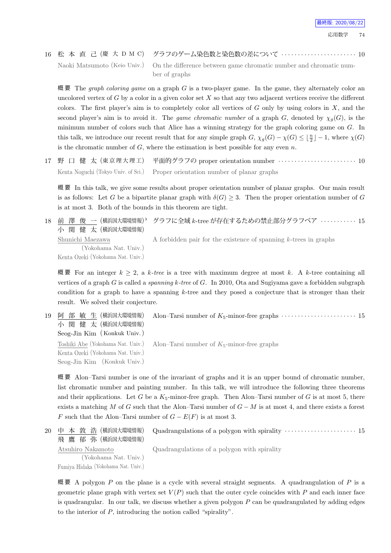16 松 本 直 己 (慶 大 D M C) グラフのゲーム染色数と染色数の差について *· · · · · · · · · · · · · · · · · · · · · · ·* 10 Naoki Matsumoto (Keio Univ.) On the difference between game chromatic number and chromatic number of graphs

概 要 The *graph coloring game* on a graph *G* is a two-player game. In the game, they alternately color an uncolored vertex of *G* by a color in a given color set *X* so that any two adjacent vertices receive the different colors. The first player's aim is to completely color all vertices of *G* only by using colors in *X*, and the second player's aim is to avoid it. The *game chromatic number* of a graph *G*, denoted by  $\chi_q(G)$ , is the minimum number of colors such that Alice has a winning strategy for the graph coloring game on *G*. In this talk, we introduce our recent result that for any simple graph  $G$ ,  $\chi_g(G) - \chi(G) \leq \lfloor \frac{n}{2} \rfloor - 1$ , where  $\chi(G)$ is the chromatic number of  $G$ , where the estimation is best possible for any even  $n$ .

17 野 口 健 太 (東京理大理工) 平面的グラフの proper orientation number ························· 10 Kenta Noguchi (Tokyo Univ. of Sci.) Proper orientation number of planar graphs

概 要 In this talk, we give some results about proper orientation number of planar graphs. Our main result is as follows: Let *G* be a bipartite planar graph with  $\delta(G) \geq 3$ . Then the proper orientation number of *G* is at most 3. Both of the bounds in this theorem are tight.

18 前 澤 俊 一 (横浜国大環境情報) b 小 関 健 太 (横浜国大環境情報) *♭* グラフに全域 *k*-tree が存在するための禁止部分グラフペア *· · · · · · · · · · ·* 15

Shunichi Maezawa (Yokohama Nat. Univ.) Kenta Ozeki (Yokohama Nat. Univ.)

A forbidden pair for the existence of spanning *k*-trees in graphs

概要 For an integer  $k \geq 2$ , a k-tree is a tree with maximum degree at most k. A k-tree containing all vertices of a graph *G* is called a *spanning k-tree* of *G*. In 2010, Ota and Sugiyama gave a forbidden subgraph condition for a graph to have a spanning *k*-tree and they posed a conjecture that is stronger than their result. We solved their conjecture.

19 阿 部 敏 生 (横浜国大環境情報) 小 関 健 太 (横浜国大環境情報) Seog-Jin Kim (Konkuk Univ.) Alon–Tarsi number of  $K_5$ -minor-free graphs  $\cdots$   $\cdots$   $\cdots$   $\cdots$   $\cdots$   $\cdots$   $\cdots$  15 Toshiki Abe (Yokohama Nat. Univ.) Kenta Ozeki (Yokohama Nat. Univ.) Seog-Jin Kim (Konkuk Univ.) Alon–Tarsi number of  $K_5$ -minor-free graphs

概 要 Alon–Tarsi number is one of the invariant of graphs and it is an upper bound of chromatic number, list chromatic number and painting number. In this talk, we will introduce the following three theorems and their applications. Let *G* be a  $K_5$ -minor-free graph. Then Alon–Tarsi number of *G* is at most 5, there exists a matching *M* of *G* such that the Alon–Tarsi number of *G − M* is at most 4, and there exists a forest *F* such that the Alon–Tarsi number of  $G - E(F)$  is at most 3.

```
20 中 本 敦 浩 (横浜国大環境情報)
    飛 鷹 郁 弥 (横浜国大環境情報)
                                     Quadrangulations of a polygon with spirality · · · · · · · · · · · · · · · · · · · · · · 15
    Atsuhiro Nakamoto
            (Yokohama Nat. Univ.)
    Fumiya Hidaka (Yokohama Nat. Univ.)
                                     Quadrangulations of a polygon with spirality
```
概 要 A polygon *P* on the plane is a cycle with several straight segments. A quadrangulation of *P* is a geometric plane graph with vertex set  $V(P)$  such that the outer cycle coincides with  $P$  and each inner face is quadrangular. In our talk, we discuss whether a given polygon *P* can be quadrangulated by adding edges to the interior of *P*, introducing the notion called "spirality".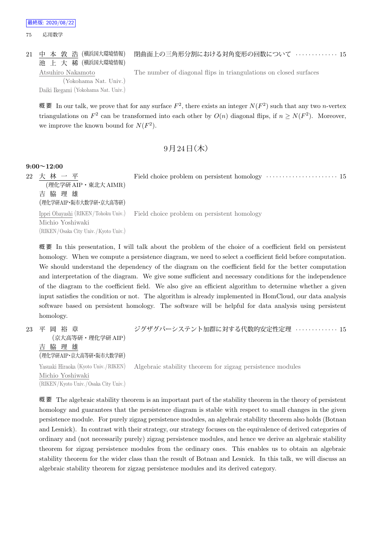

#### 21 中 本 敦 浩 (横浜国大環境情報) 閉曲面上の三角形分割における対角変形の回数について *· · · · · · · · · · · · ·* 15

池 上 大 稀 (横浜国大環境情報) Atsuhiro Nakamoto

(Yokohama Nat. Univ.) Daiki Ikegami (Yokohama Nat. Univ.) The number of diagonal flips in triangulations on closed surfaces

概要 In our talk, we prove that for any surface  $F^2$ , there exists an integer  $N(F^2)$  such that any two *n*-vertex triangulations on  $F^2$  can be transformed into each other by  $O(n)$  diagonal flips, if  $n \ge N(F^2)$ . Moreover, we improve the known bound for  $N(F^2)$ .

## $9$  月  $24$  日 (木)

### **9:00~12:00**

22 大 林 一 平 (理化学研AIP・東北大AIMR) 吉 脇 理 雄 (理化学研AIP・阪市大数学研・京大高等研) Field choice problem on persistent homology  $\cdots$  · · · · · · · · · · · · · · · · · · 15 Ippei Obayashi (RIKEN/Tohoku Univ.) Michio Yoshiwaki (RIKEN/Osaka City Univ./Kyoto Univ.) Field choice problem on persistent homology

概 要 In this presentation, I will talk about the problem of the choice of a coefficient field on persistent homology. When we compute a persistence diagram, we need to select a coefficient field before computation. We should understand the dependency of the diagram on the coefficient field for the better computation and interpretation of the diagram. We give some sufficient and necessary conditions for the independence of the diagram to the coefficient field. We also give an efficient algorithm to determine whether a given input satisfies the condition or not. The algorithm is already implemented in HomCloud, our data analysis software based on persistent homology. The software will be helpful for data analysis using persistent homology.

23 平 岡 裕 章 (京大高等研・理化学研 AIP) 吉 脇 理 雄 (理化学研AIP・京大高等研・阪市大数学研) ジグザグパーシステント加群に対する代数的安定性定理 *· · · · · · · · · · · · ·* 15 Yasuaki Hiraoka (Kyoto Univ./RIKEN) Michio Yoshiwaki (RIKEN/Kyoto Univ. /Osaka City Univ.) Algebraic stability theorem for zigzag persistence modules

概 要 The algebraic stability theorem is an important part of the stability theorem in the theory of persistent homology and guarantees that the persistence diagram is stable with respect to small changes in the given persistence module. For purely zigzag persistence modules, an algebraic stability theorem also holds (Botnan and Lesnick). In contrast with their strategy, our strategy focuses on the equivalence of derived categories of ordinary and (not necessarily purely) zigzag persistence modules, and hence we derive an algebraic stability theorem for zigzag persistence modules from the ordinary ones. This enables us to obtain an algebraic stability theorem for the wider class than the result of Botnan and Lesnick. In this talk, we will discuss an algebraic stability theorem for zigzag persistence modules and its derived category.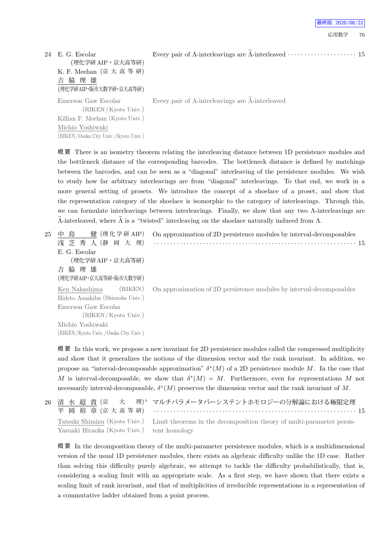| 24 E. G. Escolar<br>(理化学研 AIP・京大高等研)<br>K. F. Meehan (京大高等研)<br>吉脇理雄<br>(理化学研AIP·阪市大数学研·京大高等研)    |                                                                   |
|---------------------------------------------------------------------------------------------------|-------------------------------------------------------------------|
| Emerson Gaw Escolar<br>(RIKEN/Kyoto Univ.)<br>Killian F. Meehan (Kyoto Univ.)<br>Michio Yoshiwaki | Every pair of $\Lambda$ -interleavings are $\Lambda$ -interleaved |
| (RIKEN/Osaka City Univ./Kyoto Univ.)                                                              |                                                                   |

応用数学 76 最終版: 2020/08/22

概 要 There is an isometry theorem relating the interleaving distance between 1D persistence modules and the bottleneck distance of the corresponding barcodes. The bottleneck distance is defined by matchings between the barcodes, and can be seen as a "diagonal" interleaving of the persistence modules. We wish to study how far arbitrary interleavings are from "diagonal" interleavings. To that end, we work in a more general setting of prosets. We introduce the concept of a shoelace of a proset, and show that the representation category of the shoelace is isomorphic to the category of interleavings. Through this, we can formulate interleavings between interleavings. Finally, we show that any two Λ-interleavings are  $Λ$ -interleaved, where  $Λ$  is a "twisted" interleaving on the shoelace naturally induced from  $Λ$ .

| 25 | 健 (理化学研 AIP)<br>鳥<br>中               | On approximation of 2D persistence modules by interval-decomposables |
|----|--------------------------------------|----------------------------------------------------------------------|
|    | 浅 芝 秀 人 (静<br>岡 大 理)                 |                                                                      |
|    | E. G. Escolar                        |                                                                      |
|    | (理化学研 AIP・京大高等研)                     |                                                                      |
|    | 脇 理 雄<br>吉                           |                                                                      |
|    | (理化学研AIP・京大高等研・阪市大数学研)               |                                                                      |
|    | (RIKEN)<br>Ken Nakashima             | On approximation of 2D persistence modules by interval-decomposables |
|    | Hideto Asashiba (Shizuoka Univ.)     |                                                                      |
|    | Emerson Gaw Escolar                  |                                                                      |
|    | (RIKEN/Kyoto Univ.)                  |                                                                      |
|    | Michio Yoshiwaki                     |                                                                      |
|    | (RIKEN/Kyoto Univ./Osaka City Univ.) |                                                                      |

概 要 In this work, we propose a new invariant for 2D persistence modules called the compressed multiplicity and show that it generalizes the notions of the dimension vector and the rank invariant. In addition, we propose an "interval-decomposable approximation" *δ ∗* (*M*) of a 2D persistence module *M*. In the case that *M* is interval-decomposable, we show that  $\delta^*(M) = M$ . Furthermore, even for representations M not necessarily interval-decomposable, *δ ∗* (*M*) preserves the dimension vector and the rank invariant of *M*.

|                                             | 26 清 水 超 貴 (京 大 理) マルチパラメータパーシステントホモロジーの分解論における極限定理                                                 |  |
|---------------------------------------------|-----------------------------------------------------------------------------------------------------|--|
|                                             | 平 岡 裕 章 (京大高等研) ……………………………………………………………… 15                                                         |  |
|                                             | Tatsuki Shimizu (Kyoto Univ.) Limit theorems in the decomposition theory of multi-parameter persis- |  |
| Yasuaki Hiraoka (Kyoto Univ.) tent homology |                                                                                                     |  |

概 要 In the decomposition theory of the multi-parameter persistence modules, which is a multidimensional version of the usual 1D persistence modules, there exists an algebraic difficulty unlike the 1D case. Rather than solving this difficulty purely algebraic, we attempt to tackle the difficulty probabilistically, that is, considering a scaling limit with an appropriate scale. As a first step, we have shown that there exists a scaling limit of rank invariant, and that of multiplicities of irreducible representations in a representation of a commutative ladder obtained from a point process.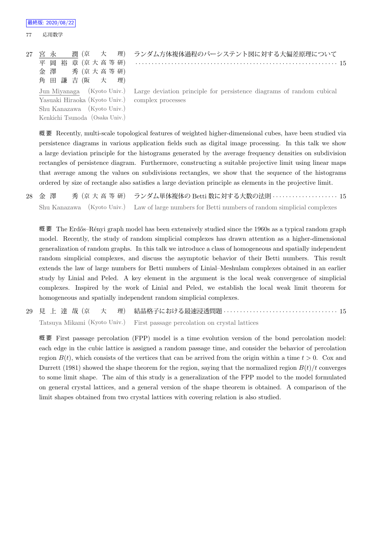Shu Kanazawa (Kyoto Univ.) Kenkichi Tsunoda (Osaka Univ.)

77 応用数学

|                                                 | 27 宮 永   潤(京  大  理) ランダム方体複体過程のパーシステント図に対する大偏差原理について                                            |
|-------------------------------------------------|-------------------------------------------------------------------------------------------------|
|                                                 | 平 岡 裕 章 (京大高等研) ……………………………………………………………… 15                                                     |
| 金澤 秀 (京大高等研)                                    |                                                                                                 |
| 角田謙吉(阪大理)                                       |                                                                                                 |
|                                                 | Jun Miyanaga (Kyoto Univ.) Large deviation principle for persistence diagrams of random cubical |
| Yasuaki Hiraoka (Kyoto Univ.) complex processes |                                                                                                 |

概 要 Recently, multi-scale topological features of weighted higher-dimensional cubes, have been studied via persistence diagrams in various application fields such as digital image processing. In this talk we show a large deviation principle for the histograms generated by the average frequency densities on subdivision rectangles of persistence diagram. Furthermore, constructing a suitable projective limit using linear maps that average among the values on subdivisions rectangles, we show that the sequence of the histograms ordered by size of rectangle also satisfies a large deviation principle as elements in the projective limit.

28 金 澤 秀 (京 大 高 等 研) ランダム単体複体の Betti 数に対する大数の法則 *· · · · · · · · · · · · · · · · · · · ·* 15 Shu Kanazawa (Kyoto Univ.) Law of large numbers for Betti numbers of random simplicial complexes

概要 The Erdős–Rényi graph model has been extensively studied since the 1960s as a typical random graph model. Recently, the study of random simplicial complexes has drawn attention as a higher-dimensional generalization of random graphs. In this talk we introduce a class of homogeneous and spatially independent random simplicial complexes, and discuss the asymptotic behavior of their Betti numbers. This result extends the law of large numbers for Betti numbers of Linial–Meshulam complexes obtained in an earlier study by Linial and Peled. A key element in the argument is the local weak convergence of simplicial complexes. Inspired by the work of Linial and Peled, we establish the local weak limit theorem for homogeneous and spatially independent random simplicial complexes.

29 見 上 達 哉 (京 大 理) 結晶格子における最速浸透問題 *· · · · · · · · · · · · · · · · · · · · · · · · · · · · · · · · · · ·* 15 Tatsuya Mikami (Kyoto Univ.) First passage percolation on crystal lattices

概 要 First passage percolation (FPP) model is a time evolution version of the bond percolation model: each edge in the cubic lattice is assigned a random passage time, and consider the behavior of percolation region  $B(t)$ , which consists of the vertices that can be arrived from the origin within a time  $t > 0$ . Cox and Durrett (1981) showed the shape theorem for the region, saying that the normalized region  $B(t)/t$  converges to some limit shape. The aim of this study is a generalization of the FPP model to the model formulated on general crystal lattices, and a general version of the shape theorem is obtained. A comparison of the limit shapes obtained from two crystal lattices with covering relation is also studied.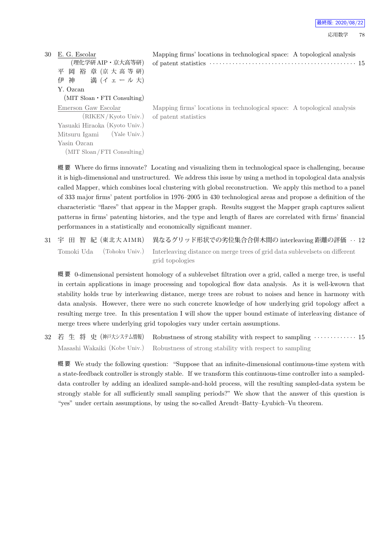| 最終版: 2020/08/22 |  |  |  |
|-----------------|--|--|--|
|-----------------|--|--|--|

| 30- | E. G. Escolar                            | Mapping firms' locations in technological space: A topological analysis                                                                                              |
|-----|------------------------------------------|----------------------------------------------------------------------------------------------------------------------------------------------------------------------|
|     | (理化学研 AIP・京大高等研)                         | of patent statistics $\cdots$ $\cdots$ $\cdots$ $\cdots$ $\cdots$ $\cdots$ $\cdots$ $\cdots$ $\cdots$ $\cdots$ $\cdots$ $\cdots$ $\cdots$ $\cdots$ $\cdots$ $\cdots$ |
|     | 平 岡 裕 章 (京大高等研)                          |                                                                                                                                                                      |
|     | 伊 神 満 (イェール大)                            |                                                                                                                                                                      |
|     | Y. Ozcan                                 |                                                                                                                                                                      |
|     | $(MIT$ Sloan $\cdot$ FTI Consulting)     |                                                                                                                                                                      |
|     | Emerson Gaw Escolar                      | Mapping firms' locations in technological space: A topological analysis                                                                                              |
|     | (RIKEN/Kyoto Univ.) of patent statistics |                                                                                                                                                                      |
|     | Yasuaki Hiraoka (Kyoto Univ.)            |                                                                                                                                                                      |
|     | (Yale Univ.)<br>Mitsuru Igami            |                                                                                                                                                                      |
|     | Yasin Ozcan                              |                                                                                                                                                                      |
|     | (MIT Sloan/FTI Consulting)               |                                                                                                                                                                      |

概 要 Where do firms innovate? Locating and visualizing them in technological space is challenging, because it is high-dimensional and unstructured. We address this issue by using a method in topological data analysis called Mapper, which combines local clustering with global reconstruction. We apply this method to a panel of 333 major firms' patent portfolios in 1976–2005 in 430 technological areas and propose a definition of the characteristic "flares" that appear in the Mapper graph. Results suggest the Mapper graph captures salient patterns in firms' patenting histories, and the type and length of flares are correlated with firms' financial performances in a statistically and economically significant manner.

31 宇 田 智 紀 (東 北 大 A IMR) 異なるグリッド形状での劣位集合合併木間の interleaving 距離の評価 *· ·* 12 Tomoki Uda (Tohoku Univ.) Interleaving distance on merge trees of grid data sublevelsets on different grid topologies

概 要 0-dimensional persistent homology of a sublevelset filtration over a grid, called a merge tree, is useful in certain applications in image processing and topological flow data analysis. As it is well-kwown that stability holds true by interleaving distance, merge trees are robust to noises and hence in harmony with data analysis. However, there were no such concrete knowledge of how underlying grid topology affect a resulting merge tree. In this presentation I will show the upper bound estimate of interleaving distance of merge trees where underlying grid topologies vary under certain assumptions.

32 若生将史 (神戸大システム情報) Robustness of strong stability with respect to sampling · · · · · · · · · · · · · 15 Masashi Wakaiki (Kobe Univ.) Robustness of strong stability with respect to sampling

概 要 We study the following question: "Suppose that an infinite-dimensional continuous-time system with a state-feedback controller is strongly stable. If we transform this continuous-time controller into a sampleddata controller by adding an idealized sample-and-hold process, will the resulting sampled-data system be strongly stable for all sufficiently small sampling periods?" We show that the answer of this question is "yes" under certain assumptions, by using the so-called Arendt–Batty–Lyubich–Vu theorem.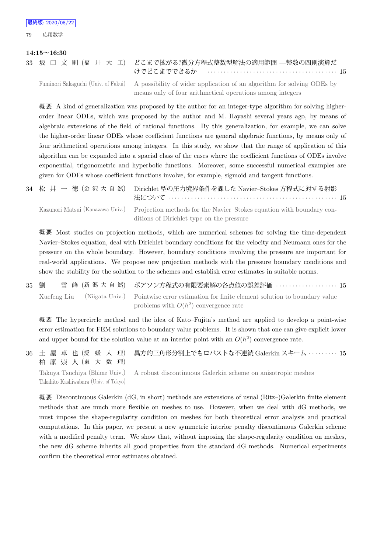### **14:15~16:30**

|  |  |  | 33 坂 口 文 則(福 井 大 工) どこまで拡がる?微分方程式整数型解法の適用範囲 —整数の四則演算だ |  |
|--|--|--|-------------------------------------------------------|--|
|  |  |  |                                                       |  |

Fuminori Sakaguchi (Univ. of Fukui) A possibility of wider application of an algorithm for solving ODEs by means only of four arithmetical operations among integers

概要 A kind of generalization was proposed by the author for an integer-type algorithm for solving higherorder linear ODEs, which was proposed by the author and M. Hayashi several years ago, by means of algebraic extensions of the field of rational functions. By this generalization, for example, we can solve the higher-order linear ODEs whose coefficient functions are general algebraic functions, by means only of four arithmetical operations among integers. In this study, we show that the range of application of this algorithm can be expanded into a spacial class of the cases where the coefficient functions of ODEs involve exponential, trigonometric and hyperbolic functions. Moreover, some successful numerical examples are given for ODEs whose coefficient functions involve, for example, sigmoid and tangent functions.

|  | 34 松 井 一 徳 (金 沢 大 自 然) Dirichlet 型の圧力境界条件を課した Navier-Stokes 方程式に対する射影                                 |  |
|--|-------------------------------------------------------------------------------------------------------|--|
|  | Kazunori Matsui (Kanazawa Univ.) Projection methods for the Navier-Stokes equation with boundary con- |  |
|  | ditions of Dirichlet type on the pressure                                                             |  |

概 要 Most studies on projection methods, which are numerical schemes for solving the time-dependent Navier–Stokes equation, deal with Dirichlet boundary conditions for the velocity and Neumann ones for the pressure on the whole boundary. However, boundary conditions involving the pressure are important for real-world applications. We propose new projection methods with the pressure boundary conditions and show the stability for the solution to the schemes and establish error estimates in suitable norms.

35 劉 雪 峰 (新 潟 大 自 然) ポアソン方程式の有限要素解の各点値の誤差評価 *· · · · · · · · · · · · · · · · · · ·* 15 Xuefeng Liu (Niigata Univ.) Pointwise error estimation for finite element solution to boundary value problems with  $O(h^2)$  convergence rate

概 要 The hypercircle method and the idea of Kato–Fujita's method are applied to develop a point-wise error estimation for FEM solutions to boundary value problems. It is shown that one can give explicit lower and upper bound for the solution value at an interior point with an  $O(h^2)$  convergence rate.

36 土 屋 卓 也 (愛 媛 大 理) 柏 原 崇 人 (東 大 数 理) 異方的三角形分割上でもロバストな不連続 Galerkin スキーム *· · · · · · · · ·* 15 Takuya Tsuchiya (Ehime Univ.) Takahito Kashiwabara (Univ. of Tokyo) A robust discontinuous Galerkin scheme on anisotropic meshes

概 要 Discontinuous Galerkin (dG, in short) methods are extensions of usual (Ritz–)Galerkin finite element methods that are much more flexible on meshes to use. However, when we deal with dG methods, we must impose the shape-regularity condition on meshes for both theoretical error analysis and practical computations. In this paper, we present a new symmetric interior penalty discontinuous Galerkin scheme with a modified penalty term. We show that, without imposing the shape-regularity condition on meshes, the new dG scheme inherits all good properties from the standard dG methods. Numerical experiments confirm the theoretical error estimates obtained.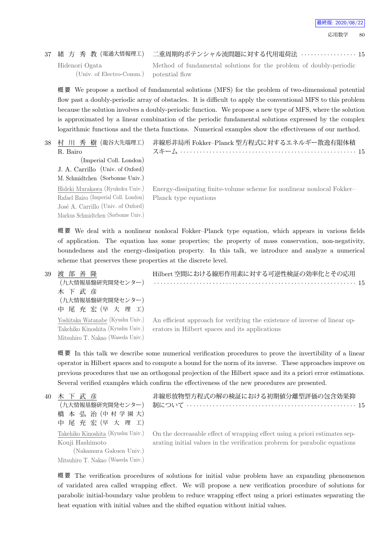### 37 緒 方 秀 教 (電通大情報理工) 二重周期的ポテンシャル流問題に対する代用電荷法 *· · · · · · · · · · · · · · · · ·* 15

Hidenori Ogata

(Univ. of Electro-Comm.)

Method of fundamental solutions for the problem of doubly-periodic potential flow

概 要 We propose a method of fundamental solutions (MFS) for the problem of two-dimensional potential flow past a doubly-periodic array of obstacles. It is difficult to apply the conventional MFS to this problem because the solution involves a doubly-periodic function. We propose a new type of MFS, where the solution is approximated by a linear combination of the periodic fundamental solutions expressed by the complex logarithmic functions and the theta functions. Numerical examples show the effectiveness of our method.

| 38 | 村 川 秀 樹 (龍谷大先端理工)                    | 非線形非局所 Fokker-Planck 型方程式に対するエネルギー散逸有限体積                               |
|----|--------------------------------------|------------------------------------------------------------------------|
|    | R. Bairo                             |                                                                        |
|    | (Imperial Coll. London)              |                                                                        |
|    | J. A. Carrillo (Univ. of Oxford)     |                                                                        |
|    | M. Schmidtchen (Sorbonne Univ.)      |                                                                        |
|    | Hideki Murakawa (Ryukoku Univ.)      | Energy-dissipating finite-volume scheme for nonlinear nonlocal Fokker- |
|    | Rafael Bairo (Imperial Coll. London) | Planck type equations                                                  |
|    | José A. Carrillo (Univ. of Oxford)   |                                                                        |
|    | Markus Schmidtchen (Sorbonne Univ.)  |                                                                        |

概 要 We deal with a nonlinear nonlocal Fokker–Planck type equation, which appears in various fields of application. The equation has some properties; the property of mass conservation, non-negativity, boundedness and the energy-dissipation property. In this talk, we introduce and analyze a numerical scheme that preserves these properties at the discrete level.

39 渡 部 善 隆 (九大情報基盤研究開発センター) 木 下 武 彦 (九大情報基盤研究開発センター) 中 尾 充 宏 (早 大 理 工) Hilbert 空間における線形作用素に対する可逆性検証の効率化とその応用 *· · · · · · · · · · · · · · · · · · · · · · · · · · · · · · · · · · · · · · · · · · · · · · · · · · · · · · · · · · · · · ·* 15 Yoshitaka Watanabe (Kyushu Univ.) Takehiko Kinoshita (Kyushu Univ.) Mitsuhiro T. Nakao (Waseda Univ.) An efficient approach for verifying the existence of inverse of linear operators in Hilbert spaces and its applications

概要 In this talk we describe some numerical verification procedures to prove the invertibility of a linear operator in Hilbert spaces and to compute a bound for the norm of its inverse. These approaches improve on previous procedures that use an orthogonal projection of the Hilbert space and its a priori error estimations. Several verified examples which confirm the effectiveness of the new procedures are presented.

40 木 下 武 彦 (九大情報基盤研究開発センター) 橋 本 弘 治 (中 村 学 園 大) 中 尾 充 宏 (早 大 理 工) Takehiko Kinoshita (Kyushu Univ.) Kouji Hashimoto (Nakamura Gakuen Univ.)

Mitsuhiro T. Nakao (Waseda Univ.)

非線形放物型方程式の解の検証における初期値分離型評価の包含効果抑 制について *· · · · · · · · · · · · · · · · · · · · · · · · · · · · · · · · · · · · · · · · · · · · · · · · · · · ·* 15

On the decreasable effect of wrapping effect using a priori estimates separating initial values in the verification probrem for parabolic equations

概 要 The verification procedures of solutions for initial value problem have an expanding phenomenon of varidated area called wrapping effect. We will propose a new verification procedure of solutions for parabolic initial-boundary value problem to reduce wrapping effect using a priori estimates separating the heat equation with initial values and the shifted equation without initial values.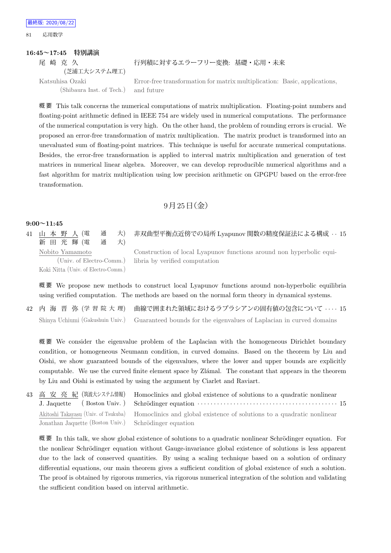**16:45~17:45 特別講演** 尾 崎 克 久 (芝浦工大システム理工) 行列積に対するエラーフリー変換: 基礎・応用・未来 Katsuhisa Ozaki (Shibaura Inst. of Tech.) Error-free transformation for matrix multiplication: Basic, applications, and future

概 要 This talk concerns the numerical computations of matrix multiplication. Floating-point numbers and floating-point arithmetic defined in IEEE 754 are widely used in numerical computations. The performance of the numerical computation is very high. On the other hand, the problem of rounding errors is crucial. We proposed an error-free transformation of matrix multiplication. The matrix product is transformed into an unevaluated sum of floating-point matrices. This technique is useful for accurate numerical computations. Besides, the error-free transformation is applied to interval matrix multiplication and generation of test matrices in numerical linear algebra. Moreover, we can develop reproducible numerical algorithms and a fast algorithm for matrix multiplication using low precision arithmetic on GPGPU based on the error-free transformation.

### $9$ 月 $25$ 日(金)

#### **9:00~11:45**

最終版: 2020/08/22 81 応用数学

41 山 本 野 人 (電 通 大) 新 田 光 輝 (電 通 天) Nobito Yamamoto (Univ. of Electro-Comm.)

Construction of local Lyapunov functions around non hyperbolic equilibria by verified computation

非双曲型平衡点近傍での局所 Lyapunov 関数の精度保証法による構成 *· ·* 15

Koki Nitta (Univ. of Electro-Comm.)

概 要 We propose new methods to construct local Lyapunov functions around non-hyperbolic equilibria using verified computation. The methods are based on the normal form theory in dynamical systems.

42 内 海 晋 弥 (学 習 院 大 理) 曲線で囲まれた領域におけるラプラシアンの固有値の包含について *· · · ·* 15 Shinya Uchiumi (Gakushuin Univ.) Guaranteed bounds for the eigenvalues of Laplacian in curved domains

概 要 We consider the eigenvalue problem of the Laplacian with the homogeneous Dirichlet boundary condition, or homogeneous Neumann condition, in curved domains. Based on the theorem by Liu and Oishi, we show guaranteed bounds of the eigenvalues, where the lower and upper bounds are explicitly computable. We use the curved finite element space by Zlámal. The constant that appears in the theorem by Liu and Oishi is estimated by using the argument by Ciarlet and Raviart.

43 高 安 亮 紀 (筑波大システム情報) J. Jaquette ( Boston Univ. ) Homoclinics and global existence of solutions to a quadratic nonlinear Schr¨odinger equation *· · · · · · · · · · · · · · · · · · · · · · · · · · · · · · · · · · · · · · · · · · ·* 15 Akitoshi Takayasu (Univ. of Tsukuba) Jonathan Jaquette (Boston Univ.) Homoclinics and global existence of solutions to a quadratic nonlinear Schrödinger equation

概要 In this talk, we show global existence of solutions to a quadratic nonlinear Schrödinger equation. For the nonliear Schrödinger equation without Gauge-invariance global existence of solutions is less apparent due to the lack of conserved quantities. By using a scaling technique based on a solution of ordinary differential equations, our main theorem gives a sufficient condition of global existence of such a solution. The proof is obtained by rigorous numerics, via rigorous numerical integration of the solution and validating the sufficient condition based on interval arithmetic.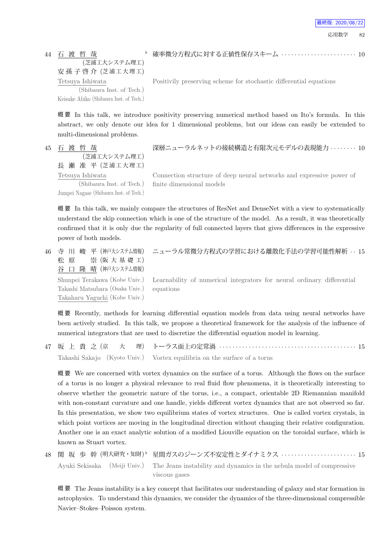44 石 渡 哲 哉 (芝浦工大システム理工) 安 孫 子 啓 介 (芝浦工大理工) Tetsuya Ishiwata (Shibaura Inst. of Tech.) Keisuke Abiko (Shibaura Inst. of Tech.)

*♭* 確率微分方程式に対する正値性保存スキーム *· · · · · · · · · · · · · · · · · · · · · · ·* 10

Positivily preserving scheme for stochastic differential equations

概 要 In this talk, we introduce positivity preserving numerical method based on Ito's formula. In this abstract, we only denote our idea for 1 dimensional problems, but our ideas can easily be extended to multi-dimensional problems.

45 石 渡 哲 哉 (芝浦工大システム理工) 長 瀬 准 平 (芝浦工大理工) Tetsuya Ishiwata

(Shibaura Inst. of Tech.) Jumpei Nagase (Shibaura Inst. of Tech.) 深層ニューラルネットの接続構造と有限次元モデルの表現能力 *· · · · · · · ·* 10

Connection structure of deep neural networks and expressive power of finite dimensional models

概 要 In this talk, we mainly compare the structures of ResNet and DenseNet with a view to systematically understand the skip connection which is one of the structure of the model. As a result, it was theoretically confirmed that it is only due the regularity of full connected layers that gives differences in the expressive power of both models.

46 寺 川 峻 平 (神戸大システム情報) 松 原 崇 (阪 大 基 礎 工) 谷 口 隆 晴 (神戸大システム情報) Shunpei Terakawa (Kobe Univ.) Takashi Matsubara (Osaka Univ.) Takaharu Yaguchi (Kobe Univ.)

ニューラル常微分方程式の学習における離散化手法の学習可能性解析 *· ·* 15

Learnability of numerical integrators for neural ordinary differential equations

概 要 Recently, methods for learning differential equation models from data using neural networks have been actively studied. In this talk, we propose a theoretical framework for the analysis of the influence of numerical integrators that are used to discretize the differential equation model in learning.

47 坂 上 貴 之 (京 大 理) トーラス面上の定常渦 *· · · · · · · · · · · · · · · · · · · · · · · · · · · · · · · · · · · · · · · · · ·* 15 Takashi Sakajo (Kyoto Univ.) Vortex equilibria on the surface of a torus

概 要 We are concerned with vortex dynamics on the surface of a torus. Although the flows on the surface of a torus is no longer a physical relevance to real fluid flow phenomena, it is theoretically interesting to observe whether the geometric nature of the torus, i.e., a compact, orientable 2D Riemannian manifold with non-constant curvature and one handle, yields different vortex dynamics that are not observed so far. In this presentation, we show two equilibrium states of vortex structures. One is called vortex crystals, in which point vortices are moving in the longitudinal direction without changing their relative configuration. Another one is an exact analytic solution of a modified Liouville equation on the toroidal surface, which is known as Stuart vortex.

```
48 関 坂 歩 幹 (明大研究・知財)り
                                 ♭ 星間ガスのジーンズ不安定性とダイナミクス · · · · · · · · · · · · · · · · · · · · · · · 15
    Ayuki Sekisaka (Meiji Univ.) The Jeans instability and dynamics in the nebula model of compressive
                                 viscous gases
```
概 要 The Jeans instability is a key concept that facilitates our understanding of galaxy and star formation in astrophysics. To understand this dynamics, we consider the dynamics of the three-dimensional compressible Navier–Stokes–Poisson system.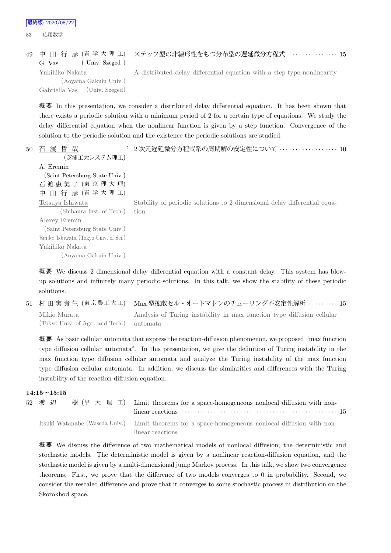最終版: 2020/08/22

83 応用数学

```
49 中 田 行 彦 (青 学 大 理 工)
   G. Vas (Univ. Szeged)
                               ステップ型の非線形性をもつ分布型の遅延微分方程式 · · · · · · · · · · · · · · · 15
   Yukihiko Nakata
                               A distributed delay differential equation with a step-type nonlinearity
```
(Aoyama Gakuin Univ.) Gabriella Vas (Univ. Szeged)

概 要 In this presentation, we consider a distributed delay differential equation. It has been shown that there exists a periodic solution with a minimum period of 2 for a certain type of equations. We study the delay differential equation when the nonlinear function is given by a step function. Convergence of the solution to the periodic solution and the existence the periodic solutions are studied.

50 石 渡 哲 哉 (芝浦工大システム理工) A. Eremin (Saint Petersburg State Univ.) 石 渡 恵 美 子 (東 京 理 大 理) 中 田 行 彦 (青 学 大 理 工) *♭* 2 次元遅延微分方程式系の周期解の安定性について *· · · · · · · · · · · · · · · · · ·* 10 Tetsuya Ishiwata (Shibaura Inst. of Tech.) Alexey Eremin (Saint Petersburg State Univ.) Emiko Ishiwata (Tokyo Univ. of Sci.) Yukihiko Nakata (Aoyama Gakuin Univ.) Stability of periodic solutions to 2 dimensional delay differential equation

概 要 We discuss 2 dimensional delay differential equation with a constant delay. This system has blowup solutions and infinitely many periodic solutions. In this talk, we show the stability of these periodic solutions.

51 村 田 実 貴 生 (東 京 農 工 大 工) Max 型拡散セル・オートマトンのチューリング不安定性解析 *· · · · · · · · ·* 15 Mikio Murata (Tokyo Univ. of Agri. and Tech.) Analysis of Turing instability in max function type diffusion cellular automata

概 要 As basic cellular automata that express the reaction-diffusion phenomenon, we proposed "max function type diffusion cellular automata". In this presentation, we give the definition of Turing instability in the max function type diffusion cellular automata and analyze the Turing instability of the max function type diffusion cellular automata. In addition, we discuss the similarities and differences with the Turing instability of the reaction-diffusion equation.

### **14:15~15:15**

| 52 渡 辺 | 樹 (早 大 理 工) Limit theorems for a space-homogeneous nonlocal diffusion with non-                    |
|--------|----------------------------------------------------------------------------------------------------|
|        |                                                                                                    |
|        | Itsuki Watanabe (Waseda Univ.) Limit theorems for a space-homogeneous nonlocal diffusion with non- |
|        | linear reactions                                                                                   |

概 要 We discuss the difference of two mathematical models of nonlocal diffusion; the deterministic and stochastic models. The deterministic model is given by a nonlinear reaction-diffusion equation, and the stochastic model is given by a multi-dimensional jump Markov process. In this talk, we show two convergence theorems. First, we prove that the difference of two models converges to 0 in probability. Second, we consider the rescaled difference and prove that it converges to some stochastic process in distribution on the Skorokhod space.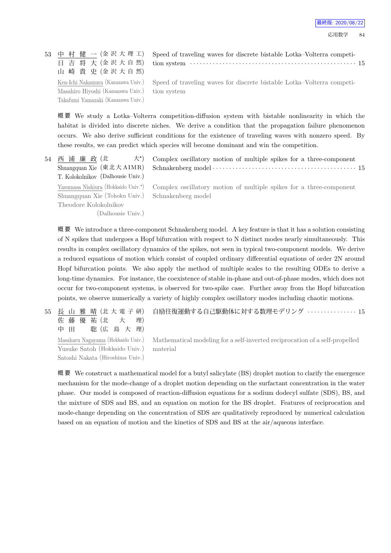最終版: 2020/08/22

53 中 村 健 一 (金 沢 大 理 工) 日 吉 将 大 (金 沢 大 自 然) 山 崎 貴 史 (金 沢 大 自 然) Speed of traveling waves for discrete bistable Lotka–Volterra competition system *· · · · · · · · · · · · · · · · · · · · · · · · · · · · · · · · · · · · · · · · · · · · · · · · · · ·* 15 Ken-Ichi Nakamura (Kanazawa Univ.) Masahiro Hiyoshi (Kanazawa Univ.) Takafumi Yamazaki (Kanazawa Univ.) Speed of traveling waves for discrete bistable Lotka–Volterra competition system

概 要 We study a Lotka–Volterra competition-diffusion system with bistable nonlinearity in which the habitat is divided into discrete niches. We derive a condition that the propagation failure phenomenon occurs. We also derive sufficient conditions for the existence of traveling waves with nonzero speed. By these results, we can predict which species will become dominant and win the competition.

| 54 | 大*)<br>西 浦 廉 政 (北                                | Complex oscillatory motion of multiple spikes for a three-component                                     |
|----|--------------------------------------------------|---------------------------------------------------------------------------------------------------------|
|    |                                                  |                                                                                                         |
|    | T. Kolokolnikov (Dalhousie Univ.)                |                                                                                                         |
|    |                                                  | Yasumasa Nishiura (Hokkaido Univ.*) Complex oscillatory motion of multiple spikes for a three-component |
|    | Shuangquan Xie (Tohoku Univ.) Schnakenberg model |                                                                                                         |
|    | Theodore Kolokolnikov                            |                                                                                                         |
|    | (Dalhousie Univ.)                                |                                                                                                         |
|    |                                                  |                                                                                                         |

概要 We introduce a three-component Schnakenberg model. A key feature is that it has a solution consisting of N spikes that undergoes a Hopf bifurcation with respect to N distinct modes nearly simultaneously. This results in complex oscillatory dynamics of the spikes, not seen in typical two-component models. We derive a reduced equations of motion which consist of coupled ordinary differential equations of order 2N around Hopf bifurcation points. We also apply the method of multiple scales to the resulting ODEs to derive a long-time dynamics. For instance, the coexistence of stable in-phase and out-of-phase modes, which does not occur for two-component systems, is observed for two-spike case. Further away from the Hopf bifurcation points, we observe numerically a variety of highly complex oscillatory modes including chaotic motions.

55 長 山 雅 晴 (北 大 電 子 研) 佐 藤 優 祐 (北 大 理) 中 田 聡 (広 島 大 理) 自励往復運動する自己駆動体に対する数理モデリング *· · · · · · · · · · · · · · ·* 15 Masaharu Nagayama (Hokkaido Univ.) Yusuke Satoh (Hokkaido Univ.) Mathematical modeling for a self-inverted reciprocation of a self-propelled material

Satoshi Nakata (Hiroshima Univ.)

概 要 We construct a mathematical model for a butyl salicylate (BS) droplet motion to clarify the emergence mechanism for the mode-change of a droplet motion depending on the surfactant concentration in the water phase. Our model is composed of reaction-diffusion equations for a sodium dodecyl sulfate (SDS), BS, and the mixture of SDS and BS, and an equation on motion for the BS droplet. Features of reciprocation and mode-change depending on the concentration of SDS are qualitatively reproduced by numerical calculation based on an equation of motion and the kinetics of SDS and BS at the air/aqueous interface.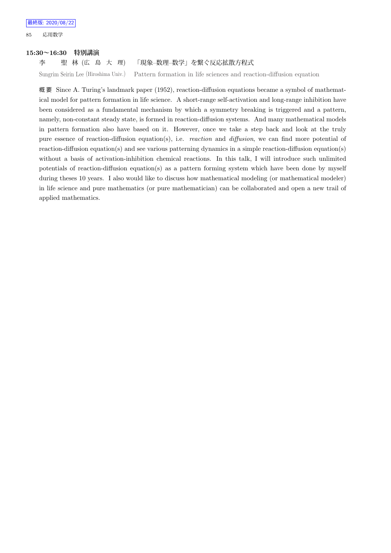85 応用数学

### **15:30~16:30 特別講演**

### 李 聖 林 (広 島 大 理) 「現象–数理–数学」を繋ぐ反応拡散方程式

Sungrim Seirin Lee (Hiroshima Univ.) Pattern formation in life sciences and reaction-diffusion equation

概 要 Since A. Turing's landmark paper (1952), reaction-diffusion equations became a symbol of mathematical model for pattern formation in life science. A short-range self-activation and long-range inhibition have been considered as a fundamental mechanism by which a symmetry breaking is triggered and a pattern, namely, non-constant steady state, is formed in reaction-diffusion systems. And many mathematical models in pattern formation also have based on it. However, once we take a step back and look at the truly pure essence of reaction-diffusion equation(s), i.e. *reaction* and *diffusion*, we can find more potential of reaction-diffusion equation(s) and see various patterning dynamics in a simple reaction-diffusion equation(s) without a basis of activation-inhibition chemical reactions. In this talk, I will introduce such unlimited potentials of reaction-diffusion equation(s) as a pattern forming system which have been done by myself during theses 10 years. I also would like to discuss how mathematical modeling (or mathematical modeler) in life science and pure mathematics (or pure mathematician) can be collaborated and open a new trail of applied mathematics.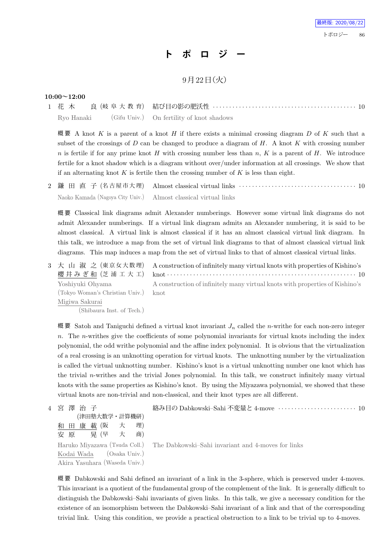# **ト ポ ロ ジ ー**

## 9月22日 (火)

### **10:00~12:00**

1 花 木 良 (岐 阜 大 教 育) 結び目の影の肥沃性 *· · · · · · · · · · · · · · · · · · · · · · · · · · · · · · · · · · · · · · · · · · · ·* 10 Ryo Hanaki (Gifu Univ.) On fertility of knot shadows

概 要 A knot *K* is a parent of a knot *H* if there exists a minimal crossing diagram *D* of *K* such that a subset of the crossings of *D* can be changed to produce a diagram of *H*. A knot *K* with crossing number *n* is fertile if for any prime knot *H* with crossing number less than *n*, *K* is a parent of *H*. We introduce fertile for a knot shadow which is a diagram without over/under information at all crossings. We show that if an alternating knot *K* is fertile then the crossing number of *K* is less than eight.

2 鎌 田 直 子 (名 古 屋 市 大 理) Almost classical virtual links *· · · · · · · · · · · · · · · · · · · · · · · · · · · · · · · · · · · ·* 10 Naoko Kamada (Nagoya City Univ.) Almost classical virtual links

概 要 Classical link diagrams admit Alexander numberings. However some virtual link diagrams do not admit Alexander numberings. If a virtual link diagram admits an Alexander numbering, it is said to be almost classical. A virtual link is almost classical if it has an almost classical virtual link diagram. In this talk, we introduce a map from the set of virtual link diagrams to that of almost classical virtual link diagrams. This map induces a map from the set of virtual links to that of almost classical virtual links.

3 大 山 淑 之 (東京女大数理) 櫻 井 み ぎ 和 (芝 浦 工 大 工) A construction of infinitely many virtual knots with properties of Kishino's knot *· · · · · · · · · · · · · · · · · · · · · · · · · · · · · · · · · · · · · · · · · · · · · · · · · · · · · · · · · ·* 10 Yoshiyuki Ohyama (Tokyo Woman's Christian Univ.) Migiwa Sakurai (Shibaura Inst. of Tech.) A construction of infinitely many virtual knots with properties of Kishino's knot

概 要 Satoh and Taniguchi defined a virtual knot invariant  $J_n$  called the *n*-writhe for each non-zero integer *n*. The *n*-writhes give the coefficients of some polynomial invariants for virtual knots including the index polynomial, the odd writhe polynomial and the affine index polynomial. It is obvious that the virtualization of a real crossing is an unknotting operation for virtual knots. The unknotting number by the virtualization is called the virtual unknotting number. Kishino's knot is a virtual unknotting number one knot which has the trivial *n*-writhes and the trivial Jones polynomial. In this talk, we construct infinitely many virtual knots with the same properties as Kishino's knot. By using the Miyazawa polynomial, we showed that these virtual knots are non-trivial and non-classical, and their knot types are all different.

4 宮 澤 治 子 (津田塾大数学・計算機研) 和 田 康 載 (阪 大 理) 安 原 晃 (早 大 商) 絡み目の Dabkowski–Sahi 不変量と 4-move *· · · · · · · · · · · · · · · · · · · · · · · ·* 10 Haruko Miyazawa (Tsuda Coll.) Kodai Wada (Osaka Univ.) Akira Yasuhara (Waseda Univ.) The Dabkowski–Sahi invariant and 4-moves for links

概 要 Dabkowski and Sahi defined an invariant of a link in the 3-sphere, which is preserved under 4-moves. This invariant is a quotient of the fundamental group of the complement of the link. It is generally difficult to distinguish the Dabkowski–Sahi invariants of given links. In this talk, we give a necessary condition for the existence of an isomorphism between the Dabkowski–Sahi invariant of a link and that of the corresponding trivial link. Using this condition, we provide a practical obstruction to a link to be trivial up to 4-moves.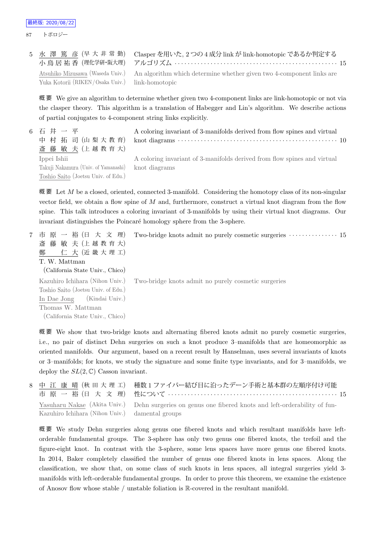87 トポロジー

|                                                 | 5 水 澤 篤 彦 (早大非常勤) Clasper を用いた, 2つの 4 成分 link が link-homotopic であるか判定する<br>小 鳥 居 祐 香(理化学研·阪大理) アルゴリズム ‥‥‥‥‥‥‥‥‥‥‥‥‥‥‥‥‥‥‥‥‥‥‥‥‥‥ 15 |  |
|-------------------------------------------------|-------------------------------------------------------------------------------------------------------------------------------------|--|
| Yuka Kotorii (RIKEN/Osaka Univ.) link-homotopic | Atsuhiko Mizusawa (Waseda Univ.) An algorithm which determine whether given two 4-component links are                               |  |

概 要 We give an algorithm to determine whether given two 4-component links are link-homotopic or not via the clasper theory. This algorithm is a translation of Habegger and Lin's algorithm. We describe actions of partial conjugates to 4-component string links explicitly.

| 6 石 井 一 平                                          | A coloring invariant of 3-manifolds derived from flow spines and virtual                                                                                                        |
|----------------------------------------------------|---------------------------------------------------------------------------------------------------------------------------------------------------------------------------------|
| 中村拓司(山梨大教育)                                        | knot diagrams $\cdots$ $\cdots$ $\cdots$ $\cdots$ $\cdots$ $\cdots$ $\cdots$ $\cdots$ $\cdots$ $\cdots$ $\cdots$ $\cdots$ $\cdots$ $\cdots$ $\cdots$ $\cdots$ $\cdots$ $\cdots$ |
| 斎藤 敏夫(上越教育大)                                       |                                                                                                                                                                                 |
| Ippei Ishii                                        | A coloring invariant of 3-manifolds derived from flow spines and virtual                                                                                                        |
| Takuji Nakamura (Univ. of Yamanashi) knot diagrams |                                                                                                                                                                                 |
| Toshio Saito (Joetsu Univ. of Edu.)                |                                                                                                                                                                                 |

概 要 Let *M* be a closed, oriented, connected 3-manifold. Considering the homotopy class of its non-singular vector field, we obtain a flow spine of *M* and, furthermore, construct a virtual knot diagram from the flow spine. This talk introduces a coloring invariant of 3-manifolds by using their virtual knot diagrams. Our invariant distinguishes the Poincaré homology sphere from the 3-sphere.

7 市 原 一 裕 (日 大 文 理) 斎 藤 敏 夫 (上 越 教 育 大) 鄭 仁 大 (近 畿 大 理 工) T. W. Mattman (California State Univ., Chico) Two-bridge knots admit no purely cosmetic surgeries *· · · · · · · · · · · · · · ·* 15 Kazuhiro Ichihara (Nihon Univ.) Toshio Saito (Joetsu Univ. of Edu.) In Dae Jong (Kindai Univ.) Thomas W. Mattman (California State Univ., Chico) Two-bridge knots admit no purely cosmetic surgeries

概 要 We show that two-bridge knots and alternating fibered knots admit no purely cosmetic surgeries, i.e., no pair of distinct Dehn surgeries on such a knot produce 3–manifolds that are homeomorphic as oriented manifolds. Our argument, based on a recent result by Hanselman, uses several invariants of knots or 3–manifolds; for knots, we study the signature and some finite type invariants, and for 3–manifolds, we deploy the  $SL(2,\mathbb{C})$  Casson invariant.

|                                                 | 8 中 江 康 晴(秋 田 大 理 工) 種数1ファイバー結び目に沿ったデーン手術と基本群の左順序付け可能                                                |  |
|-------------------------------------------------|------------------------------------------------------------------------------------------------------|--|
|                                                 | Yasuharu Nakae (Akita Univ.) Dehn surgeries on genus one fibered knots and left-orderability of fun- |  |
| Kazuhiro Ichihara (Nihon Univ.) damental groups |                                                                                                      |  |

概 要 We study Dehn surgeries along genus one fibered knots and which resultant manifolds have leftorderable fundamental groups. The 3-sphere has only two genus one fibered knots, the trefoil and the figure-eight knot. In contrast with the 3-sphere, some lens spaces have more genus one fibered knots. In 2014, Baker completely classified the number of genus one fibered knots in lens spaces. Along the classification, we show that, on some class of such knots in lens spaces, all integral surgeries yield 3 manifolds with left-orderable fundamental groups. In order to prove this theorem, we examine the existence of Anosov flow whose stable / unstable foliation is R-covered in the resultant manifold.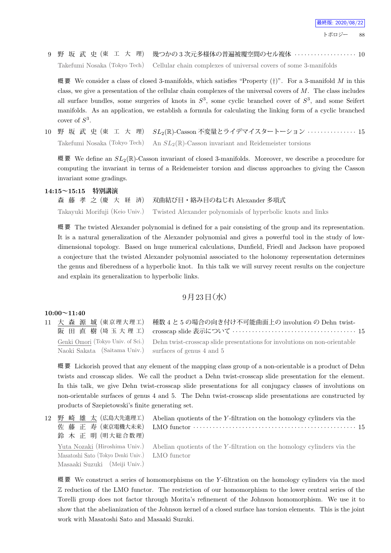9 野 坂 武 史 (東 工 大 理) 幾つかの 3 次元多様体の普遍被覆空間のセル複体 *· · · · · · · · · · · · · · · · · · ·* 10 Takefumi Nosaka (Tokyo Tech) Cellular chain complexes of universal covers of some 3-manifolds

概 要 We consider a class of closed 3-manifolds, which satisfies "Property (*†*)". For a 3-manifold *M* in this class, we give a presentation of the cellular chain complexes of the universal covers of *M*. The class includes all surface bundles, some surgeries of knots in  $S^3$ , some cyclic branched cover of  $S^3$ , and some Seifert manifolds. As an application, we establish a formula for calculating the linking form of a cyclic branched cover of *S* 3 .

10 野 坂 武 史 (東 工 大 理) *SL*2(R)-Casson 不変量とライデマイスタートーション *· · · · · · · · · · · · · · ·* 15 Takefumi Nosaka (Tokyo Tech) An *SL*2(R)-Casson invariant and Reidemeister torsions

概 要 We define an *SL*2(R)-Casson invariant of closed 3-manifolds. Moreover, we describe a procedure for computing the invariant in terms of a Reidemeister torsion and discuss approaches to giving the Casson invariant some gradings.

### **14:15~15:15 特別講演**

森 藤 孝 之 (慶 大 経 済) 双曲結び目・絡み目のねじれ Alexander 多項式 Takayuki Morifuji (Keio Univ.) Twisted Alexander polynomials of hyperbolic knots and links

概 要 The twisted Alexander polynomial is defined for a pair consisting of the group and its representation. It is a natural generalization of the Alexander polynomial and gives a powerful tool in the study of lowdimensional topology. Based on huge numerical calculations, Dunfield, Friedl and Jackson have proposed a conjecture that the twisted Alexander polynomial associated to the holonomy representation determines the genus and fiberedness of a hyperbolic knot. In this talk we will survey recent results on the conjecture and explain its generalization to hyperbolic links.

### $9$ 月 $23$ 日 $($ 水 $)$

### **10:00~11:40**

11 大 森 源 城 (東京理大理工) 阪 田 直 樹 (埼 玉 大 理 工) Genki Omori (Tokyo Univ. of Sci.) Naoki Sakata (Saitama Univ.)

種数 4 と 5 の場合の向き付け不可能曲面上の involution の Dehn twistcrosscap slide 表示について *· · · · · · · · · · · · · · · · · · · · · · · · · · · · · · · · · · · · · ·* 15 Dehn twist-crosscap slide presentations for involutions on non-orientable surfaces of genus 4 and 5

概 要 Lickorish proved that any element of the mapping class group of a non-orientable is a product of Dehn twists and crosscap slides. We call the product a Dehn twist-crosscap slide presentation for the element. In this talk, we give Dehn twist-crosscap slide presentations for all conjugacy classes of involutions on non-orientable surfaces of genus 4 and 5. The Dehn twist-crosscap slide presentations are constructed by products of Szepietowski's finite generating set.

12 野 崎 雄 太 (広島大先進理工) 佐 藤 正 寿 (東京電機大未来) 鈴 木 正 明 (明大総合数理) Abelian quotients of the *Y* -filtration on the homology cylinders via the LMO functor *· · · · · · · · · · · · · · · · · · · · · · · · · · · · · · · · · · · · · · · · · · · · · · · · · ·* 15 Yuta Nozaki (Hiroshima Univ.) Masatoshi Sato (Tokyo Denki Univ.) Masaaki Suzuki (Meiji Univ.) Abelian quotients of the *Y* -filtration on the homology cylinders via the LMO functor

概 要 We construct a series of homomorphisms on the *Y* -filtration on the homology cylinders via the mod Z reduction of the LMO functor. The restriction of our homomorphism to the lower central series of the Torelli group does not factor through Morita's refinement of the Johnson homomorphism. We use it to show that the abelianization of the Johnson kernel of a closed surface has torsion elements. This is the joint work with Masatoshi Sato and Masaaki Suzuki.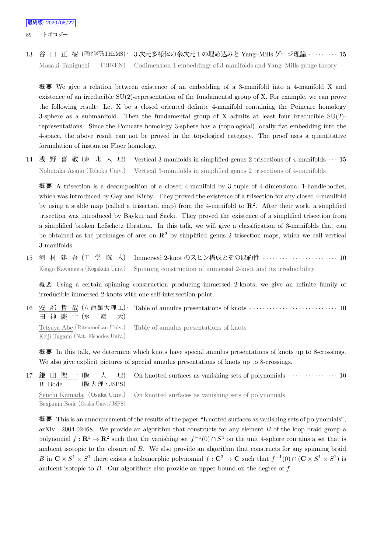89 トポロジー

13 谷 口 正 樹 (理化学研iTHEMS) *♭* 3 次元多様体の余次元 1 の埋め込みと Yang–Mills ゲージ理論 *· · · · · · · · ·* 15 Masaki Taniguchi (RIKEN) Codimension-1 embeddings of 3-manifolds and Yang–Mills gauge theory

概 要 We give a relation between existence of an embedding of a 3-manifold into a 4-manifold X and existence of an irreducible SU(2)-representation of the fundamental group of X. For example, we can prove the following result: Let X be a closed oriented definite 4-manifold containing the Poincare homology 3-sphere as a submanifold. Then the fundamental group of X admits at least four irreducible  $SU(2)$ representations. Since the Poincare homology 3-sphere has a (topological) locally flat embedding into the 4-space, the above result can not be proved in the topological category. The proof uses a quantitative formulation of instanton Floer homology.

14 浅 野 喜 敬 (東 北 大 理) Vertical 3-manifolds in simplified genus 2 trisections of 4-manifolds *· · ·* 15 Nobutaka Asano (Tohoku Univ.) Vertical 3-manifolds in simplified genus 2 trisections of 4-manifolds

概 要 A trisection is a decomposition of a closed 4-manifold by 3 tuple of 4-dimensional 1-handlebodies, which was introduced by Gay and Kirby. They proved the existence of a trisection for any closed 4-manifold by using a stable map (called a trisection map) from the 4-manifold to  $\mathbb{R}^2$ . After their work, a simplified trisection was introduced by Baykur and Saeki. They proved the existence of a simplified trisection from a simplified broken Lefschetz fibration. In this talk, we will give a classification of 3-manifolds that can be obtained as the preimages of arcs on  $\mathbb{R}^2$  by simplified genus 2 trisection maps, which we call vertical 3-manifolds.

15 河 村 建 吾 (工 学 院 大) Immersed 2-knot のスピン構成とその既約性 *· · · · · · · · · · · · · · · · · · · · · · ·* 10 Kengo Kawamura (Kogakuin Univ.) Spinning construction of immersed 2-knot and its irreducibility

概 要 Using a certain spinning construction producing immersed 2-knots, we give an infinite family of irreducible immersed 2-knots with one self-intersection point.

 $16$  安部 哲 哉  $(\pm \hat{\omega})$ 命館大理工) 田 神 慶 士 (水 産 大) *♭* Table of annulus presentations of knots *· · · · · · · · · · · · · · · · · · · · · · · · · · ·* 10 Tetsuya Abe (Ritsumeikan Univ.) Keiji Tagami (Nat. Fisheries Univ.) Table of annulus presentations of knots

概 要 In this talk, we determine which knots have special annulus presentations of knots up to 8-crossings. We also give explicit pictures of special annulus presentations of knots up to 8-crossings.

17 鎌 田 聖 一 (阪 大 理) B. Bode (阪大理·JSPS) On knotted surfaces as vanishing sets of polynomials *· · · · · · · · · · · · · · ·* 10 Seiichi Kamada (Osaka Univ.) Benjamin Bode (Osaka Univ. /JSPS) On knotted surfaces as vanishing sets of polynomials

概 要 This is an announcement of the results of the paper "Knotted surfaces as vanishing sets of polynomials", arXiv: 2004.02468. We provide an algorithm that constructs for any element *B* of the loop braid group a polynomial  $f: \mathbb{R}^5 \to \mathbb{R}^2$  such that the vanishing set  $f^{-1}(0) \cap S^4$  on the unit 4-sphere contains a set that is ambient isotopic to the closure of *B*. We also provide an algorithm that constructs for any spinning braid B in  $\mathbb{C} \times S^1 \times S^1$  there exists a holomorphic polynomial  $f: \mathbb{C}^3 \to \mathbb{C}$  such that  $f^{-1}(0) \cap (\mathbb{C} \times S^1 \times S^1)$  is ambient isotopic to *B*. Our algorithms also provide an upper bound on the degree of *f*.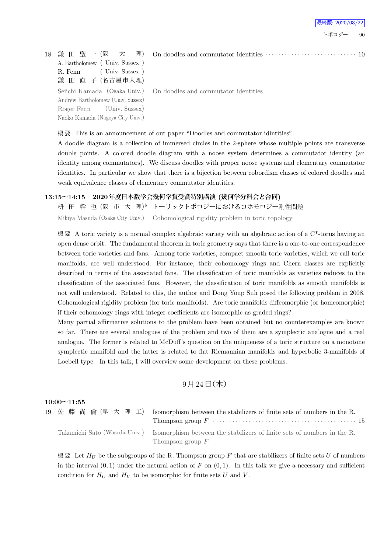

18 鎌 田 聖 一 (阪 大 理) A. Bartholomew ( Univ. Sussex ) R. Fenn (Univ. Sussex) 鎌 田 直 子 (名古屋市大理) Seiichi Kamada (Osaka Univ.) Andrew Bartholomew (Univ. Sussex) Roger Fenn (Univ. Sussex) Naoko Kamada (Nagoya City Univ.)

On doodles and commutator identities

概 要 This is an announcement of our paper "Doodles and commutator idintities".

A doodle diagram is a collection of immersed circles in the 2-sphere whose multiple points are transverse double points. A colored doodle diagram with a noose system determines a commutator identity (an identity among commutators). We discuss doodles with proper noose systems and elementary commutator identities. In particular we show that there is a bijection between cobordism classes of colored doodles and weak equivalence classes of elementary commutator identities.

### **13:15~14:15 2020年度日本数学会幾何学賞受賞特別講演 (幾何学分科会と合同)**

枡 田 幹 也 (阪 市 大 理) *♭* トーリックトポロジーにおけるコホモロジー剛性問題 Mikiya Masuda (Osaka City Univ.) Cohomological rigidity problem in toric topology

概要 A toric variety is a normal complex algebraic variety with an algebraic action of a  $C^*$ -torus having an open dense orbit. The fundamental theorem in toric geometry says that there is a one-to-one correspondence between toric varieties and fans. Among toric varieties, compact smooth toric varieties, which we call toric manifolds, are well understood. For instance, their cohomology rings and Chern classes are explicitly described in terms of the associated fans. The classification of toric manifolds as varieties reduces to the classification of the associated fans. However, the classification of toric manifolds as smooth manifolds is not well understood. Related to this, the author and Dong Youp Suh posed the following problem in 2008. Cohomological rigidity problem (for toric manifolds). Are toric manifolds diffeomorphic (or homeomorphic) if their cohomology rings with integer coefficients are isomorphic as graded rings?

Many partial affirmative solutions to the problem have been obtained but no counterexamples are known so far. There are several analogues of the problem and two of them are a symplectic analogue and a real analogue. The former is related to McDuff's question on the uniqueness of a toric structure on a monotone symplectic manifold and the latter is related to flat Riemannian manifolds and hyperbolic 3-manifolds of Loebell type. In this talk, I will overview some development on these problems.

## $9$ 月24日 (木)

### **10:00~11:55**

|  | 19 佐藤尚倫(早大理工) Isomorphism between the stabilizers of finite sets of numbers in the R.                 |
|--|-------------------------------------------------------------------------------------------------------|
|  |                                                                                                       |
|  | Takamichi Sato (Waseda Univ.) Isomorphism between the stabilizers of finite sets of numbers in the R. |
|  | Thompson group $F$                                                                                    |

概要 Let  $H_U$  be the subgroups of the R. Thompson group  $F$  that are stabilizers of finite sets  $U$  of numbers in the interval  $(0, 1)$  under the natural action of  $F$  on  $(0, 1)$ . In this talk we give a necessary and sufficient condition for  $H_U$  and  $H_V$  to be isomorphic for finite sets *U* and *V*.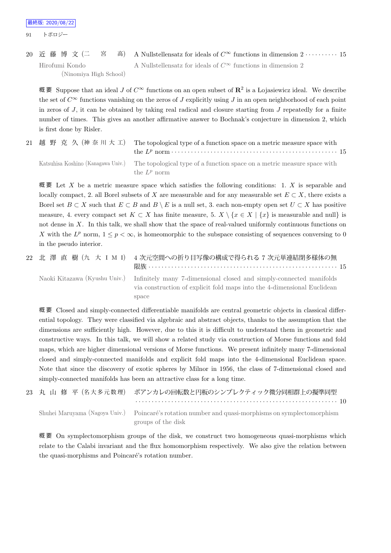20 近 藤 博 文 (二 宮 高) A Nullstellensatz for ideals of *C<sup>∞</sup>* functions in dimension 2 *· · · · · · · · · ·* 15 Hirofumi Kondo (Ninomiya High School) A Nullstellensatz for ideals of  $C^{\infty}$  functions in dimension 2

概 要 Suppose that an ideal *J* of *C<sup>∞</sup>* functions on an open subset of **R**<sup>2</sup> is a Lojasiewicz ideal. We describe the set of  $C^{\infty}$  functions vanishing on the zeros of *J* explicitly using *J* in an open neighborhood of each point in zeros of *J*, it can be obtained by taking real radical and closure starting from *J* repeatedly for a finite number of times. This gives an another affirmative answer to Bochnak's conjecture in dimension 2, which is first done by Risler.

|  | 21 越 野 克 久 (神奈川大工) The topological type of a function space on a metric measure space with                                   |  |
|--|------------------------------------------------------------------------------------------------------------------------------|--|
|  | Katsuhisa Koshino (Kanagawa Univ.) The topological type of a function space on a metric measure space with<br>the $L^p$ norm |  |

概 要 Let *X* be a metric measure space which satisfies the following conditions: 1. *X* is separable and locally compact, 2. all Borel subsets of *X* are measurable and for any measurable set  $E \subset X$ , there exists a Borel set  $B \subset X$  such that  $E \subset B$  and  $B \setminus E$  is a null set, 3. each non-empty open set  $U \subset X$  has positive measure, 4. every compact set  $K \subset X$  has finite measure, 5.  $X \setminus \{x \in X | \{x\} \}$  is measurable and null is not dense in *X*. In this talk, we shall show that the space of real-valued uniformly continuous functions on *X* with the  $L^p$  norm,  $1 \leq p < \infty$ , is homeomorphic to the subspace consisting of sequences conversing to 0 in the pseudo interior.

|  | 22 北 澤 直 樹 (九 大 I M I) 4 次元空間への折り目写像の構成で得られる 7 次元単連結閉多様体の無                                                                                                                            |
|--|---------------------------------------------------------------------------------------------------------------------------------------------------------------------------------------|
|  | Naoki Kitazawa (Kyushu Univ.) Infinitely many 7-dimensional closed and simply-connected manifolds<br>via construction of explicit fold maps into the 4-dimensional Euclidean<br>space |

概 要 Closed and simply-connected differentiable manifolds are central geometric objects in classical differential topology. They were classified via algebraic and abstract objects, thanks to the assumption that the dimensions are sufficiently high. However, due to this it is difficult to understand them in geometric and constructive ways. In this talk, we will show a related study via construction of Morse functions and fold maps, which are higher dimensional versions of Morse functions. We present infinitely many 7-dimensional closed and simply-connected manifolds and explicit fold maps into the 4-dimensional Euclidean space. Note that since the discovery of exotic spheres by Milnor in 1956, the class of 7-dimensional closed and simply-connected manifolds has been an attractive class for a long time.

|  | 23 丸 山 修 平(名大多元数理) ポアンカレの回転数と円板のシンプレクティック微分同相群上の擬準同型 |
|--|------------------------------------------------------|
|  |                                                      |

Shuhei Maruyama (Nagoya Univ.) Poincaré's rotation number and quasi-morphisms on symplectomorphism groups of the disk

概 要 On symplectomorphism groups of the disk, we construct two homogeneous quasi-morphisms which relate to the Calabi invariant and the flux homomorphism respectively. We also give the relation between the quasi-morphisms and Poincaré's rotation number.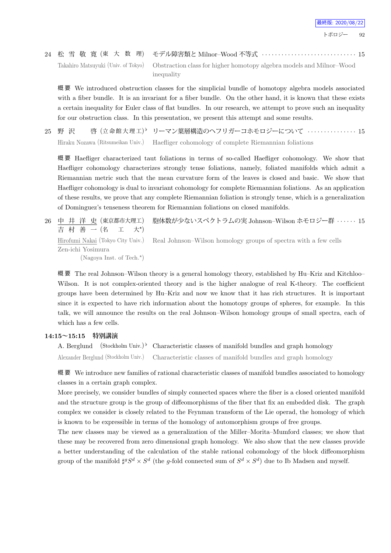## 24 松 雪 敬 寛 (東 大 数 理) モデル障害類と Milnor–Wood 不等式 *· · · · · · · · · · · · · · · · · · · · · · · · · · · · ·* 15 Takahiro Matsuyuki (Univ. of Tokyo) Obstraction class for higher homotopy algebra models and Milnor–Wood inequality

概 要 We introduced obstruction classes for the simplicial bundle of homotopy algebra models associated with a fiber bundle. It is an invariant for a fiber bundle. On the other hand, it is known that these exists a certain inequality for Euler class of flat bundles. In our research, we attempt to prove such an inequality for our obstruction class. In this presentation, we present this attempt and some results.

 $25 \quad$  野 沢  $\qquad$  啓  $(\pm \hat{\omega})$  館大理工) *♭* リーマン葉層構造のヘフリガーコホモロジーについて *· · · · · · · · · · · · · · ·* 15 Hiraku Nozawa (Ritsumeikan Univ.) Haefliger cohomology of complete Riemannian foliations

概 要 Haefliger characterized taut foliations in terms of so-called Haefliger cohomology. We show that Haefliger cohomology characterizes strongly tense foliations, namely, foliated manifolds which admit a Riemannian metric such that the mean curvature form of the leaves is closed and basic. We show that Haefliger cohomology is dual to invariant cohomology for complete Riemannian foliations. As an application of these results, we prove that any complete Riemannian foliation is strongly tense, which is a generalization of Dominguez's tenseness theorem for Riemannian foliations on closed manifolds.

26 中 井 洋 史 (東京都市大理工) 吉 村 善 一 (名 工  $+^{\star}$ 胞体数が少ないスペクトラムの実 Johnson–Wilson ホモロジー群 *· · · · · ·* 15 Hirofumi Nakai (Tokyo City Univ.) Zen-ichi Yosimura Real Johnson–Wilson homology groups of spectra with a few cells

(Nagoya Inst. of Tech.*<sup>⋆</sup>* )

概要 The real Johnson–Wilson theory is a general homology theory, established by Hu–Kriz and Kitchloo– Wilson. It is not complex-oriented theory and is the higher analogue of real K-theory. The coefficient groups have been determined by Hu–Kriz and now we know that it has rich structures. It is important since it is expected to have rich information about the homotopy groups of spheres, for example. In this talk, we will announce the results on the real Johnson–Wilson homology groups of small spectra, each of which has a few cells.

### **14:15~15:15 特別講演**

A. Berglund (Stockholm Univ.)<sup>b</sup> Characteristic classes of manifold bundles and graph homology Alexander Berglund (Stockholm Univ.) Characteristic classes of manifold bundles and graph homology

概 要 We introduce new families of rational characteristic classes of manifold bundles associated to homology classes in a certain graph complex.

More precisely, we consider bundles of simply connected spaces where the fiber is a closed oriented manifold and the structure group is the group of diffeomorphisms of the fiber that fix an embedded disk. The graph complex we consider is closely related to the Feynman transform of the Lie operad, the homology of which is known to be expressible in terms of the homology of automorphism groups of free groups.

The new classes may be viewed as a generalization of the Miller–Morita–Mumford classes; we show that these may be recovered from zero dimensional graph homology. We also show that the new classes provide a better understanding of the calculation of the stable rational cohomology of the block diffeomorphism group of the manifold  $\sharp^g S^d \times S^d$  (the *g*-fold connected sum of  $S^d \times S^d$ ) due to Ib Madsen and myself.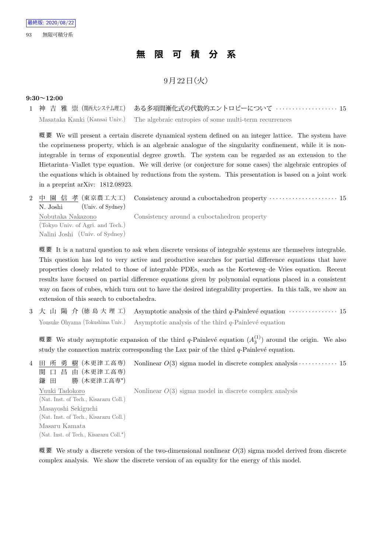# **無 限 可 積 分 系**

## $9$ 月 $22$ 日 $($ 火)

### **9:30~12:00**

1 神 吉 雅 崇 (関西大システム理工) ある多項間漸化式の代数的エントロピーについて *· · · · · · · · · · · · · · · · · · ·* 15 Masataka Kanki (Kansai Univ.) The algebraic entropies of some multi-term recurrences

概 要 We will present a certain discrete dynamical system defined on an integer lattice. The system have the coprimeness property, which is an algebraic analogue of the singularity confinement, while it is nonintegrable in terms of exponential degree growth. The system can be regarded as an extension to the Hietarinta–Viallet type equation. We will derive (or conjecture for some cases) the algebraic entropies of the equations which is obtained by reductions from the system. This presentation is based on a joint work in a preprint arXiv: 1812.08923.

2 中 園 信 孝 (東京農工大工) N. Joshi (Univ. of Sydney) Consistency around a cuboctahedron property *· · · · · · · · · · · · · · · · · · · · ·* 15 Nobutaka Nakazono (Tokyo Univ. of Agri. and Tech.) Nalini Joshi (Univ. of Sydney) Consistency around a cuboctahedron property

概要 It is a natural question to ask when discrete versions of integrable systems are themselves integrable. This question has led to very active and productive searches for partial difference equations that have properties closely related to those of integrable PDEs, such as the Korteweg–de Vries equation. Recent results have focused on partial difference equations given by polynomial equations placed in a consistent way on faces of cubes, which turn out to have the desired integrability properties. In this talk, we show an extension of this search to cuboctahedra.

3 大 山 陽 介 (徳島大理工) Asymptotic analysis of the third q-Painlevé equation  $\cdots$  · · · · · · · · · · · · · · · · · 15 Yousuke Ohyama (Tokushima Univ.) Asymptotic analysis of the third *q*-Painlevé equation

概 要 We study asymptotic expansion of the third *q*-Painlevé equation  $(A_3^{(1)})$  around the origin. We also study the connection matrix corresponding the Lax pair of the third  $q$ -Painlevé equation.

4 田 所 勇 樹 (木更津工高専) 関 口 昌 由 (木更津工高専) 鎌 田 勝 (木更津工高専*<sup>⋆</sup>* ) Nonlinear *O*(3) sigma model in discrete complex analysis *· · · · · · · · · · · ·* 15 Yuuki Tadokoro (Nat. Inst. of Tech., Kisarazu Coll.) Masayoshi Sekiguchi (Nat. Inst. of Tech., Kisarazu Coll.) Masaru Kamata (Nat. Inst. of Tech., Kisarazu Coll.*<sup>⋆</sup>* ) Nonlinear *O*(3) sigma model in discrete complex analysis

概 要 We study a discrete version of the two-dimensional nonlinear *O*(3) sigma model derived from discrete complex analysis. We show the discrete version of an equality for the energy of this model.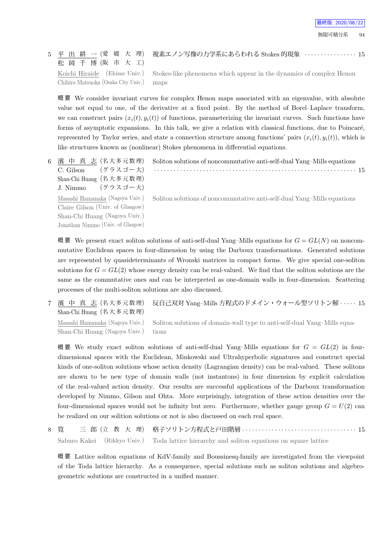#### 5 平 出 耕 一 (愛 媛 大 理) 松 岡 千 博 (阪 市 大 工) 複素エノン写像の力学系にあらわれる Stokes 的現象 *· · · · · · · · · · · · · · · ·* 15 Koichi Hiraide (Ehime Univ.) Chihiro Matsuoka (Osaka City Univ.) Stokes-like phenomena which appear in the dynamics of complex Henon maps

概 要 We consider invariant curves for complex Henon maps associated with an eigenvalue, with absolute value not equal to one, of the derivative at a fixed point. By the method of Borel–Laplace transform, we can construct pairs  $(x_i(t), y_i(t))$  of functions, parameterizing the invariant curves. Such functions have forms of asymptotic expansions. In this talk, we give a relation with classical functions, due to Poincaré, represented by Taylor series, and state a connection structure among functions' pairs  $(x_i(t), y_i(t))$ , which is like structures known as (nonlinear) Stokes phenomena in differential equations.

6 濱 中 真 志 (名大多元数理)  $C.$  Gilson (グラスゴー大) Shan-Chi Huang (名 大 多 元 数 理) J. Nimmo  $(\breve{\mathcal{F}} \bar{\mathcal{F}} \times \vec{\mathcal{F}} - \bar{\mathcal{F}})$ Masashi Hamanaka (Nagoya Univ.) Claire Gilson (Univ. of Glasgow)

Shan-Chi Huang (Nagoya Univ.) Jonathan Nimmo (Univ. of Glasgow) Soliton solutions of noncommutative anti-self-dual Yang–Mills equations

Soliton solutions of noncommutative anti-self-dual Yang–Mills equations *· · · · · · · · · · · · · · · · · · · · · · · · · · · · · · · · · · · · · · · · · · · · · · · · · · · · · · · · · · · · · ·* 15

概 要 We present exact soliton solutions of anti-self-dual Yang–Mills equations for  $G = GL(N)$  on noncommutative Euclidean spaces in four-dimension by using the Darboux transformations. Generated solutions are represented by quasideterminants of Wronski matrices in compact forms. We give special one-soliton solutions for  $G = GL(2)$  whose energy density can be real-valued. We find that the soliton solutions are the same as the commutative ones and can be interpreted as one-domain walls in four-dimension. Scattering processes of the multi-soliton solutions are also discussed.

7 濱 中 真 志 (名大多元数理) Shan-Chi Huang (名 大 多 元 数 理) 反自己双対 Yang–Mills 方程式のドメイン・ウォール型ソリトン解 *· · · · ·* 15 Masashi Hamanaka (Nagoya Univ.) Shan-Chi Huang (Nagoya Univ.) Soliton solutions of domain-wall type to anti-self-dual Yang–Mills equations

概 要 We study exact soliton solutions of anti-self-dual Yang–Mills equations for *G* = *GL*(2) in fourdimensional spaces with the Euclidean, Minkowski and Ultrahyperbolic signatures and construct special kinds of one-soliton solutions whose action density (Lagrangian density) can be real-valued. These solitons are shown to be new type of domain walls (not instantons) in four dimension by explicit calculation of the real-valued action density. Our results are successful applications of the Darboux transformation developed by Nimmo, Gilson and Ohta. More surprisingly, integration of these action densities over the four-dimensional spaces would not be infinity but zero. Furthermore, whether gauge group  $G = U(2)$  can be realized on our solition solutions or not is also discussed on each real space.

8 筧 三 郎 (立 教 大 理) 格子ソリトン方程式と戸田階層 *· · · · · · · · · · · · · · · · · · · · · · · · · · · · · · · · · · ·* 15 Saburo Kakei (Rikkyo Univ.) Toda lattice hierarchy and soliton equations on square lattice

概 要 Lattice soliton equations of KdV-family and Boussinesq-family are investigated from the viewpoint of the Toda lattice hierarchy. As a consequence, special solutions such as soliton solutions and algebrogeometric solutions are constructed in a unified manner.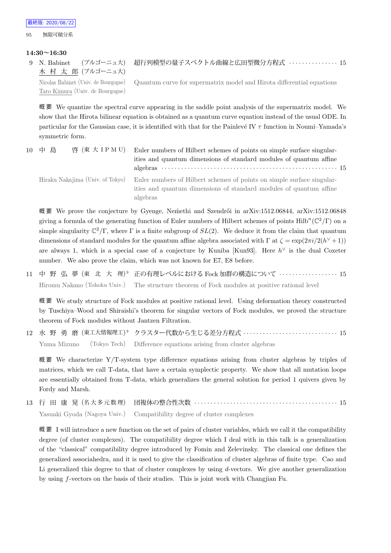### **14:30~16:30**

9 N. Babinet (ブルゴーニュ大) 木 村 太 郎 (ブルゴーニュ大) 超行列模型の量子スペクトル曲線と広田型微分方程式 *· · · · · · · · · · · · · · ·* 15 Nicolas Babinet (Univ. de Bourgogne) Taro Kimura (Univ. de Bourgogne) Quantum curve for supermatrix model and Hirota differential equations

概 要 We quantize the spectral curve appearing in the saddle point analysis of the supermatrix model. We show that the Hirota bilinear equation is obtained as a quantum curve equation instead of the usual ODE. In particular for the Gaussian case, it is identified with that for the Painlevé IV  $\tau$  function in Noumi–Yamada's symmetric form.

| 10 中島<br>啓 (東大 IP M U) |                                  | Euler numbers of Hilbert schemes of points on simple surface singular-<br>ities and quantum dimensions of standard modules of quantum affine             |  |
|------------------------|----------------------------------|----------------------------------------------------------------------------------------------------------------------------------------------------------|--|
|                        | Hiraku Nakajima (Univ. of Tokyo) | Euler numbers of Hilbert schemes of points on simple surface singular-<br>ities and quantum dimensions of standard modules of quantum affine<br>algebras |  |

概要 We prove the conjecture by Gyenge, Nemethi and Szendrői in arXiv:1512.06844, arXiv:1512.06848 giving a formula of the generating function of Euler numbers of Hilbert schemes of points  $\text{Hilb}^n(\mathbb{C}^2/\Gamma)$  on a simple singularity  $\mathbb{C}^2/\Gamma$ , where  $\Gamma$  is a finite subgroup of  $SL(2)$ . We deduce it from the claim that quantum dimensions of standard modules for the quantum affine algebra associated with  $\Gamma$  at  $\zeta = \exp(2\pi i/2(h^{\vee}+1))$ are always 1, which is a special case of a conjecture by Kuniba [Kun93]. Here *h <sup>∨</sup>* is the dual Coxeter number. We also prove the claim, which was not known for E7, E8 before.

11 中 野 弘 夢 (東 北 大 理) *♭* 正の有理レベルにおける Fock 加群の構造について *· · · · · · · · · · · · · · · · · ·* 15 Hiromu Nakano (Tohoku Univ.) The structure theorem of Fock modules at positive rational level

概 要 We study structure of Fock modules at positive rational level. Using deformation theory constructed by Tuschiya–Wood and Shiraishi's theorem for singular vectors of Fock modules, we proved the structure theorem of Fock modules without Jantzen Filtration.

12 水 野 勇 磨 (東工大情報理工) *♭* クラスター代数から生じる差分方程式 *· · · · · · · · · · · · · · · · · · · · · · · · · · · · ·* 15 Yuma Mizuno (Tokyo Tech) Difference equations arising from cluster algebras

概要 We characterize  $Y/T$ -system type difference equations arising from cluster algebras by triples of matrices, which we call T-data, that have a certain symplectic property. We show that all mutation loops are essentially obtained from T-data, which generalizes the general solution for period 1 quivers given by Fordy and Marsh.

13 行 田 康 晃 (名 大 多 元 数 理) 団複体の整合性次数 *· · · · · · · · · · · · · · · · · · · · · · · · · · · · · · · · · · · · · · · · · · · ·* 15 Yasuaki Gyoda (Nagoya Univ.) Compatibility degree of cluster complexes

概要 I will introduce a new function on the set of pairs of cluster variables, which we call it the compatibility degree (of cluster complexes). The compatibility degree which I deal with in this talk is a generalization of the "classical" compatibility degree introduced by Fomin and Zelevinsky. The classical one defines the generalized associahedra, and it is used to give the classification of cluster algebras of finite type. Cao and Li generalized this degree to that of cluster complexes by using *d*-vectors. We give another generalization by using *f*-vectors on the basis of their studies. This is joint work with Changjian Fu.